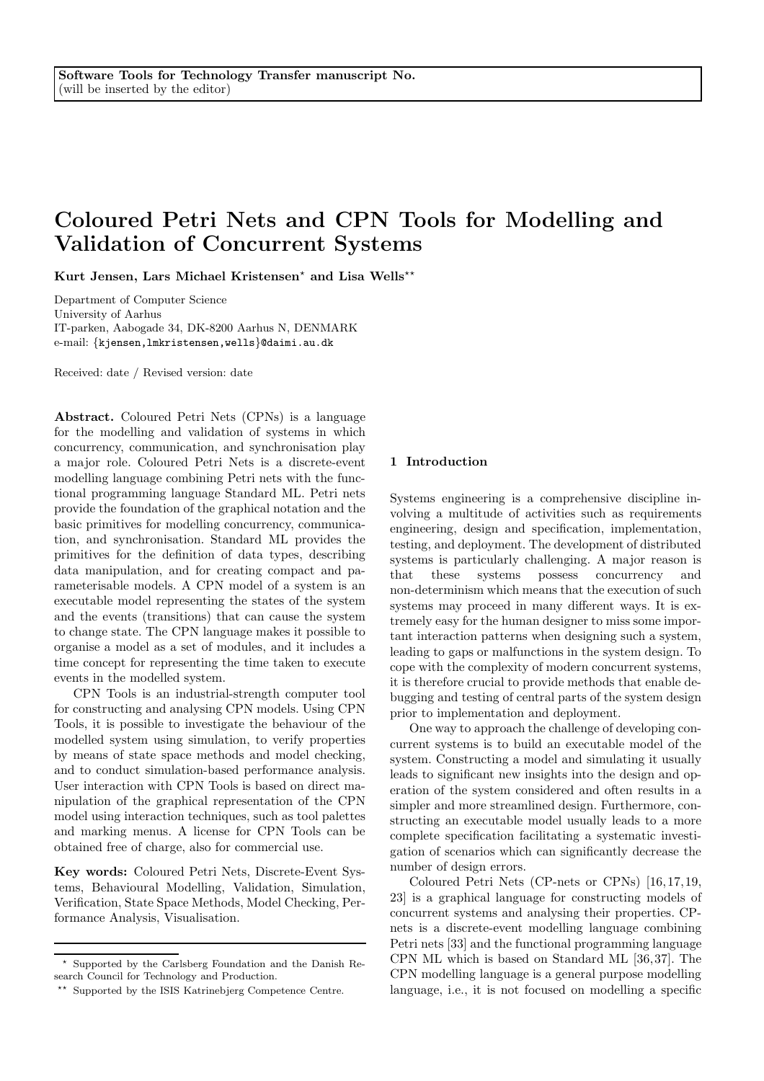# Coloured Petri Nets and CPN Tools for Modelling and Validation of Concurrent Systems

Kurt Jensen, Lars Michael Kristensen<sup>\*</sup> and Lisa Wells<sup>\*\*</sup>

Department of Computer Science University of Aarhus IT-parken, Aabogade 34, DK-8200 Aarhus N, DENMARK e-mail: {kjensen,lmkristensen,wells}@daimi.au.dk

Received: date / Revised version: date

Abstract. Coloured Petri Nets (CPNs) is a language for the modelling and validation of systems in which concurrency, communication, and synchronisation play a major role. Coloured Petri Nets is a discrete-event modelling language combining Petri nets with the functional programming language Standard ML. Petri nets provide the foundation of the graphical notation and the basic primitives for modelling concurrency, communication, and synchronisation. Standard ML provides the primitives for the definition of data types, describing data manipulation, and for creating compact and parameterisable models. A CPN model of a system is an executable model representing the states of the system and the events (transitions) that can cause the system to change state. The CPN language makes it possible to organise a model as a set of modules, and it includes a time concept for representing the time taken to execute events in the modelled system.

CPN Tools is an industrial-strength computer tool for constructing and analysing CPN models. Using CPN Tools, it is possible to investigate the behaviour of the modelled system using simulation, to verify properties by means of state space methods and model checking, and to conduct simulation-based performance analysis. User interaction with CPN Tools is based on direct manipulation of the graphical representation of the CPN model using interaction techniques, such as tool palettes and marking menus. A license for CPN Tools can be obtained free of charge, also for commercial use.

Key words: Coloured Petri Nets, Discrete-Event Systems, Behavioural Modelling, Validation, Simulation, Verification, State Space Methods, Model Checking, Performance Analysis, Visualisation.

#### 1 Introduction

Systems engineering is a comprehensive discipline involving a multitude of activities such as requirements engineering, design and specification, implementation, testing, and deployment. The development of distributed systems is particularly challenging. A major reason is that these systems possess concurrency and non-determinism which means that the execution of such systems may proceed in many different ways. It is extremely easy for the human designer to miss some important interaction patterns when designing such a system, leading to gaps or malfunctions in the system design. To cope with the complexity of modern concurrent systems, it is therefore crucial to provide methods that enable debugging and testing of central parts of the system design prior to implementation and deployment.

One way to approach the challenge of developing concurrent systems is to build an executable model of the system. Constructing a model and simulating it usually leads to significant new insights into the design and operation of the system considered and often results in a simpler and more streamlined design. Furthermore, constructing an executable model usually leads to a more complete specification facilitating a systematic investigation of scenarios which can significantly decrease the number of design errors.

Coloured Petri Nets (CP-nets or CPNs) [16,17,19, 23] is a graphical language for constructing models of concurrent systems and analysing their properties. CPnets is a discrete-event modelling language combining Petri nets [33] and the functional programming language CPN ML which is based on Standard ML [36,37]. The CPN modelling language is a general purpose modelling language, i.e., it is not focused on modelling a specific

<sup>?</sup> Supported by the Carlsberg Foundation and the Danish Research Council for Technology and Production.

<sup>\*\*</sup> Supported by the ISIS Katrinebjerg Competence Centre.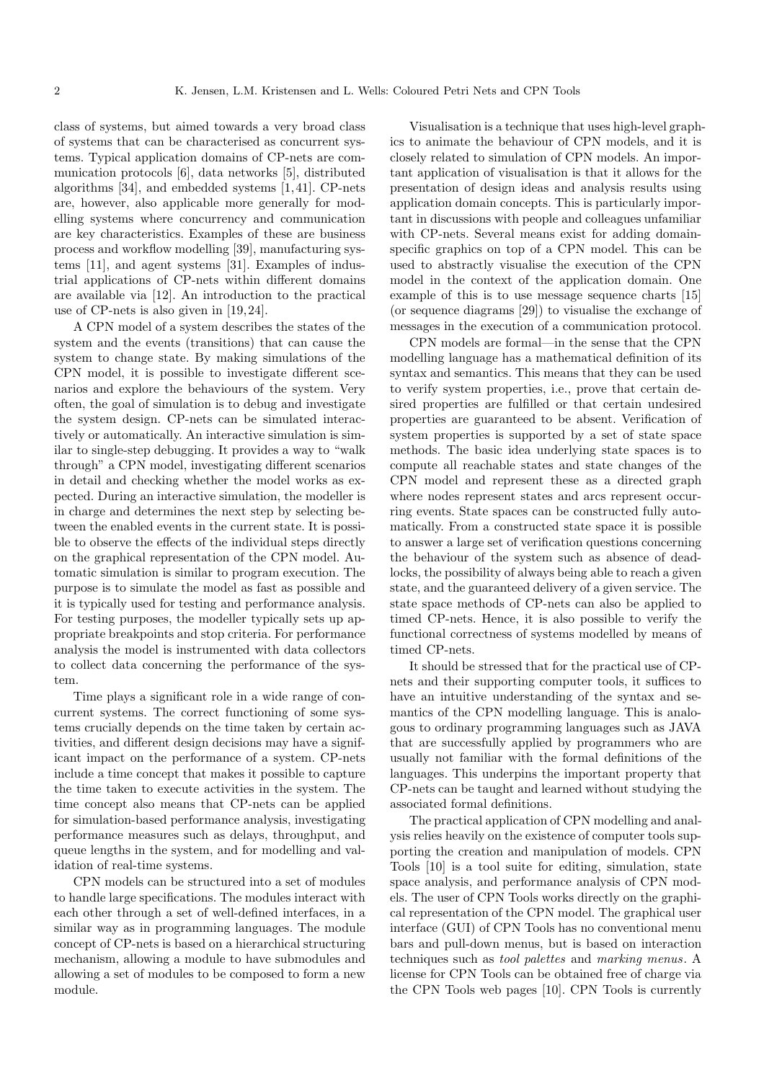class of systems, but aimed towards a very broad class of systems that can be characterised as concurrent systems. Typical application domains of CP-nets are communication protocols [6], data networks [5], distributed algorithms [34], and embedded systems [1,41]. CP-nets are, however, also applicable more generally for modelling systems where concurrency and communication are key characteristics. Examples of these are business process and workflow modelling [39], manufacturing systems [11], and agent systems [31]. Examples of industrial applications of CP-nets within different domains are available via [12]. An introduction to the practical use of CP-nets is also given in [19,24].

A CPN model of a system describes the states of the system and the events (transitions) that can cause the system to change state. By making simulations of the CPN model, it is possible to investigate different scenarios and explore the behaviours of the system. Very often, the goal of simulation is to debug and investigate the system design. CP-nets can be simulated interactively or automatically. An interactive simulation is similar to single-step debugging. It provides a way to "walk through" a CPN model, investigating different scenarios in detail and checking whether the model works as expected. During an interactive simulation, the modeller is in charge and determines the next step by selecting between the enabled events in the current state. It is possible to observe the effects of the individual steps directly on the graphical representation of the CPN model. Automatic simulation is similar to program execution. The purpose is to simulate the model as fast as possible and it is typically used for testing and performance analysis. For testing purposes, the modeller typically sets up appropriate breakpoints and stop criteria. For performance analysis the model is instrumented with data collectors to collect data concerning the performance of the system.

Time plays a significant role in a wide range of concurrent systems. The correct functioning of some systems crucially depends on the time taken by certain activities, and different design decisions may have a significant impact on the performance of a system. CP-nets include a time concept that makes it possible to capture the time taken to execute activities in the system. The time concept also means that CP-nets can be applied for simulation-based performance analysis, investigating performance measures such as delays, throughput, and queue lengths in the system, and for modelling and validation of real-time systems.

CPN models can be structured into a set of modules to handle large specifications. The modules interact with each other through a set of well-defined interfaces, in a similar way as in programming languages. The module concept of CP-nets is based on a hierarchical structuring mechanism, allowing a module to have submodules and allowing a set of modules to be composed to form a new module.

Visualisation is a technique that uses high-level graphics to animate the behaviour of CPN models, and it is closely related to simulation of CPN models. An important application of visualisation is that it allows for the presentation of design ideas and analysis results using application domain concepts. This is particularly important in discussions with people and colleagues unfamiliar with CP-nets. Several means exist for adding domainspecific graphics on top of a CPN model. This can be used to abstractly visualise the execution of the CPN model in the context of the application domain. One example of this is to use message sequence charts [15] (or sequence diagrams [29]) to visualise the exchange of messages in the execution of a communication protocol.

CPN models are formal—in the sense that the CPN modelling language has a mathematical definition of its syntax and semantics. This means that they can be used to verify system properties, i.e., prove that certain desired properties are fulfilled or that certain undesired properties are guaranteed to be absent. Verification of system properties is supported by a set of state space methods. The basic idea underlying state spaces is to compute all reachable states and state changes of the CPN model and represent these as a directed graph where nodes represent states and arcs represent occurring events. State spaces can be constructed fully automatically. From a constructed state space it is possible to answer a large set of verification questions concerning the behaviour of the system such as absence of deadlocks, the possibility of always being able to reach a given state, and the guaranteed delivery of a given service. The state space methods of CP-nets can also be applied to timed CP-nets. Hence, it is also possible to verify the functional correctness of systems modelled by means of timed CP-nets.

It should be stressed that for the practical use of CPnets and their supporting computer tools, it suffices to have an intuitive understanding of the syntax and semantics of the CPN modelling language. This is analogous to ordinary programming languages such as JAVA that are successfully applied by programmers who are usually not familiar with the formal definitions of the languages. This underpins the important property that CP-nets can be taught and learned without studying the associated formal definitions.

The practical application of CPN modelling and analysis relies heavily on the existence of computer tools supporting the creation and manipulation of models. CPN Tools [10] is a tool suite for editing, simulation, state space analysis, and performance analysis of CPN models. The user of CPN Tools works directly on the graphical representation of the CPN model. The graphical user interface (GUI) of CPN Tools has no conventional menu bars and pull-down menus, but is based on interaction techniques such as tool palettes and marking menus. A license for CPN Tools can be obtained free of charge via the CPN Tools web pages [10]. CPN Tools is currently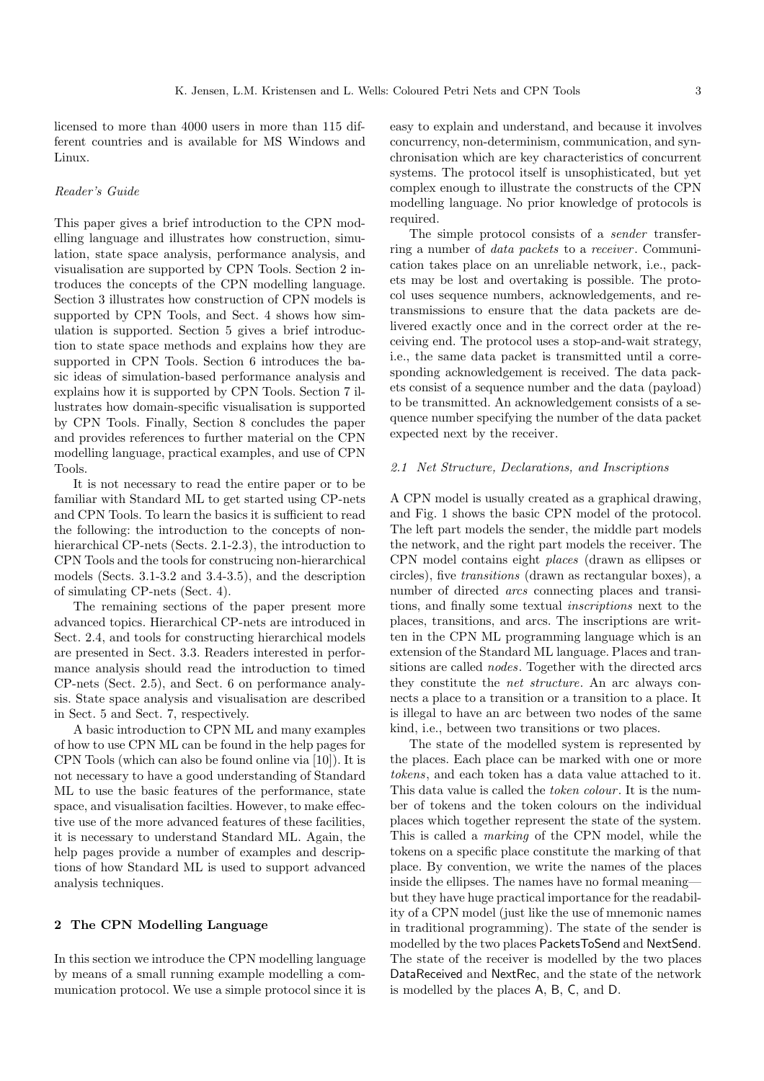licensed to more than 4000 users in more than 115 different countries and is available for MS Windows and Linux.

# Reader's Guide

This paper gives a brief introduction to the CPN modelling language and illustrates how construction, simulation, state space analysis, performance analysis, and visualisation are supported by CPN Tools. Section 2 introduces the concepts of the CPN modelling language. Section 3 illustrates how construction of CPN models is supported by CPN Tools, and Sect. 4 shows how simulation is supported. Section 5 gives a brief introduction to state space methods and explains how they are supported in CPN Tools. Section 6 introduces the basic ideas of simulation-based performance analysis and explains how it is supported by CPN Tools. Section 7 illustrates how domain-specific visualisation is supported by CPN Tools. Finally, Section 8 concludes the paper and provides references to further material on the CPN modelling language, practical examples, and use of CPN Tools.

It is not necessary to read the entire paper or to be familiar with Standard ML to get started using CP-nets and CPN Tools. To learn the basics it is sufficient to read the following: the introduction to the concepts of nonhierarchical CP-nets (Sects. 2.1-2.3), the introduction to CPN Tools and the tools for construcing non-hierarchical models (Sects. 3.1-3.2 and 3.4-3.5), and the description of simulating CP-nets (Sect. 4).

The remaining sections of the paper present more advanced topics. Hierarchical CP-nets are introduced in Sect. 2.4, and tools for constructing hierarchical models are presented in Sect. 3.3. Readers interested in performance analysis should read the introduction to timed CP-nets (Sect. 2.5), and Sect. 6 on performance analysis. State space analysis and visualisation are described in Sect. 5 and Sect. 7, respectively.

A basic introduction to CPN ML and many examples of how to use CPN ML can be found in the help pages for CPN Tools (which can also be found online via [10]). It is not necessary to have a good understanding of Standard ML to use the basic features of the performance, state space, and visualisation facilties. However, to make effective use of the more advanced features of these facilities, it is necessary to understand Standard ML. Again, the help pages provide a number of examples and descriptions of how Standard ML is used to support advanced analysis techniques.

# 2 The CPN Modelling Language

In this section we introduce the CPN modelling language by means of a small running example modelling a communication protocol. We use a simple protocol since it is easy to explain and understand, and because it involves concurrency, non-determinism, communication, and synchronisation which are key characteristics of concurrent systems. The protocol itself is unsophisticated, but yet complex enough to illustrate the constructs of the CPN modelling language. No prior knowledge of protocols is required.

The simple protocol consists of a *sender* transferring a number of *data packets* to a *receiver*. Communication takes place on an unreliable network, i.e., packets may be lost and overtaking is possible. The protocol uses sequence numbers, acknowledgements, and retransmissions to ensure that the data packets are delivered exactly once and in the correct order at the receiving end. The protocol uses a stop-and-wait strategy, i.e., the same data packet is transmitted until a corresponding acknowledgement is received. The data packets consist of a sequence number and the data (payload) to be transmitted. An acknowledgement consists of a sequence number specifying the number of the data packet expected next by the receiver.

#### 2.1 Net Structure, Declarations, and Inscriptions

A CPN model is usually created as a graphical drawing, and Fig. 1 shows the basic CPN model of the protocol. The left part models the sender, the middle part models the network, and the right part models the receiver. The CPN model contains eight places (drawn as ellipses or circles), five transitions (drawn as rectangular boxes), a number of directed arcs connecting places and transitions, and finally some textual inscriptions next to the places, transitions, and arcs. The inscriptions are written in the CPN ML programming language which is an extension of the Standard ML language. Places and transitions are called nodes. Together with the directed arcs they constitute the net structure. An arc always connects a place to a transition or a transition to a place. It is illegal to have an arc between two nodes of the same kind, i.e., between two transitions or two places.

The state of the modelled system is represented by the places. Each place can be marked with one or more tokens, and each token has a data value attached to it. This data value is called the *token colour*. It is the number of tokens and the token colours on the individual places which together represent the state of the system. This is called a marking of the CPN model, while the tokens on a specific place constitute the marking of that place. By convention, we write the names of the places inside the ellipses. The names have no formal meaning but they have huge practical importance for the readability of a CPN model (just like the use of mnemonic names in traditional programming). The state of the sender is modelled by the two places PacketsToSend and NextSend. The state of the receiver is modelled by the two places DataReceived and NextRec, and the state of the network is modelled by the places A, B, C, and D.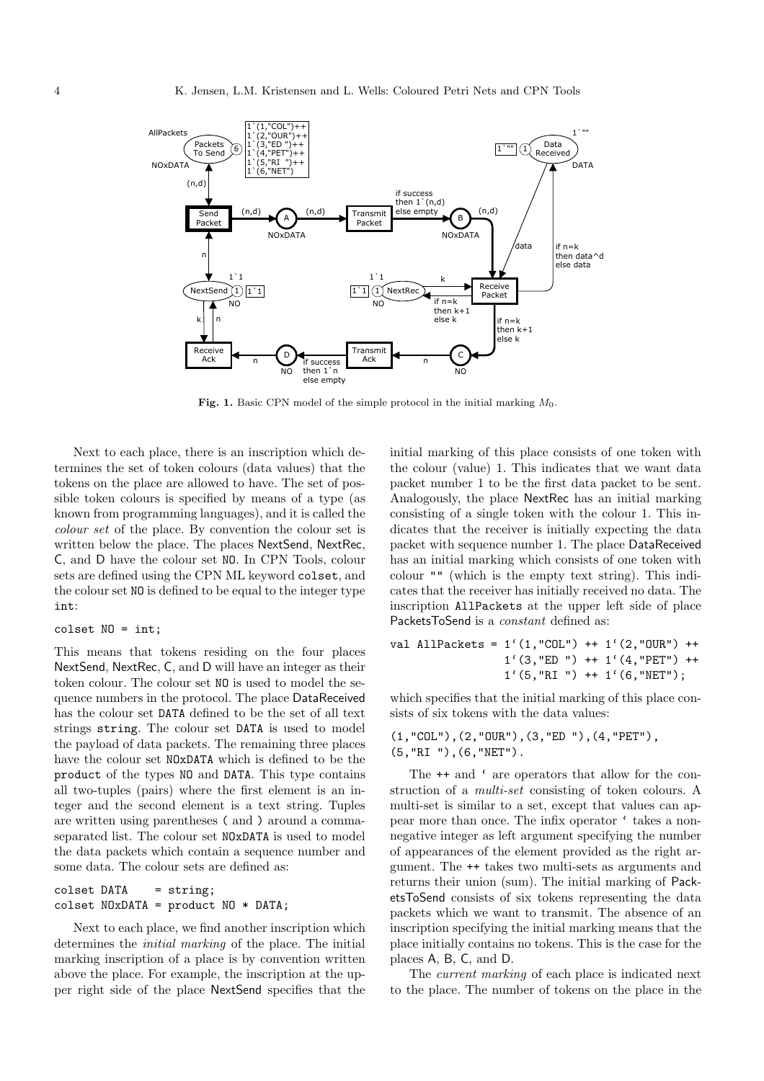

Fig. 1. Basic CPN model of the simple protocol in the initial marking  $M_0$ .

Next to each place, there is an inscription which determines the set of token colours (data values) that the tokens on the place are allowed to have. The set of possible token colours is specified by means of a type (as known from programming languages), and it is called the colour set of the place. By convention the colour set is written below the place. The places NextSend, NextRec, C, and D have the colour set NO. In CPN Tools, colour sets are defined using the CPN ML keyword colset, and the colour set NO is defined to be equal to the integer type int:

# colset NO = int;

This means that tokens residing on the four places NextSend, NextRec, C, and D will have an integer as their token colour. The colour set NO is used to model the sequence numbers in the protocol. The place DataReceived has the colour set DATA defined to be the set of all text strings string. The colour set DATA is used to model the payload of data packets. The remaining three places have the colour set NOxDATA which is defined to be the product of the types NO and DATA. This type contains all two-tuples (pairs) where the first element is an integer and the second element is a text string. Tuples are written using parentheses ( and ) around a commaseparated list. The colour set NOxDATA is used to model the data packets which contain a sequence number and some data. The colour sets are defined as:

# colset DATA = string; colset  $NOxDATA = product NO * DATA;$

Next to each place, we find another inscription which determines the initial marking of the place. The initial marking inscription of a place is by convention written above the place. For example, the inscription at the upper right side of the place NextSend specifies that the initial marking of this place consists of one token with the colour (value) 1. This indicates that we want data packet number 1 to be the first data packet to be sent. Analogously, the place NextRec has an initial marking consisting of a single token with the colour 1. This indicates that the receiver is initially expecting the data packet with sequence number 1. The place DataReceived has an initial marking which consists of one token with colour "" (which is the empty text string). This indicates that the receiver has initially received no data. The inscription AllPackets at the upper left side of place PacketsToSend is a *constant* defined as:

```
val AllPackets = 1'(1, "COL") ++ 1'(2, "OUR") ++
                 1'(3,"ED ") ++ 1'(4,"PET") ++
                 1'(5,"RI ") ++ 1'(6,"NET");
```
which specifies that the initial marking of this place consists of six tokens with the data values:

```
(1,"COL"),(2,"OUR"),(3,"ED "),(4,"PET"),
(5,"RI "),(6,"NET").
```
The ++ and ' are operators that allow for the construction of a multi-set consisting of token colours. A multi-set is similar to a set, except that values can appear more than once. The infix operator ' takes a nonnegative integer as left argument specifying the number of appearances of the element provided as the right argument. The ++ takes two multi-sets as arguments and returns their union (sum). The initial marking of PacketsToSend consists of six tokens representing the data packets which we want to transmit. The absence of an inscription specifying the initial marking means that the place initially contains no tokens. This is the case for the places A, B, C, and D.

The current marking of each place is indicated next to the place. The number of tokens on the place in the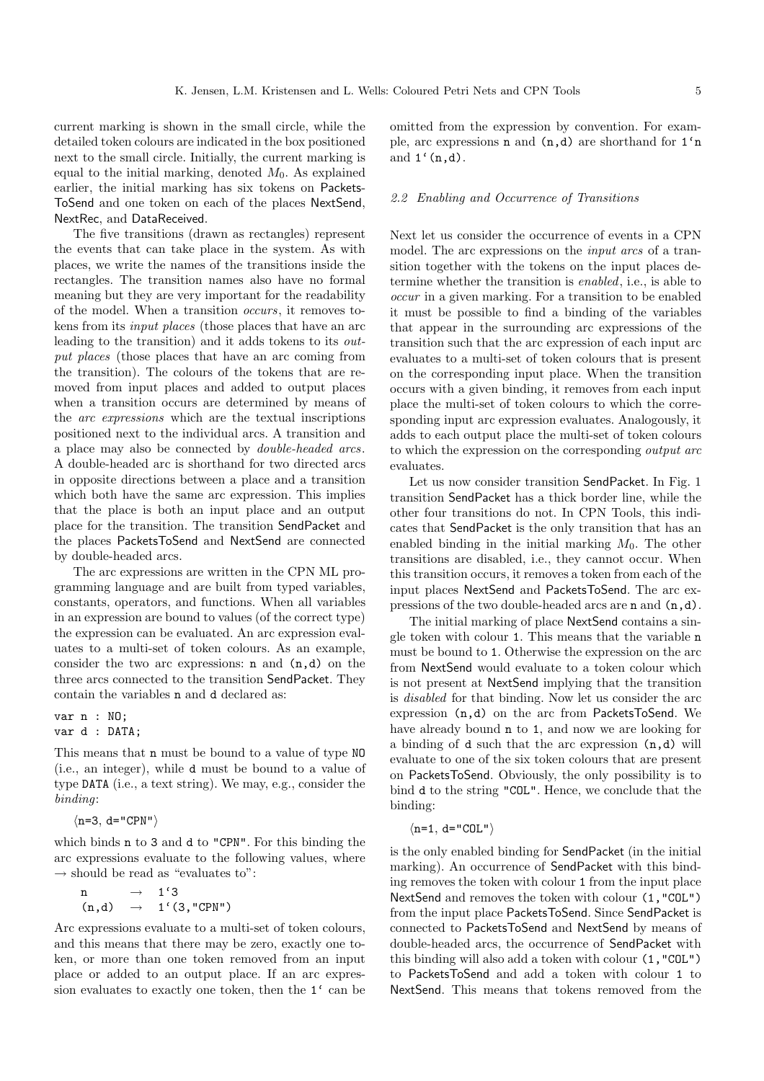current marking is shown in the small circle, while the detailed token colours are indicated in the box positioned next to the small circle. Initially, the current marking is equal to the initial marking, denoted  $M_0$ . As explained earlier, the initial marking has six tokens on Packets-ToSend and one token on each of the places NextSend, NextRec, and DataReceived.

The five transitions (drawn as rectangles) represent the events that can take place in the system. As with places, we write the names of the transitions inside the rectangles. The transition names also have no formal meaning but they are very important for the readability of the model. When a transition occurs, it removes tokens from its input places (those places that have an arc leading to the transition) and it adds tokens to its output places (those places that have an arc coming from the transition). The colours of the tokens that are removed from input places and added to output places when a transition occurs are determined by means of the arc expressions which are the textual inscriptions positioned next to the individual arcs. A transition and a place may also be connected by double-headed arcs. A double-headed arc is shorthand for two directed arcs in opposite directions between a place and a transition which both have the same arc expression. This implies that the place is both an input place and an output place for the transition. The transition SendPacket and the places PacketsToSend and NextSend are connected by double-headed arcs.

The arc expressions are written in the CPN ML programming language and are built from typed variables, constants, operators, and functions. When all variables in an expression are bound to values (of the correct type) the expression can be evaluated. An arc expression evaluates to a multi-set of token colours. As an example, consider the two arc expressions: n and (n,d) on the three arcs connected to the transition SendPacket. They contain the variables n and d declared as:

var n : NO; var d : DATA;

This means that n must be bound to a value of type NO (i.e., an integer), while d must be bound to a value of type DATA (i.e., a text string). We may, e.g., consider the binding:

```
\langle n=3, d="CPN" \rangle
```
which binds n to 3 and d to "CPN". For this binding the arc expressions evaluate to the following values, where  $\rightarrow$  should be read as "evaluates to":

$$
\begin{array}{ccc}\nn & \rightarrow & 1'3 \\
(n,d) & \rightarrow & 1'(3, "CPN")\n\end{array}
$$

Arc expressions evaluate to a multi-set of token colours, and this means that there may be zero, exactly one token, or more than one token removed from an input place or added to an output place. If an arc expression evaluates to exactly one token, then the 1' can be omitted from the expression by convention. For example, arc expressions **n** and  $(n,d)$  are shorthand for  $1'n$ and  $1'(n,d)$ .

#### 2.2 Enabling and Occurrence of Transitions

Next let us consider the occurrence of events in a CPN model. The arc expressions on the input arcs of a transition together with the tokens on the input places determine whether the transition is enabled, i.e., is able to occur in a given marking. For a transition to be enabled it must be possible to find a binding of the variables that appear in the surrounding arc expressions of the transition such that the arc expression of each input arc evaluates to a multi-set of token colours that is present on the corresponding input place. When the transition occurs with a given binding, it removes from each input place the multi-set of token colours to which the corresponding input arc expression evaluates. Analogously, it adds to each output place the multi-set of token colours to which the expression on the corresponding output arc evaluates.

Let us now consider transition SendPacket. In Fig. 1 transition SendPacket has a thick border line, while the other four transitions do not. In CPN Tools, this indicates that SendPacket is the only transition that has an enabled binding in the initial marking  $M_0$ . The other transitions are disabled, i.e., they cannot occur. When this transition occurs, it removes a token from each of the input places NextSend and PacketsToSend. The arc expressions of the two double-headed arcs are n and (n,d).

The initial marking of place NextSend contains a single token with colour 1. This means that the variable n must be bound to 1. Otherwise the expression on the arc from NextSend would evaluate to a token colour which is not present at NextSend implying that the transition is disabled for that binding. Now let us consider the arc expression (n,d) on the arc from PacketsToSend. We have already bound n to 1, and now we are looking for a binding of d such that the arc expression (n,d) will evaluate to one of the six token colours that are present on PacketsToSend. Obviously, the only possibility is to bind d to the string "COL". Hence, we conclude that the binding:

 $\langle$ n=1, d="COL" $\rangle$ 

is the only enabled binding for SendPacket (in the initial marking). An occurrence of SendPacket with this binding removes the token with colour 1 from the input place NextSend and removes the token with colour (1,"COL") from the input place PacketsToSend. Since SendPacket is connected to PacketsToSend and NextSend by means of double-headed arcs, the occurrence of SendPacket with this binding will also add a token with colour (1,"COL") to PacketsToSend and add a token with colour 1 to NextSend. This means that tokens removed from the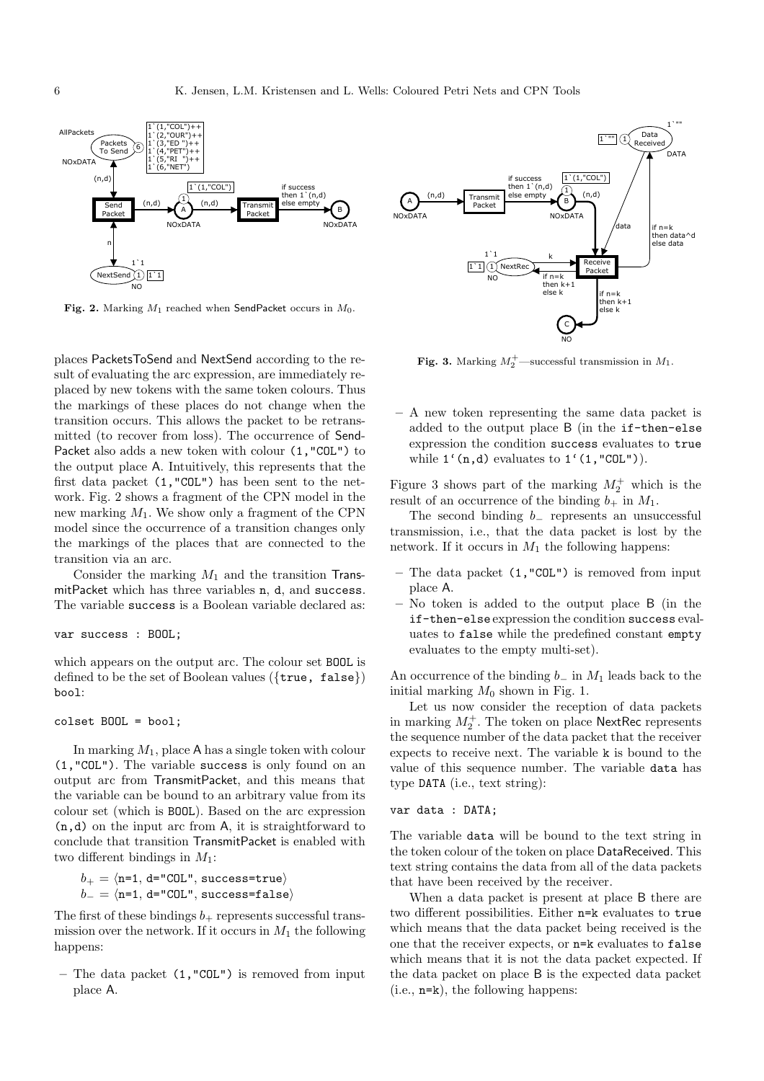

Fig. 2. Marking  $M_1$  reached when SendPacket occurs in  $M_0$ .

places PacketsToSend and NextSend according to the result of evaluating the arc expression, are immediately replaced by new tokens with the same token colours. Thus the markings of these places do not change when the transition occurs. This allows the packet to be retransmitted (to recover from loss). The occurrence of Send-Packet also adds a new token with colour (1,"COL") to the output place A. Intuitively, this represents that the first data packet (1,"COL") has been sent to the network. Fig. 2 shows a fragment of the CPN model in the new marking  $M_1$ . We show only a fragment of the CPN model since the occurrence of a transition changes only the markings of the places that are connected to the transition via an arc.

Consider the marking  $M_1$  and the transition TransmitPacket which has three variables n, d, and success. The variable success is a Boolean variable declared as:

```
var success : BOOL;
```
which appears on the output arc. The colour set **BOOL** is defined to be the set of Boolean values ({true, false}) bool:

```
colset BOOL = bool;
```
In marking  $M_1$ , place A has a single token with colour (1,"COL"). The variable success is only found on an output arc from TransmitPacket, and this means that the variable can be bound to an arbitrary value from its colour set (which is BOOL). Based on the arc expression (n,d) on the input arc from A, it is straightforward to conclude that transition TransmitPacket is enabled with two different bindings in  $M_1$ :

```
b_+ = \langle n=1, d="CDL", success=true \rangleb_-=\langle n=1, d="COL", success=False \rangle
```
The first of these bindings  $b_+$  represents successful transmission over the network. If it occurs in  $M_1$  the following happens:

– The data packet  $(1, "COL")$  is removed from input place A.



**Fig. 3.** Marking  $M_2^+$ —successful transmission in  $M_1$ .

– A new token representing the same data packet is added to the output place B (in the if-then-else expression the condition success evaluates to true while  $1'(n,d)$  evaluates to  $1'(1, "COL")$ ).

Figure 3 shows part of the marking  $M_2^+$  which is the result of an occurrence of the binding  $b_+$  in  $M_1$ .

The second binding  $b_$  represents an unsuccessful transmission, i.e., that the data packet is lost by the network. If it occurs in  $M_1$  the following happens:

- The data packet (1,"COL") is removed from input place A.
- No token is added to the output place B (in the if-then-else expression the condition success evaluates to false while the predefined constant empty evaluates to the empty multi-set).

An occurrence of the binding  $b_-\$  in  $M_1$  leads back to the initial marking  $M_0$  shown in Fig. 1.

Let us now consider the reception of data packets in marking  $M_2^+$ . The token on place NextRec represents the sequence number of the data packet that the receiver expects to receive next. The variable k is bound to the value of this sequence number. The variable data has type DATA (i.e., text string):

## var data : DATA;

The variable data will be bound to the text string in the token colour of the token on place DataReceived. This text string contains the data from all of the data packets that have been received by the receiver.

When a data packet is present at place B there are two different possibilities. Either n=k evaluates to true which means that the data packet being received is the one that the receiver expects, or n=k evaluates to false which means that it is not the data packet expected. If the data packet on place B is the expected data packet (i.e., n=k), the following happens: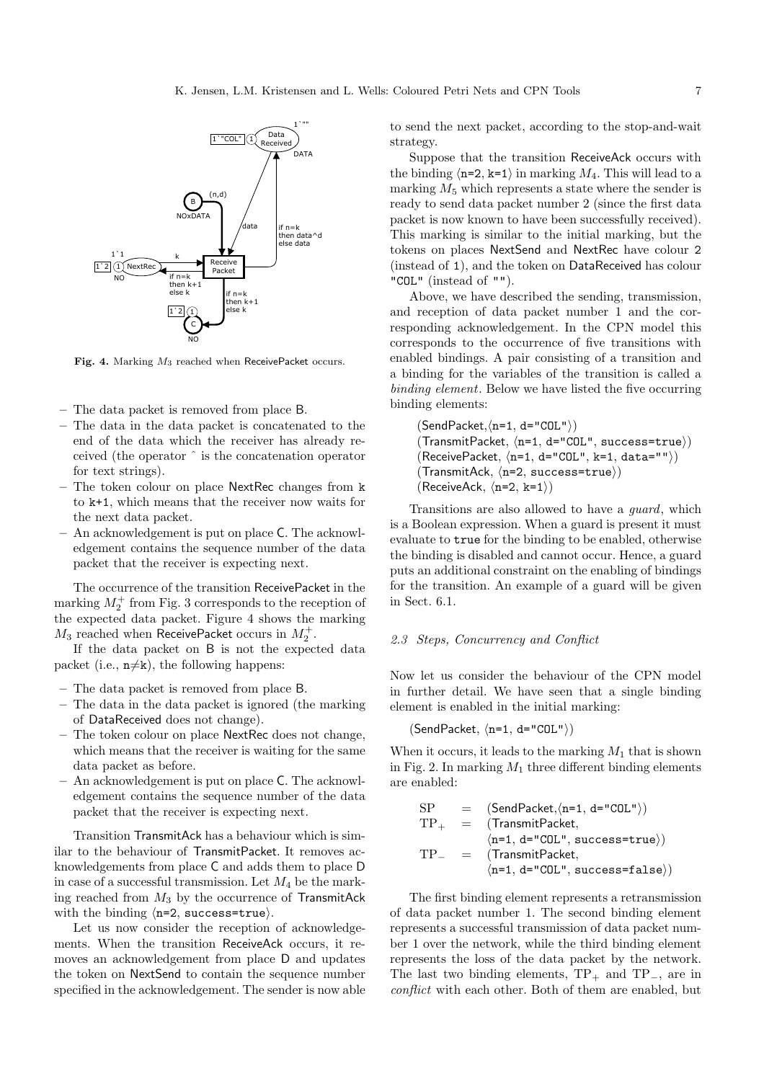

Fig. 4. Marking  $M_3$  reached when ReceivePacket occurs.

- The data packet is removed from place B.
- The data in the data packet is concatenated to the end of the data which the receiver has already received (the operator ˆ is the concatenation operator for text strings).
- The token colour on place NextRec changes from k to k+1, which means that the receiver now waits for the next data packet.
- An acknowledgement is put on place C. The acknowledgement contains the sequence number of the data packet that the receiver is expecting next.

The occurrence of the transition ReceivePacket in the marking  $M_2^+$  from Fig. 3 corresponds to the reception of the expected data packet. Figure 4 shows the marking  $M_3$  reached when ReceivePacket occurs in  $M_2^+$ .

If the data packet on B is not the expected data packet (i.e.,  $n\neq k$ ), the following happens:

- The data packet is removed from place B.
- The data in the data packet is ignored (the marking of DataReceived does not change).
- The token colour on place NextRec does not change, which means that the receiver is waiting for the same data packet as before.
- An acknowledgement is put on place C. The acknowledgement contains the sequence number of the data packet that the receiver is expecting next.

Transition TransmitAck has a behaviour which is similar to the behaviour of TransmitPacket. It removes acknowledgements from place C and adds them to place D in case of a successful transmission. Let  $M_4$  be the marking reached from  $M_3$  by the occurrence of TransmitAck with the binding  $(n=2, \text{success}=\text{true}).$ 

Let us now consider the reception of acknowledgements. When the transition ReceiveAck occurs, it removes an acknowledgement from place D and updates the token on NextSend to contain the sequence number specified in the acknowledgement. The sender is now able to send the next packet, according to the stop-and-wait strategy.

Suppose that the transition ReceiveAck occurs with the binding  $\langle n=2, k=1 \rangle$  in marking  $M_4$ . This will lead to a marking  $M_5$  which represents a state where the sender is ready to send data packet number 2 (since the first data packet is now known to have been successfully received). This marking is similar to the initial marking, but the tokens on places NextSend and NextRec have colour 2 (instead of 1), and the token on DataReceived has colour "COL" (instead of "").

Above, we have described the sending, transmission, and reception of data packet number 1 and the corresponding acknowledgement. In the CPN model this corresponds to the occurrence of five transitions with enabled bindings. A pair consisting of a transition and a binding for the variables of the transition is called a binding element. Below we have listed the five occurring binding elements:

 $(SendPacket, \langle n=1, d="COL")$  $(TransmitPacket, \langle n=1, d="COL", success=true \rangle)$  $(ReceivePacket, \langle n=1, d="COL", k=1, data="")$  $(Transmit Ack, \langle n=2, success=true \rangle)$  $(ReceiveAck, \langle n=2, k=1 \rangle)$ 

Transitions are also allowed to have a guard, which is a Boolean expression. When a guard is present it must evaluate to true for the binding to be enabled, otherwise the binding is disabled and cannot occur. Hence, a guard puts an additional constraint on the enabling of bindings for the transition. An example of a guard will be given in Sect. 6.1.

## 2.3 Steps, Concurrency and Conflict

Now let us consider the behaviour of the CPN model in further detail. We have seen that a single binding element is enabled in the initial marking:

 $(SendPacket, \langle n=1, d="COL")$ 

When it occurs, it leads to the marking  $M_1$  that is shown in Fig. 2. In marking  $M_1$  three different binding elements are enabled:

$$
\begin{array}{lcl} SP & = & (SendPacket, \langle n=1, d="COL") \\ TP_{+} & = & (TransmitPacket, & \\ & & \langle n=1, d="COL", success=true \rangle) \\ TP_{-} & = & (TransmitPacket, & \\ & & \langle n=1, d="COL", success=False \rangle) \end{array}
$$

The first binding element represents a retransmission of data packet number 1. The second binding element represents a successful transmission of data packet number 1 over the network, while the third binding element represents the loss of the data packet by the network. The last two binding elements,  $TP_+$  and  $TP_-,$  are in conflict with each other. Both of them are enabled, but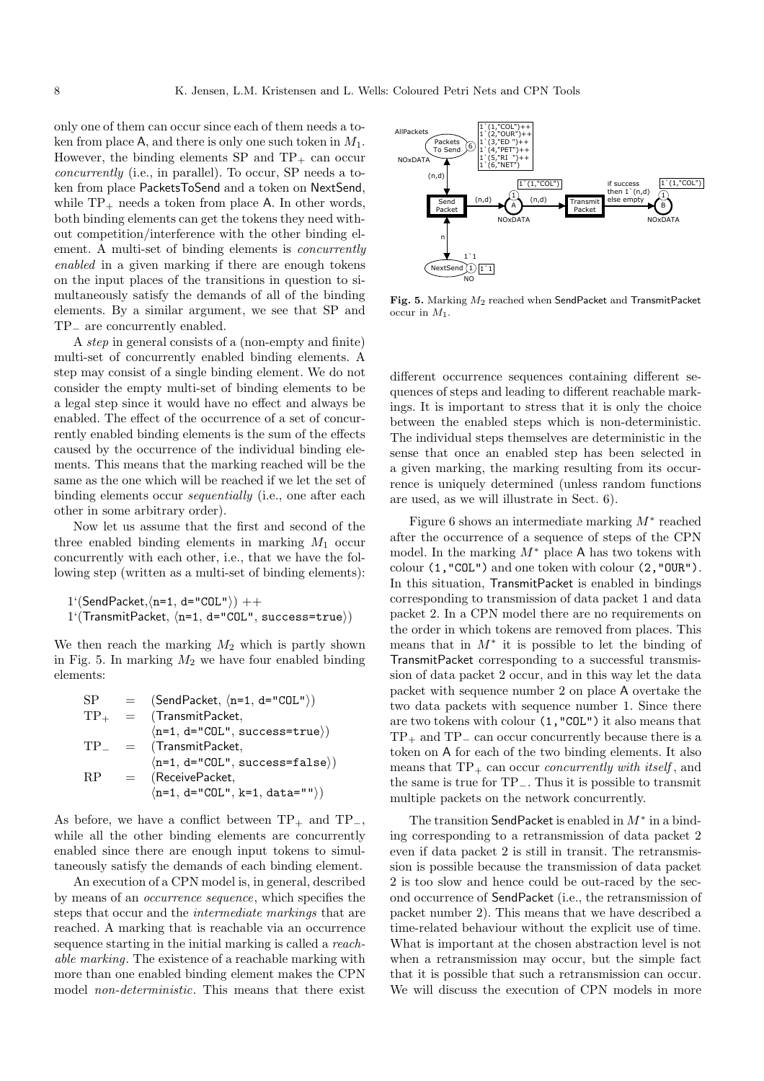only one of them can occur since each of them needs a token from place A, and there is only one such token in  $M_1$ . However, the binding elements  $SP$  and  $TP_{+}$  can occur concurrently (i.e., in parallel). To occur, SP needs a token from place PacketsToSend and a token on NextSend, while  $TP_+$  needs a token from place A. In other words, both binding elements can get the tokens they need without competition/interference with the other binding element. A multi-set of binding elements is concurrently enabled in a given marking if there are enough tokens on the input places of the transitions in question to simultaneously satisfy the demands of all of the binding elements. By a similar argument, we see that SP and TP<sub>-</sub> are concurrently enabled.

A step in general consists of a (non-empty and finite) multi-set of concurrently enabled binding elements. A step may consist of a single binding element. We do not consider the empty multi-set of binding elements to be a legal step since it would have no effect and always be enabled. The effect of the occurrence of a set of concurrently enabled binding elements is the sum of the effects caused by the occurrence of the individual binding elements. This means that the marking reached will be the same as the one which will be reached if we let the set of binding elements occur *sequentially* (i.e., one after each other in some arbitrary order).

Now let us assume that the first and second of the three enabled binding elements in marking  $M_1$  occur concurrently with each other, i.e., that we have the following step (written as a multi-set of binding elements):

```
1'(SendPacket.\langle n=1, d="COL") ++
1'(TransmitPacket, \langle n=1, d="COL", success=true \rangle)
```
We then reach the marking  $M_2$  which is partly shown in Fig. 5. In marking  $M_2$  we have four enabled binding elements:

$$
\begin{array}{lcl} \text{SP} & = & \text{(SendPacket, \langle n=1, \, d="COL")}) \\ \text{TP+} & = & \text{(TransmitPacket, } \\ & & \langle n=1, \, d="COL", \, success=true \rangle) \\ \text{TP-} & = & \text{(TransmitPacket, } \\ & & \langle n=1, \, d="COL", \, success=false \rangle) \\ \text{RP} & = & \text{(ReceivePacket, } \\ & & \langle n=1, \, d="COL", \, k=1, \, data="" \rangle) \end{array}
$$

As before, we have a conflict between  $TP_+$  and  $TP_-,$ while all the other binding elements are concurrently enabled since there are enough input tokens to simultaneously satisfy the demands of each binding element.

An execution of a CPN model is, in general, described by means of an occurrence sequence, which specifies the steps that occur and the intermediate markings that are reached. A marking that is reachable via an occurrence sequence starting in the initial marking is called a reachable marking. The existence of a reachable marking with more than one enabled binding element makes the CPN model non-deterministic. This means that there exist



Fig. 5. Marking M<sup>2</sup> reached when SendPacket and TransmitPacket occur in  $M_1$ .

different occurrence sequences containing different sequences of steps and leading to different reachable markings. It is important to stress that it is only the choice between the enabled steps which is non-deterministic. The individual steps themselves are deterministic in the sense that once an enabled step has been selected in a given marking, the marking resulting from its occurrence is uniquely determined (unless random functions are used, as we will illustrate in Sect. 6).

Figure 6 shows an intermediate marking  $M^*$  reached after the occurrence of a sequence of steps of the CPN model. In the marking  $M^*$  place A has two tokens with colour (1,"COL") and one token with colour (2,"OUR"). In this situation, TransmitPacket is enabled in bindings corresponding to transmission of data packet 1 and data packet 2. In a CPN model there are no requirements on the order in which tokens are removed from places. This means that in  $M^*$  it is possible to let the binding of TransmitPacket corresponding to a successful transmission of data packet 2 occur, and in this way let the data packet with sequence number 2 on place A overtake the two data packets with sequence number 1. Since there are two tokens with colour (1,"COL") it also means that  $TP_+$  and  $TP_$  can occur concurrently because there is a token on A for each of the two binding elements. It also means that  $TP_+$  can occur *concurrently with itself*, and the same is true for TP−. Thus it is possible to transmit multiple packets on the network concurrently.

The transition SendPacket is enabled in  $M^*$  in a binding corresponding to a retransmission of data packet 2 even if data packet 2 is still in transit. The retransmission is possible because the transmission of data packet 2 is too slow and hence could be out-raced by the second occurrence of SendPacket (i.e., the retransmission of packet number 2). This means that we have described a time-related behaviour without the explicit use of time. What is important at the chosen abstraction level is not when a retransmission may occur, but the simple fact that it is possible that such a retransmission can occur. We will discuss the execution of CPN models in more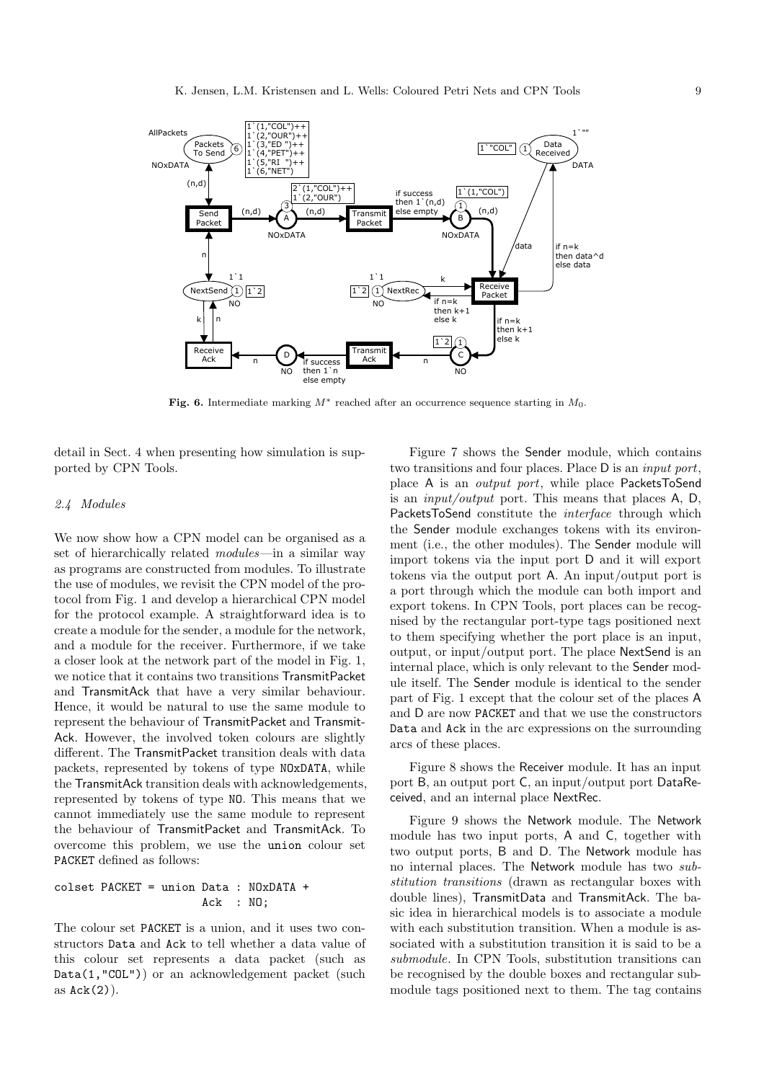

Fig. 6. Intermediate marking  $M^*$  reached after an occurrence sequence starting in  $M_0$ .

detail in Sect. 4 when presenting how simulation is supported by CPN Tools.

# 2.4 Modules

We now show how a CPN model can be organised as a set of hierarchically related modules—in a similar way as programs are constructed from modules. To illustrate the use of modules, we revisit the CPN model of the protocol from Fig. 1 and develop a hierarchical CPN model for the protocol example. A straightforward idea is to create a module for the sender, a module for the network, and a module for the receiver. Furthermore, if we take a closer look at the network part of the model in Fig. 1, we notice that it contains two transitions TransmitPacket and TransmitAck that have a very similar behaviour. Hence, it would be natural to use the same module to represent the behaviour of TransmitPacket and Transmit-Ack. However, the involved token colours are slightly different. The TransmitPacket transition deals with data packets, represented by tokens of type NOxDATA, while the TransmitAck transition deals with acknowledgements, represented by tokens of type NO. This means that we cannot immediately use the same module to represent the behaviour of TransmitPacket and TransmitAck. To overcome this problem, we use the union colour set PACKET defined as follows:

$$
colset PACKET = union Data : NOxDATA +
$$
  

$$
ACK : NO;
$$

The colour set PACKET is a union, and it uses two constructors Data and Ack to tell whether a data value of this colour set represents a data packet (such as Data(1,"COL")) or an acknowledgement packet (such as  $Ack(2)$ .

Figure 7 shows the Sender module, which contains two transitions and four places. Place D is an input port, place A is an output port, while place PacketsToSend is an input/output port. This means that places A, D, PacketsToSend constitute the *interface* through which the Sender module exchanges tokens with its environment (i.e., the other modules). The Sender module will import tokens via the input port D and it will export tokens via the output port A. An input/output port is a port through which the module can both import and export tokens. In CPN Tools, port places can be recognised by the rectangular port-type tags positioned next to them specifying whether the port place is an input, output, or input/output port. The place NextSend is an internal place, which is only relevant to the Sender module itself. The Sender module is identical to the sender part of Fig. 1 except that the colour set of the places A and D are now PACKET and that we use the constructors Data and Ack in the arc expressions on the surrounding arcs of these places.

Figure 8 shows the Receiver module. It has an input port B, an output port C, an input/output port DataReceived, and an internal place NextRec.

Figure 9 shows the Network module. The Network module has two input ports, A and C, together with two output ports, B and D. The Network module has no internal places. The Network module has two substitution transitions (drawn as rectangular boxes with double lines), TransmitData and TransmitAck. The basic idea in hierarchical models is to associate a module with each substitution transition. When a module is associated with a substitution transition it is said to be a submodule. In CPN Tools, substitution transitions can be recognised by the double boxes and rectangular submodule tags positioned next to them. The tag contains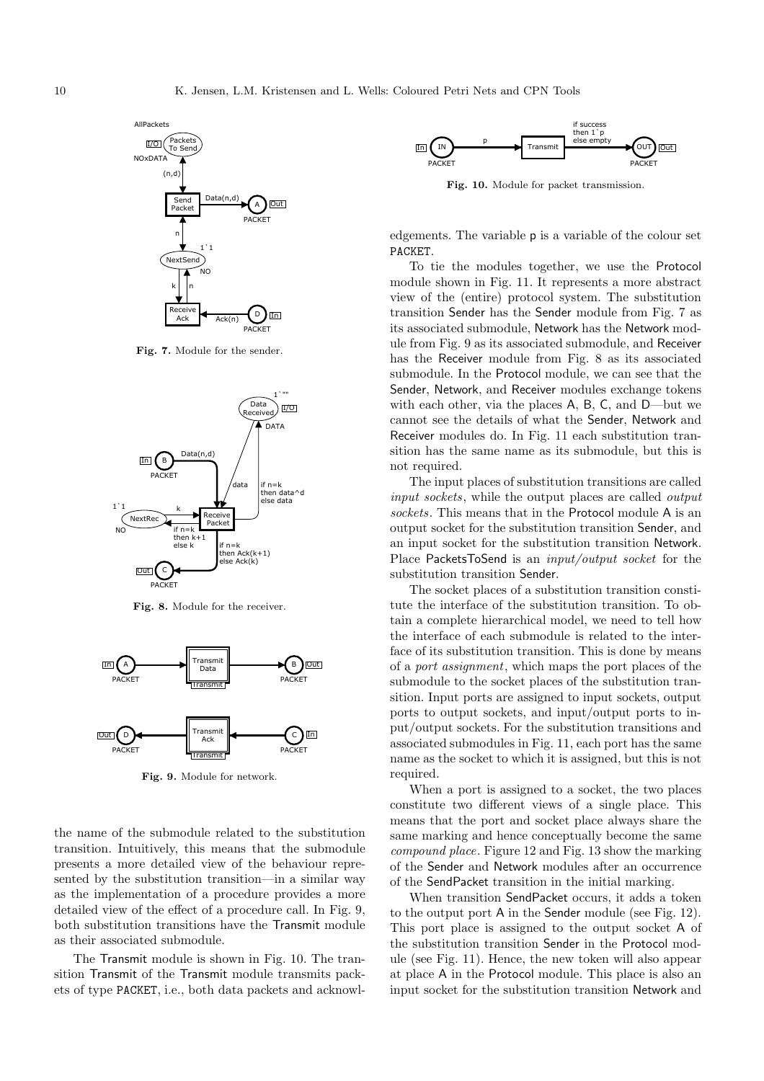

Fig. 7. Module for the sender.



Fig. 8. Module for the receiver.



Fig. 9. Module for network.

the name of the submodule related to the substitution transition. Intuitively, this means that the submodule presents a more detailed view of the behaviour represented by the substitution transition—in a similar way as the implementation of a procedure provides a more detailed view of the effect of a procedure call. In Fig. 9, both substitution transitions have the Transmit module as their associated submodule.

The Transmit module is shown in Fig. 10. The transition Transmit of the Transmit module transmits packets of type PACKET, i.e., both data packets and acknowl-



Fig. 10. Module for packet transmission.

edgements. The variable p is a variable of the colour set PACKET.

To tie the modules together, we use the Protocol module shown in Fig. 11. It represents a more abstract view of the (entire) protocol system. The substitution transition Sender has the Sender module from Fig. 7 as its associated submodule, Network has the Network module from Fig. 9 as its associated submodule, and Receiver has the Receiver module from Fig. 8 as its associated submodule. In the Protocol module, we can see that the Sender, Network, and Receiver modules exchange tokens with each other, via the places A, B, C, and D—but we cannot see the details of what the Sender, Network and Receiver modules do. In Fig. 11 each substitution transition has the same name as its submodule, but this is not required.

The input places of substitution transitions are called input sockets, while the output places are called output sockets. This means that in the Protocol module A is an output socket for the substitution transition Sender, and an input socket for the substitution transition Network. Place PacketsToSend is an *input/output socket* for the substitution transition Sender.

The socket places of a substitution transition constitute the interface of the substitution transition. To obtain a complete hierarchical model, we need to tell how the interface of each submodule is related to the interface of its substitution transition. This is done by means of a port assignment, which maps the port places of the submodule to the socket places of the substitution transition. Input ports are assigned to input sockets, output ports to output sockets, and input/output ports to input/output sockets. For the substitution transitions and associated submodules in Fig. 11, each port has the same name as the socket to which it is assigned, but this is not required.

When a port is assigned to a socket, the two places constitute two different views of a single place. This means that the port and socket place always share the same marking and hence conceptually become the same compound place. Figure 12 and Fig. 13 show the marking of the Sender and Network modules after an occurrence of the SendPacket transition in the initial marking.

When transition SendPacket occurs, it adds a token to the output port A in the Sender module (see Fig. 12). This port place is assigned to the output socket A of the substitution transition Sender in the Protocol module (see Fig. 11). Hence, the new token will also appear at place A in the Protocol module. This place is also an input socket for the substitution transition Network and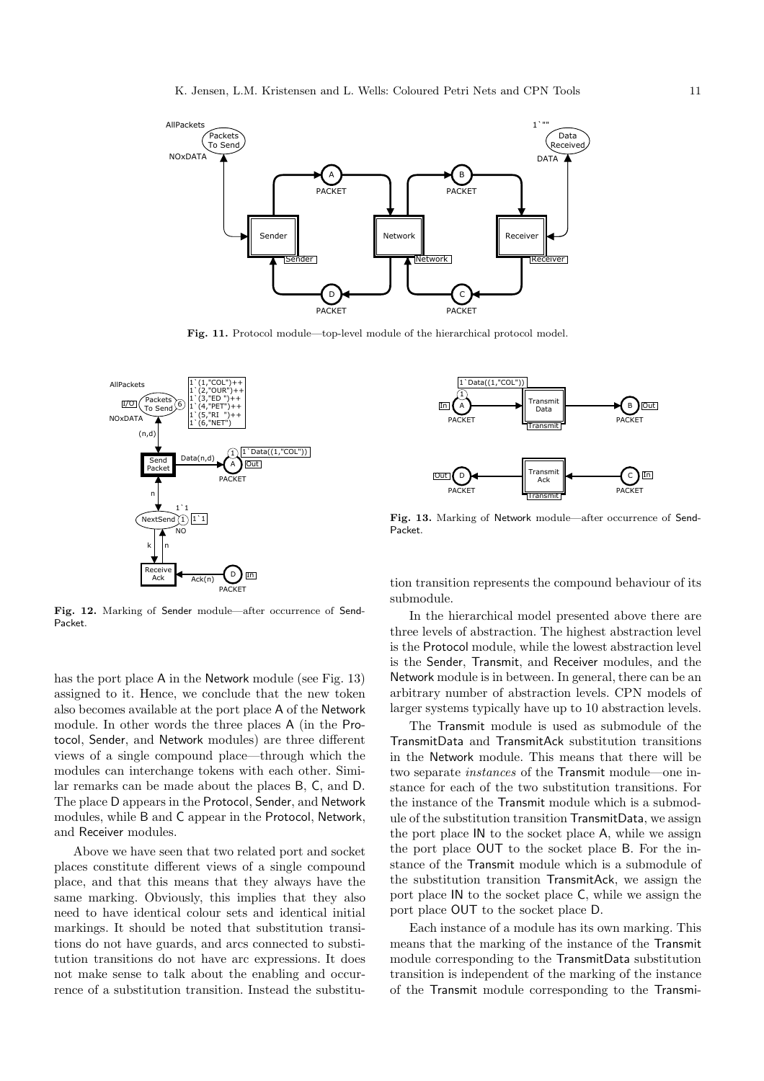

Fig. 11. Protocol module—top-level module of the hierarchical protocol model.



Fig. 12. Marking of Sender module—after occurrence of Send-Packet.

has the port place A in the Network module (see Fig. 13) assigned to it. Hence, we conclude that the new token also becomes available at the port place A of the Network module. In other words the three places A (in the Protocol, Sender, and Network modules) are three different views of a single compound place—through which the modules can interchange tokens with each other. Similar remarks can be made about the places B, C, and D. The place D appears in the Protocol, Sender, and Network modules, while B and C appear in the Protocol, Network, and Receiver modules.

Above we have seen that two related port and socket places constitute different views of a single compound place, and that this means that they always have the same marking. Obviously, this implies that they also need to have identical colour sets and identical initial markings. It should be noted that substitution transitions do not have guards, and arcs connected to substitution transitions do not have arc expressions. It does not make sense to talk about the enabling and occurrence of a substitution transition. Instead the substitu-



Fig. 13. Marking of Network module—after occurrence of Send-Packet.

tion transition represents the compound behaviour of its submodule.

In the hierarchical model presented above there are three levels of abstraction. The highest abstraction level is the Protocol module, while the lowest abstraction level is the Sender, Transmit, and Receiver modules, and the Network module is in between. In general, there can be an arbitrary number of abstraction levels. CPN models of larger systems typically have up to 10 abstraction levels.

The Transmit module is used as submodule of the TransmitData and TransmitAck substitution transitions in the Network module. This means that there will be two separate instances of the Transmit module—one instance for each of the two substitution transitions. For the instance of the Transmit module which is a submodule of the substitution transition TransmitData, we assign the port place IN to the socket place A, while we assign the port place OUT to the socket place B. For the instance of the Transmit module which is a submodule of the substitution transition TransmitAck, we assign the port place IN to the socket place C, while we assign the port place OUT to the socket place D.

Each instance of a module has its own marking. This means that the marking of the instance of the Transmit module corresponding to the TransmitData substitution transition is independent of the marking of the instance of the Transmit module corresponding to the Transmi-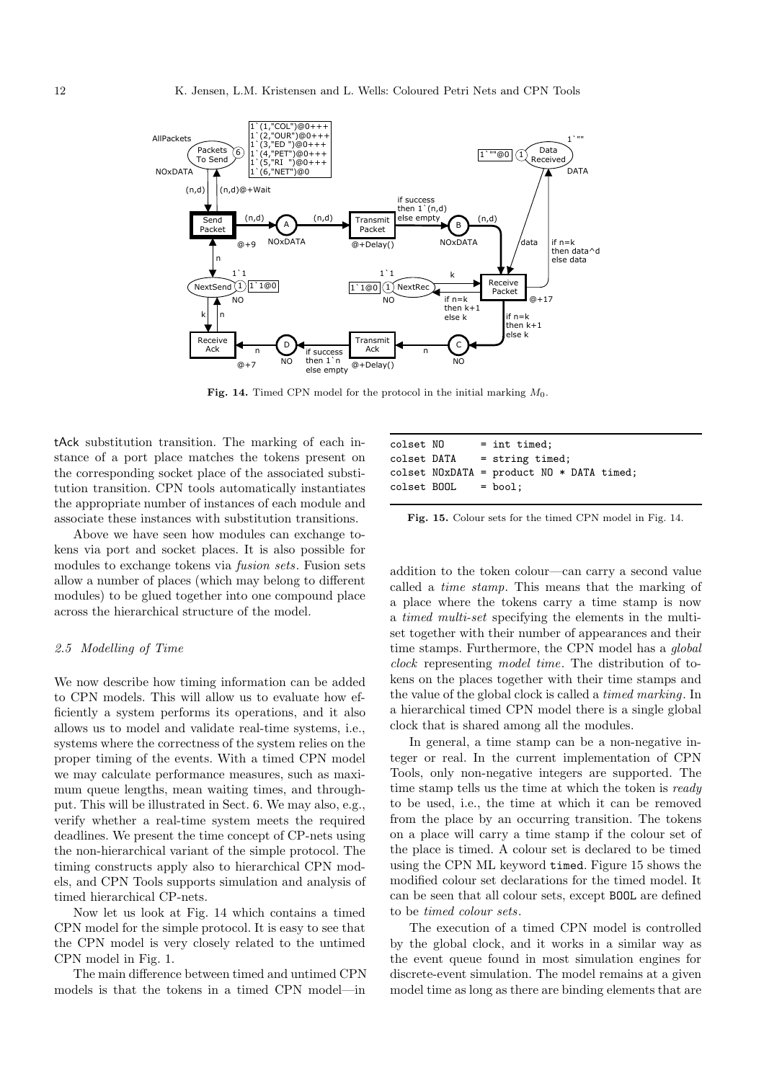

Fig. 14. Timed CPN model for the protocol in the initial marking  $M_0$ .

tAck substitution transition. The marking of each instance of a port place matches the tokens present on the corresponding socket place of the associated substitution transition. CPN tools automatically instantiates the appropriate number of instances of each module and associate these instances with substitution transitions.

Above we have seen how modules can exchange tokens via port and socket places. It is also possible for modules to exchange tokens via fusion sets. Fusion sets allow a number of places (which may belong to different modules) to be glued together into one compound place across the hierarchical structure of the model.

#### 2.5 Modelling of Time

We now describe how timing information can be added to CPN models. This will allow us to evaluate how efficiently a system performs its operations, and it also allows us to model and validate real-time systems, i.e., systems where the correctness of the system relies on the proper timing of the events. With a timed CPN model we may calculate performance measures, such as maximum queue lengths, mean waiting times, and throughput. This will be illustrated in Sect. 6. We may also, e.g., verify whether a real-time system meets the required deadlines. We present the time concept of CP-nets using the non-hierarchical variant of the simple protocol. The timing constructs apply also to hierarchical CPN models, and CPN Tools supports simulation and analysis of timed hierarchical CP-nets.

Now let us look at Fig. 14 which contains a timed CPN model for the simple protocol. It is easy to see that the CPN model is very closely related to the untimed CPN model in Fig. 1.

The main difference between timed and untimed CPN models is that the tokens in a timed CPN model—in

| colset NO |                         | $=$ int timed;                                |
|-----------|-------------------------|-----------------------------------------------|
|           |                         | colset DATA = string timed;                   |
|           |                         | $colset$ NOxDATA = product NO $*$ DATA timed; |
|           | $colset$ BOOL $=$ bool: |                                               |

Fig. 15. Colour sets for the timed CPN model in Fig. 14.

addition to the token colour—can carry a second value called a time stamp. This means that the marking of a place where the tokens carry a time stamp is now a timed multi-set specifying the elements in the multiset together with their number of appearances and their time stamps. Furthermore, the CPN model has a global clock representing model time. The distribution of tokens on the places together with their time stamps and the value of the global clock is called a timed marking. In a hierarchical timed CPN model there is a single global clock that is shared among all the modules.

In general, a time stamp can be a non-negative integer or real. In the current implementation of CPN Tools, only non-negative integers are supported. The time stamp tells us the time at which the token is ready to be used, i.e., the time at which it can be removed from the place by an occurring transition. The tokens on a place will carry a time stamp if the colour set of the place is timed. A colour set is declared to be timed using the CPN ML keyword timed. Figure 15 shows the modified colour set declarations for the timed model. It can be seen that all colour sets, except BOOL are defined to be timed colour sets.

The execution of a timed CPN model is controlled by the global clock, and it works in a similar way as the event queue found in most simulation engines for discrete-event simulation. The model remains at a given model time as long as there are binding elements that are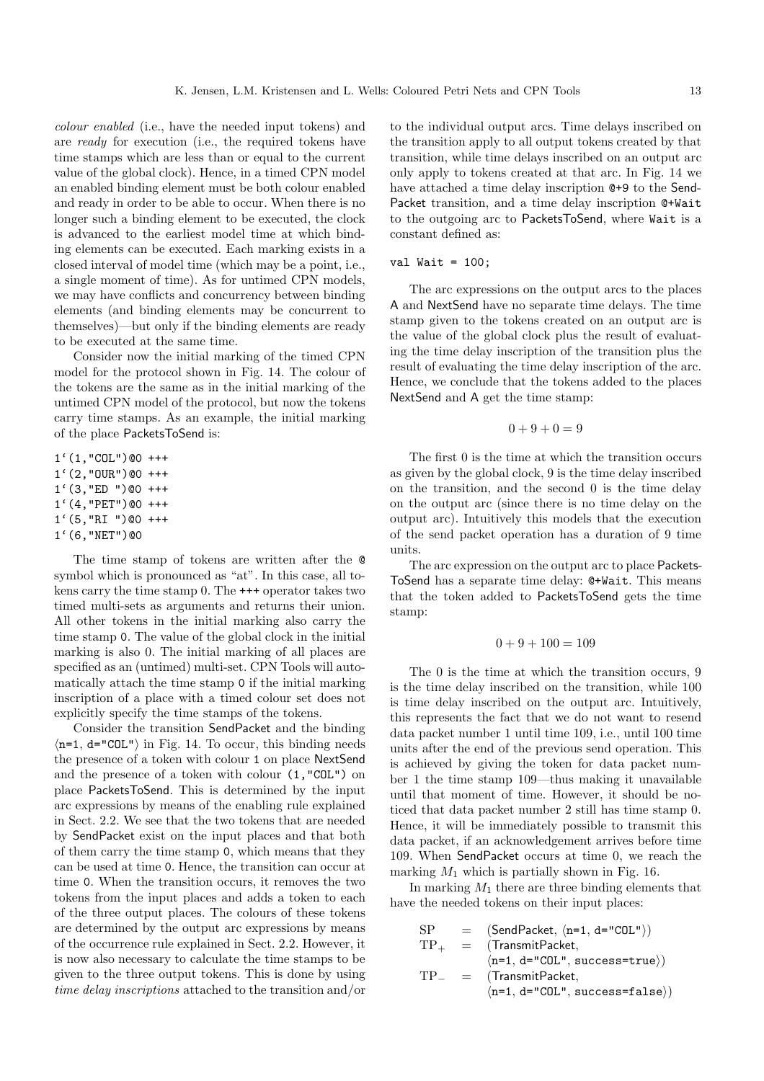colour enabled (i.e., have the needed input tokens) and are ready for execution (i.e., the required tokens have time stamps which are less than or equal to the current value of the global clock). Hence, in a timed CPN model an enabled binding element must be both colour enabled and ready in order to be able to occur. When there is no longer such a binding element to be executed, the clock is advanced to the earliest model time at which binding elements can be executed. Each marking exists in a closed interval of model time (which may be a point, i.e., a single moment of time). As for untimed CPN models, we may have conflicts and concurrency between binding elements (and binding elements may be concurrent to themselves)—but only if the binding elements are ready to be executed at the same time.

Consider now the initial marking of the timed CPN model for the protocol shown in Fig. 14. The colour of the tokens are the same as in the initial marking of the untimed CPN model of the protocol, but now the tokens carry time stamps. As an example, the initial marking of the place PacketsToSend is:

```
1'(1,"COL")@0 +++
1'(2,"OUR")@0 +++
1'(3."ED")@0 +++
1'(4,"PET")@0 +++
1'(5,'RI'')@0 +++
1'(6,"NET")@0
```
The time stamp of tokens are written after the @ symbol which is pronounced as "at". In this case, all tokens carry the time stamp 0. The +++ operator takes two timed multi-sets as arguments and returns their union. All other tokens in the initial marking also carry the time stamp 0. The value of the global clock in the initial marking is also 0. The initial marking of all places are specified as an (untimed) multi-set. CPN Tools will automatically attach the time stamp 0 if the initial marking inscription of a place with a timed colour set does not explicitly specify the time stamps of the tokens.

Consider the transition SendPacket and the binding  $\langle n=1, d= "COL" \rangle$  in Fig. 14. To occur, this binding needs the presence of a token with colour 1 on place NextSend and the presence of a token with colour (1,"COL") on place PacketsToSend. This is determined by the input arc expressions by means of the enabling rule explained in Sect. 2.2. We see that the two tokens that are needed by SendPacket exist on the input places and that both of them carry the time stamp 0, which means that they can be used at time 0. Hence, the transition can occur at time 0. When the transition occurs, it removes the two tokens from the input places and adds a token to each of the three output places. The colours of these tokens are determined by the output arc expressions by means of the occurrence rule explained in Sect. 2.2. However, it is now also necessary to calculate the time stamps to be given to the three output tokens. This is done by using time delay inscriptions attached to the transition and/or to the individual output arcs. Time delays inscribed on the transition apply to all output tokens created by that transition, while time delays inscribed on an output arc only apply to tokens created at that arc. In Fig. 14 we have attached a time delay inscription @+9 to the Send-Packet transition, and a time delay inscription @+Wait to the outgoing arc to PacketsToSend, where Wait is a constant defined as:

val Wait =  $100$ ;

The arc expressions on the output arcs to the places A and NextSend have no separate time delays. The time stamp given to the tokens created on an output arc is the value of the global clock plus the result of evaluating the time delay inscription of the transition plus the result of evaluating the time delay inscription of the arc. Hence, we conclude that the tokens added to the places NextSend and A get the time stamp:

$$
0+9+0=9
$$

The first 0 is the time at which the transition occurs as given by the global clock, 9 is the time delay inscribed on the transition, and the second 0 is the time delay on the output arc (since there is no time delay on the output arc). Intuitively this models that the execution of the send packet operation has a duration of 9 time units.

The arc expression on the output arc to place Packets-ToSend has a separate time delay: @+Wait. This means that the token added to PacketsToSend gets the time stamp:

$$
0 + 9 + 100 = 109
$$

The 0 is the time at which the transition occurs, 9 is the time delay inscribed on the transition, while 100 is time delay inscribed on the output arc. Intuitively, this represents the fact that we do not want to resend data packet number 1 until time 109, i.e., until 100 time units after the end of the previous send operation. This is achieved by giving the token for data packet number 1 the time stamp 109—thus making it unavailable until that moment of time. However, it should be noticed that data packet number 2 still has time stamp 0. Hence, it will be immediately possible to transmit this data packet, if an acknowledgement arrives before time 109. When SendPacket occurs at time 0, we reach the marking  $M_1$  which is partially shown in Fig. 16.

In marking  $M_1$  there are three binding elements that have the needed tokens on their input places:

| SP         | $=$ | $(SendPacket, \langle n=1, d="COL")$           |
|------------|-----|------------------------------------------------|
| $TP_{+}$ = |     | (TransmitPacket,                               |
|            |     | $\langle n=1, d="COL", success=true \rangle)$  |
| TP -       | $=$ | (TransmitPacket,                               |
|            |     | $\langle n=1, d="COL", success=False \rangle)$ |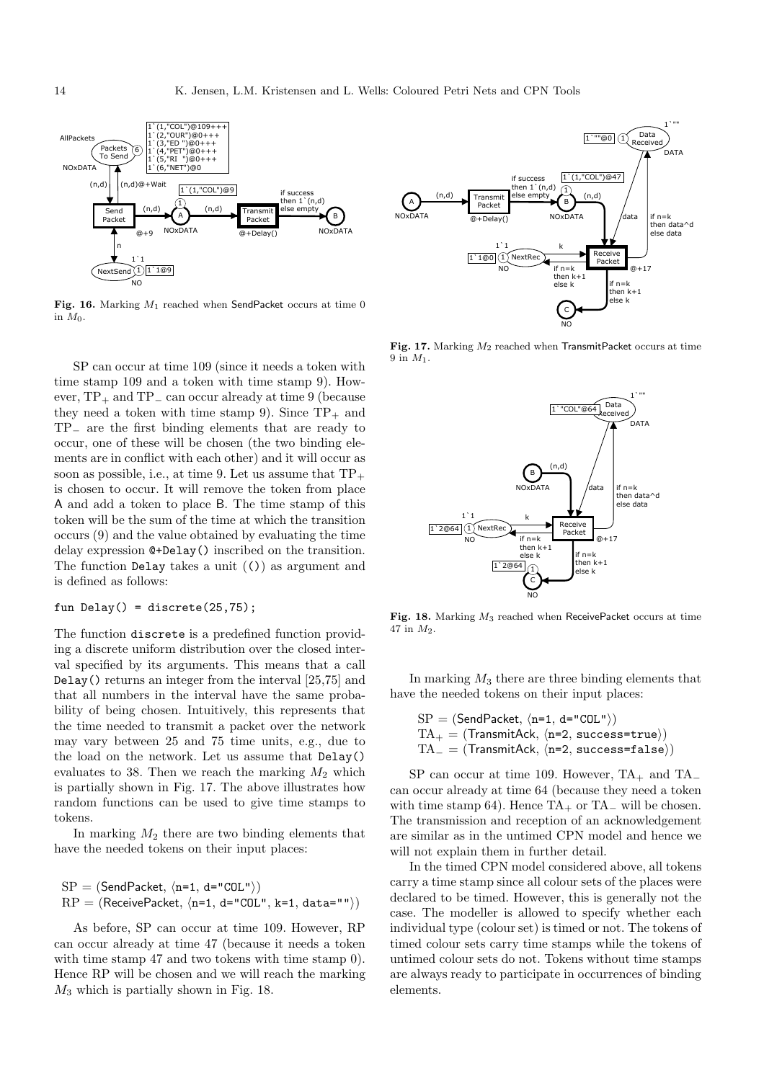

Fig. 16. Marking  $M_1$  reached when SendPacket occurs at time 0 in  $M_0$ .

SP can occur at time 109 (since it needs a token with time stamp 109 and a token with time stamp 9). However,  $TP_+$  and  $TP_$  can occur already at time 9 (because they need a token with time stamp 9). Since  $TP_+$  and TP− are the first binding elements that are ready to occur, one of these will be chosen (the two binding elements are in conflict with each other) and it will occur as soon as possible, i.e., at time 9. Let us assume that  $TP_+$ is chosen to occur. It will remove the token from place A and add a token to place B. The time stamp of this token will be the sum of the time at which the transition occurs (9) and the value obtained by evaluating the time delay expression @+Delay() inscribed on the transition. The function Delay takes a unit (()) as argument and is defined as follows:

#### fun Delay() = discrete $(25, 75)$ ;

The function discrete is a predefined function providing a discrete uniform distribution over the closed interval specified by its arguments. This means that a call Delay() returns an integer from the interval [25,75] and that all numbers in the interval have the same probability of being chosen. Intuitively, this represents that the time needed to transmit a packet over the network may vary between 25 and 75 time units, e.g., due to the load on the network. Let us assume that Delay() evaluates to 38. Then we reach the marking  $M_2$  which is partially shown in Fig. 17. The above illustrates how random functions can be used to give time stamps to tokens.

In marking  $M_2$  there are two binding elements that have the needed tokens on their input places:

$$
SP = (SendPacket, \langle n=1, d="COL"\rangle)
$$
  
RP = (ReceivePacket, \langle n=1, d="COL", k=1, data="")

As before, SP can occur at time 109. However, RP can occur already at time 47 (because it needs a token with time stamp 47 and two tokens with time stamp 0). Hence RP will be chosen and we will reach the marking  $M_3$  which is partially shown in Fig. 18.



Fig. 17. Marking  $M_2$  reached when TransmitPacket occurs at time  $9$  in  $M_1$ .



Fig. 18. Marking  $M_3$  reached when ReceivePacket occurs at time 47 in  $M_2$ .

In marking  $M_3$  there are three binding elements that have the needed tokens on their input places:

$$
SP = (SendPacket, \langle n=1, d="COL"\rangle)
$$
  

$$
TA_{+} = (Transmit Ack, \langle n=2, success=true \rangle)
$$
  

$$
TA_{-} = (Transmit Ack, \langle n=2, success=False \rangle)
$$

SP can occur at time 109. However,  $TA_+$  and  $TA_$ can occur already at time 64 (because they need a token with time stamp 64). Hence  $TA_+$  or  $TA_-\$  will be chosen. The transmission and reception of an acknowledgement are similar as in the untimed CPN model and hence we will not explain them in further detail.

In the timed CPN model considered above, all tokens carry a time stamp since all colour sets of the places were declared to be timed. However, this is generally not the case. The modeller is allowed to specify whether each individual type (colour set) is timed or not. The tokens of timed colour sets carry time stamps while the tokens of untimed colour sets do not. Tokens without time stamps are always ready to participate in occurrences of binding elements.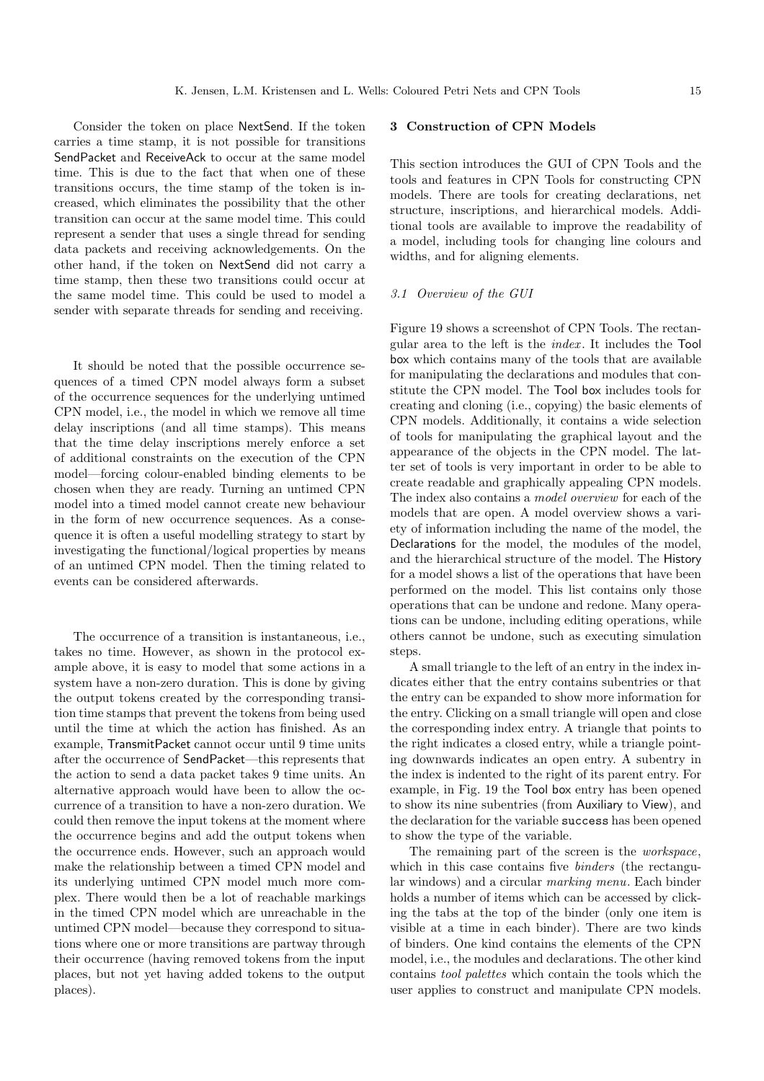Consider the token on place NextSend. If the token carries a time stamp, it is not possible for transitions SendPacket and ReceiveAck to occur at the same model time. This is due to the fact that when one of these transitions occurs, the time stamp of the token is increased, which eliminates the possibility that the other transition can occur at the same model time. This could represent a sender that uses a single thread for sending data packets and receiving acknowledgements. On the other hand, if the token on NextSend did not carry a time stamp, then these two transitions could occur at the same model time. This could be used to model a sender with separate threads for sending and receiving.

It should be noted that the possible occurrence sequences of a timed CPN model always form a subset of the occurrence sequences for the underlying untimed CPN model, i.e., the model in which we remove all time delay inscriptions (and all time stamps). This means that the time delay inscriptions merely enforce a set of additional constraints on the execution of the CPN model—forcing colour-enabled binding elements to be chosen when they are ready. Turning an untimed CPN model into a timed model cannot create new behaviour in the form of new occurrence sequences. As a consequence it is often a useful modelling strategy to start by investigating the functional/logical properties by means of an untimed CPN model. Then the timing related to events can be considered afterwards.

The occurrence of a transition is instantaneous, i.e., takes no time. However, as shown in the protocol example above, it is easy to model that some actions in a system have a non-zero duration. This is done by giving the output tokens created by the corresponding transition time stamps that prevent the tokens from being used until the time at which the action has finished. As an example, TransmitPacket cannot occur until 9 time units after the occurrence of SendPacket—this represents that the action to send a data packet takes 9 time units. An alternative approach would have been to allow the occurrence of a transition to have a non-zero duration. We could then remove the input tokens at the moment where the occurrence begins and add the output tokens when the occurrence ends. However, such an approach would make the relationship between a timed CPN model and its underlying untimed CPN model much more complex. There would then be a lot of reachable markings in the timed CPN model which are unreachable in the untimed CPN model—because they correspond to situations where one or more transitions are partway through their occurrence (having removed tokens from the input places, but not yet having added tokens to the output places).

# 3 Construction of CPN Models

This section introduces the GUI of CPN Tools and the tools and features in CPN Tools for constructing CPN models. There are tools for creating declarations, net structure, inscriptions, and hierarchical models. Additional tools are available to improve the readability of a model, including tools for changing line colours and widths, and for aligning elements.

#### 3.1 Overview of the GUI

Figure 19 shows a screenshot of CPN Tools. The rectangular area to the left is the index . It includes the Tool box which contains many of the tools that are available for manipulating the declarations and modules that constitute the CPN model. The Tool box includes tools for creating and cloning (i.e., copying) the basic elements of CPN models. Additionally, it contains a wide selection of tools for manipulating the graphical layout and the appearance of the objects in the CPN model. The latter set of tools is very important in order to be able to create readable and graphically appealing CPN models. The index also contains a model overview for each of the models that are open. A model overview shows a variety of information including the name of the model, the Declarations for the model, the modules of the model, and the hierarchical structure of the model. The History for a model shows a list of the operations that have been performed on the model. This list contains only those operations that can be undone and redone. Many operations can be undone, including editing operations, while others cannot be undone, such as executing simulation steps.

A small triangle to the left of an entry in the index indicates either that the entry contains subentries or that the entry can be expanded to show more information for the entry. Clicking on a small triangle will open and close the corresponding index entry. A triangle that points to the right indicates a closed entry, while a triangle pointing downwards indicates an open entry. A subentry in the index is indented to the right of its parent entry. For example, in Fig. 19 the Tool box entry has been opened to show its nine subentries (from Auxiliary to View), and the declaration for the variable success has been opened to show the type of the variable.

The remaining part of the screen is the workspace, which in this case contains five *binders* (the rectangular windows) and a circular marking menu. Each binder holds a number of items which can be accessed by clicking the tabs at the top of the binder (only one item is visible at a time in each binder). There are two kinds of binders. One kind contains the elements of the CPN model, i.e., the modules and declarations. The other kind contains tool palettes which contain the tools which the user applies to construct and manipulate CPN models.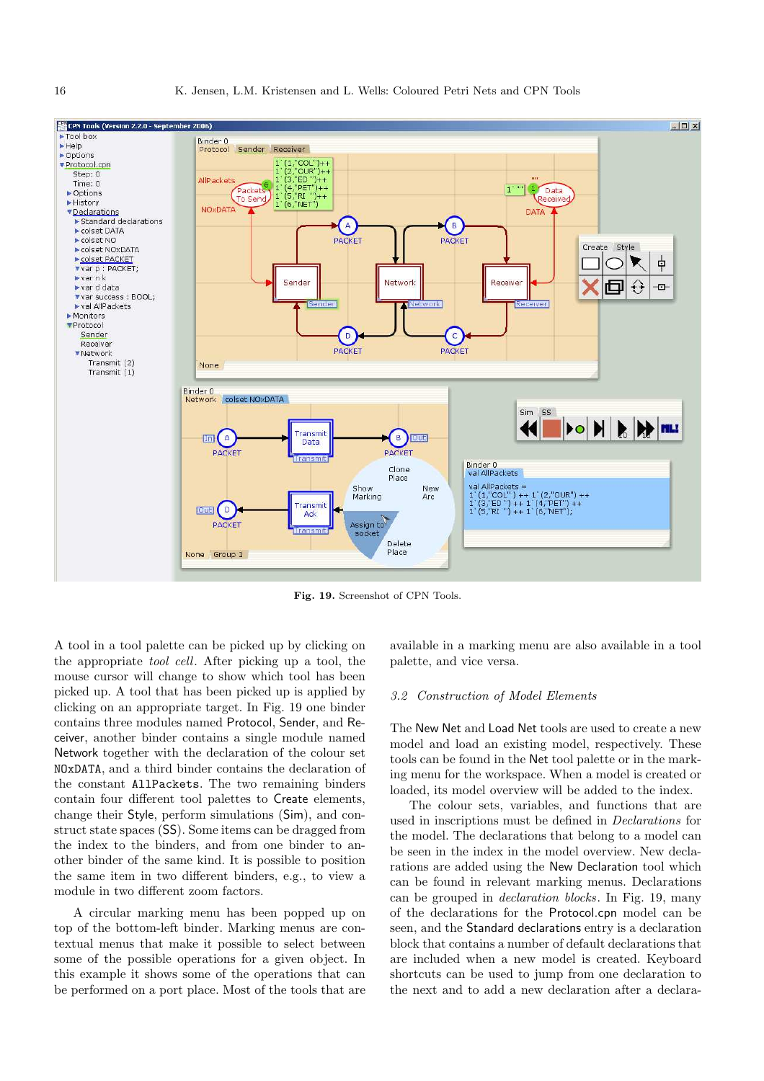

Fig. 19. Screenshot of CPN Tools.

A tool in a tool palette can be picked up by clicking on the appropriate tool cell. After picking up a tool, the mouse cursor will change to show which tool has been picked up. A tool that has been picked up is applied by clicking on an appropriate target. In Fig. 19 one binder contains three modules named Protocol, Sender, and Receiver, another binder contains a single module named Network together with the declaration of the colour set NOxDATA, and a third binder contains the declaration of the constant AllPackets. The two remaining binders contain four different tool palettes to Create elements, change their Style, perform simulations (Sim), and construct state spaces (SS). Some items can be dragged from the index to the binders, and from one binder to another binder of the same kind. It is possible to position the same item in two different binders, e.g., to view a module in two different zoom factors.

A circular marking menu has been popped up on top of the bottom-left binder. Marking menus are contextual menus that make it possible to select between some of the possible operations for a given object. In this example it shows some of the operations that can be performed on a port place. Most of the tools that are available in a marking menu are also available in a tool palette, and vice versa.

## 3.2 Construction of Model Elements

The New Net and Load Net tools are used to create a new model and load an existing model, respectively. These tools can be found in the Net tool palette or in the marking menu for the workspace. When a model is created or loaded, its model overview will be added to the index.

The colour sets, variables, and functions that are used in inscriptions must be defined in Declarations for the model. The declarations that belong to a model can be seen in the index in the model overview. New declarations are added using the New Declaration tool which can be found in relevant marking menus. Declarations can be grouped in declaration blocks. In Fig. 19, many of the declarations for the Protocol.cpn model can be seen, and the Standard declarations entry is a declaration block that contains a number of default declarations that are included when a new model is created. Keyboard shortcuts can be used to jump from one declaration to the next and to add a new declaration after a declara-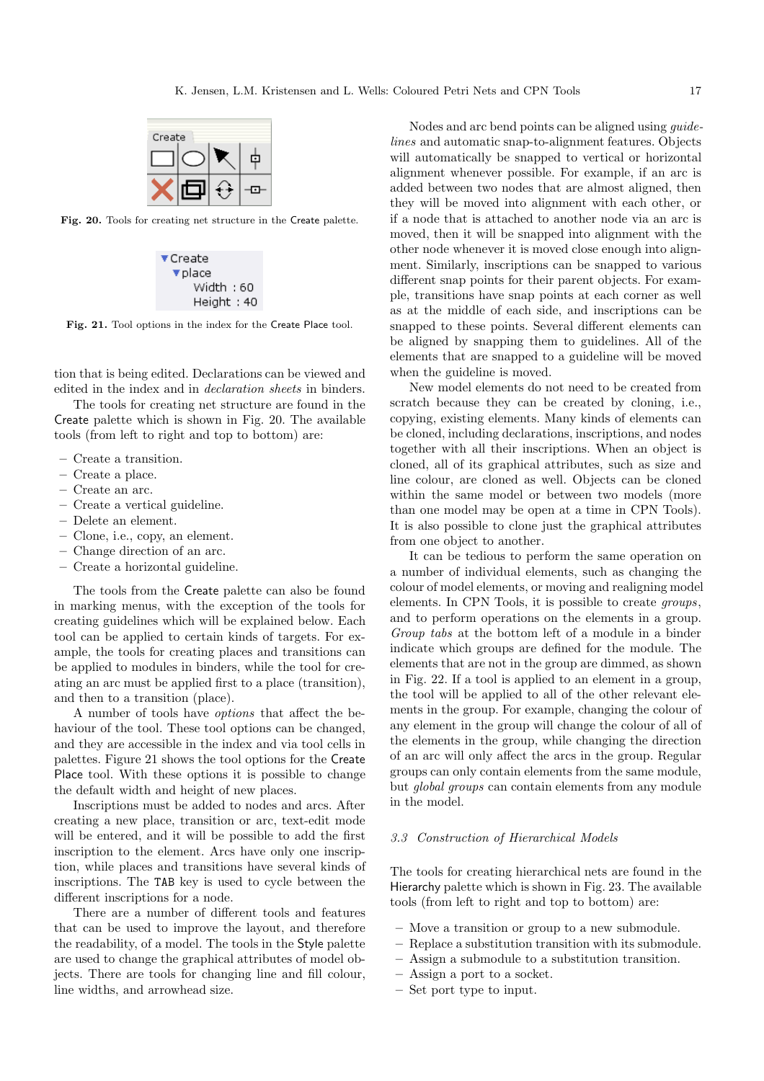

Fig. 20. Tools for creating net structure in the Create palette.



Fig. 21. Tool options in the index for the Create Place tool.

tion that is being edited. Declarations can be viewed and edited in the index and in declaration sheets in binders.

The tools for creating net structure are found in the Create palette which is shown in Fig. 20. The available tools (from left to right and top to bottom) are:

- Create a transition.
- Create a place.
- Create an arc.
- Create a vertical guideline.
- Delete an element.
- Clone, i.e., copy, an element.
- Change direction of an arc.
- Create a horizontal guideline.

The tools from the Create palette can also be found in marking menus, with the exception of the tools for creating guidelines which will be explained below. Each tool can be applied to certain kinds of targets. For example, the tools for creating places and transitions can be applied to modules in binders, while the tool for creating an arc must be applied first to a place (transition), and then to a transition (place).

A number of tools have options that affect the behaviour of the tool. These tool options can be changed, and they are accessible in the index and via tool cells in palettes. Figure 21 shows the tool options for the Create Place tool. With these options it is possible to change the default width and height of new places.

Inscriptions must be added to nodes and arcs. After creating a new place, transition or arc, text-edit mode will be entered, and it will be possible to add the first inscription to the element. Arcs have only one inscription, while places and transitions have several kinds of inscriptions. The TAB key is used to cycle between the different inscriptions for a node.

There are a number of different tools and features that can be used to improve the layout, and therefore the readability, of a model. The tools in the Style palette are used to change the graphical attributes of model objects. There are tools for changing line and fill colour, line widths, and arrowhead size.

Nodes and arc bend points can be aligned using guidelines and automatic snap-to-alignment features. Objects will automatically be snapped to vertical or horizontal alignment whenever possible. For example, if an arc is added between two nodes that are almost aligned, then they will be moved into alignment with each other, or if a node that is attached to another node via an arc is moved, then it will be snapped into alignment with the other node whenever it is moved close enough into alignment. Similarly, inscriptions can be snapped to various different snap points for their parent objects. For example, transitions have snap points at each corner as well as at the middle of each side, and inscriptions can be snapped to these points. Several different elements can be aligned by snapping them to guidelines. All of the elements that are snapped to a guideline will be moved when the guideline is moved.

New model elements do not need to be created from scratch because they can be created by cloning, i.e., copying, existing elements. Many kinds of elements can be cloned, including declarations, inscriptions, and nodes together with all their inscriptions. When an object is cloned, all of its graphical attributes, such as size and line colour, are cloned as well. Objects can be cloned within the same model or between two models (more than one model may be open at a time in CPN Tools). It is also possible to clone just the graphical attributes from one object to another.

It can be tedious to perform the same operation on a number of individual elements, such as changing the colour of model elements, or moving and realigning model elements. In CPN Tools, it is possible to create groups, and to perform operations on the elements in a group. Group tabs at the bottom left of a module in a binder indicate which groups are defined for the module. The elements that are not in the group are dimmed, as shown in Fig. 22. If a tool is applied to an element in a group, the tool will be applied to all of the other relevant elements in the group. For example, changing the colour of any element in the group will change the colour of all of the elements in the group, while changing the direction of an arc will only affect the arcs in the group. Regular groups can only contain elements from the same module, but global groups can contain elements from any module in the model.

## 3.3 Construction of Hierarchical Models

The tools for creating hierarchical nets are found in the Hierarchy palette which is shown in Fig. 23. The available tools (from left to right and top to bottom) are:

- Move a transition or group to a new submodule.
- Replace a substitution transition with its submodule.
- Assign a submodule to a substitution transition.
- Assign a port to a socket.
- Set port type to input.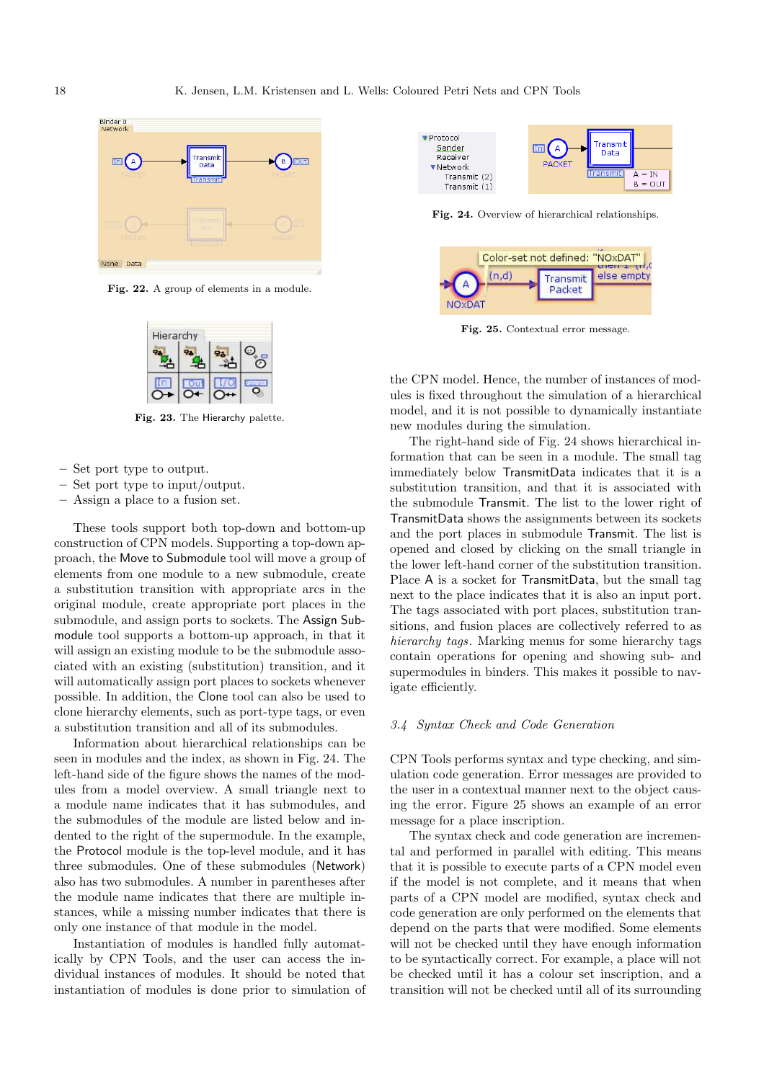

Fig. 22. A group of elements in a module.

| Hierarchy |  |  |
|-----------|--|--|
|           |  |  |
|           |  |  |

Fig. 23. The Hierarchy palette.

- Set port type to output.
- Set port type to input/output.
- Assign a place to a fusion set.

These tools support both top-down and bottom-up construction of CPN models. Supporting a top-down approach, the Move to Submodule tool will move a group of elements from one module to a new submodule, create a substitution transition with appropriate arcs in the original module, create appropriate port places in the submodule, and assign ports to sockets. The Assign Submodule tool supports a bottom-up approach, in that it will assign an existing module to be the submodule associated with an existing (substitution) transition, and it will automatically assign port places to sockets whenever possible. In addition, the Clone tool can also be used to clone hierarchy elements, such as port-type tags, or even a substitution transition and all of its submodules.

Information about hierarchical relationships can be seen in modules and the index, as shown in Fig. 24. The left-hand side of the figure shows the names of the modules from a model overview. A small triangle next to a module name indicates that it has submodules, and the submodules of the module are listed below and indented to the right of the supermodule. In the example, the Protocol module is the top-level module, and it has three submodules. One of these submodules (Network) also has two submodules. A number in parentheses after the module name indicates that there are multiple instances, while a missing number indicates that there is only one instance of that module in the model.

Instantiation of modules is handled fully automatically by CPN Tools, and the user can access the individual instances of modules. It should be noted that instantiation of modules is done prior to simulation of



Fig. 24. Overview of hierarchical relationships.



Fig. 25. Contextual error message.

the CPN model. Hence, the number of instances of modules is fixed throughout the simulation of a hierarchical model, and it is not possible to dynamically instantiate new modules during the simulation.

The right-hand side of Fig. 24 shows hierarchical information that can be seen in a module. The small tag immediately below TransmitData indicates that it is a substitution transition, and that it is associated with the submodule Transmit. The list to the lower right of TransmitData shows the assignments between its sockets and the port places in submodule Transmit. The list is opened and closed by clicking on the small triangle in the lower left-hand corner of the substitution transition. Place A is a socket for TransmitData, but the small tag next to the place indicates that it is also an input port. The tags associated with port places, substitution transitions, and fusion places are collectively referred to as hierarchy tags. Marking menus for some hierarchy tags contain operations for opening and showing sub- and supermodules in binders. This makes it possible to navigate efficiently.

# 3.4 Syntax Check and Code Generation

CPN Tools performs syntax and type checking, and simulation code generation. Error messages are provided to the user in a contextual manner next to the object causing the error. Figure 25 shows an example of an error message for a place inscription.

The syntax check and code generation are incremental and performed in parallel with editing. This means that it is possible to execute parts of a CPN model even if the model is not complete, and it means that when parts of a CPN model are modified, syntax check and code generation are only performed on the elements that depend on the parts that were modified. Some elements will not be checked until they have enough information to be syntactically correct. For example, a place will not be checked until it has a colour set inscription, and a transition will not be checked until all of its surrounding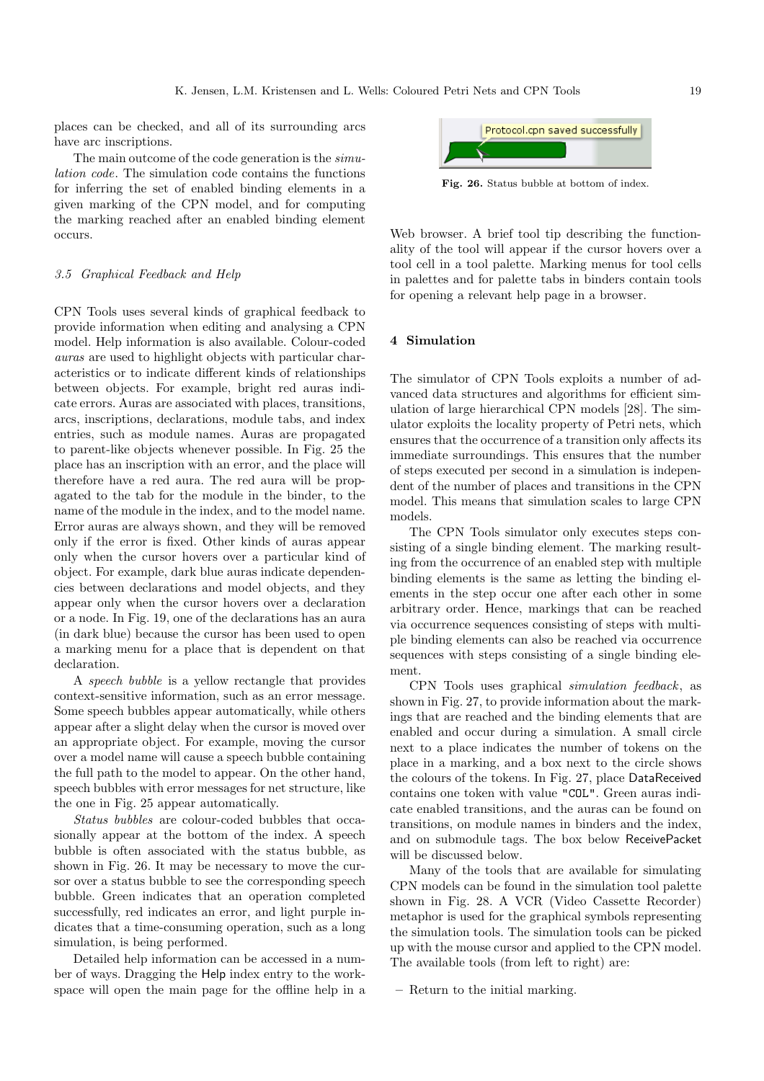places can be checked, and all of its surrounding arcs have arc inscriptions.

The main outcome of the code generation is the *simu*lation code. The simulation code contains the functions for inferring the set of enabled binding elements in a given marking of the CPN model, and for computing the marking reached after an enabled binding element occurs.

#### 3.5 Graphical Feedback and Help

CPN Tools uses several kinds of graphical feedback to provide information when editing and analysing a CPN model. Help information is also available. Colour-coded auras are used to highlight objects with particular characteristics or to indicate different kinds of relationships between objects. For example, bright red auras indicate errors. Auras are associated with places, transitions, arcs, inscriptions, declarations, module tabs, and index entries, such as module names. Auras are propagated to parent-like objects whenever possible. In Fig. 25 the place has an inscription with an error, and the place will therefore have a red aura. The red aura will be propagated to the tab for the module in the binder, to the name of the module in the index, and to the model name. Error auras are always shown, and they will be removed only if the error is fixed. Other kinds of auras appear only when the cursor hovers over a particular kind of object. For example, dark blue auras indicate dependencies between declarations and model objects, and they appear only when the cursor hovers over a declaration or a node. In Fig. 19, one of the declarations has an aura (in dark blue) because the cursor has been used to open a marking menu for a place that is dependent on that declaration.

A speech bubble is a yellow rectangle that provides context-sensitive information, such as an error message. Some speech bubbles appear automatically, while others appear after a slight delay when the cursor is moved over an appropriate object. For example, moving the cursor over a model name will cause a speech bubble containing the full path to the model to appear. On the other hand, speech bubbles with error messages for net structure, like the one in Fig. 25 appear automatically.

Status bubbles are colour-coded bubbles that occasionally appear at the bottom of the index. A speech bubble is often associated with the status bubble, as shown in Fig. 26. It may be necessary to move the cursor over a status bubble to see the corresponding speech bubble. Green indicates that an operation completed successfully, red indicates an error, and light purple indicates that a time-consuming operation, such as a long simulation, is being performed.

Detailed help information can be accessed in a number of ways. Dragging the Help index entry to the workspace will open the main page for the offline help in a



Fig. 26. Status bubble at bottom of index.

Web browser. A brief tool tip describing the functionality of the tool will appear if the cursor hovers over a tool cell in a tool palette. Marking menus for tool cells in palettes and for palette tabs in binders contain tools for opening a relevant help page in a browser.

#### 4 Simulation

The simulator of CPN Tools exploits a number of advanced data structures and algorithms for efficient simulation of large hierarchical CPN models [28]. The simulator exploits the locality property of Petri nets, which ensures that the occurrence of a transition only affects its immediate surroundings. This ensures that the number of steps executed per second in a simulation is independent of the number of places and transitions in the CPN model. This means that simulation scales to large CPN models.

The CPN Tools simulator only executes steps consisting of a single binding element. The marking resulting from the occurrence of an enabled step with multiple binding elements is the same as letting the binding elements in the step occur one after each other in some arbitrary order. Hence, markings that can be reached via occurrence sequences consisting of steps with multiple binding elements can also be reached via occurrence sequences with steps consisting of a single binding element.

CPN Tools uses graphical simulation feedback, as shown in Fig. 27, to provide information about the markings that are reached and the binding elements that are enabled and occur during a simulation. A small circle next to a place indicates the number of tokens on the place in a marking, and a box next to the circle shows the colours of the tokens. In Fig. 27, place DataReceived contains one token with value "COL". Green auras indicate enabled transitions, and the auras can be found on transitions, on module names in binders and the index, and on submodule tags. The box below ReceivePacket will be discussed below.

Many of the tools that are available for simulating CPN models can be found in the simulation tool palette shown in Fig. 28. A VCR (Video Cassette Recorder) metaphor is used for the graphical symbols representing the simulation tools. The simulation tools can be picked up with the mouse cursor and applied to the CPN model. The available tools (from left to right) are:

– Return to the initial marking.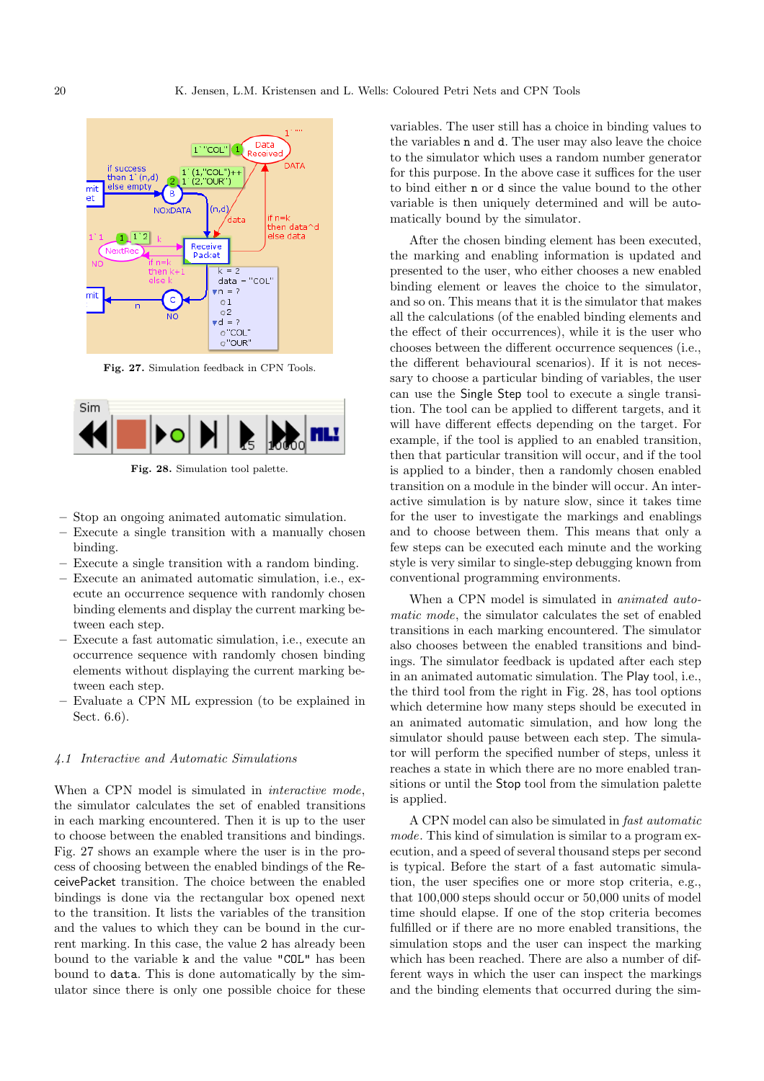

Fig. 27. Simulation feedback in CPN Tools.



Fig. 28. Simulation tool palette.

- Stop an ongoing animated automatic simulation.
- Execute a single transition with a manually chosen binding.
- Execute a single transition with a random binding.
- Execute an animated automatic simulation, i.e., execute an occurrence sequence with randomly chosen binding elements and display the current marking between each step.
- Execute a fast automatic simulation, i.e., execute an occurrence sequence with randomly chosen binding elements without displaying the current marking between each step.
- Evaluate a CPN ML expression (to be explained in Sect. 6.6).

#### 4.1 Interactive and Automatic Simulations

When a CPN model is simulated in *interactive mode*, the simulator calculates the set of enabled transitions in each marking encountered. Then it is up to the user to choose between the enabled transitions and bindings. Fig. 27 shows an example where the user is in the process of choosing between the enabled bindings of the ReceivePacket transition. The choice between the enabled bindings is done via the rectangular box opened next to the transition. It lists the variables of the transition and the values to which they can be bound in the current marking. In this case, the value 2 has already been bound to the variable k and the value "COL" has been bound to data. This is done automatically by the simulator since there is only one possible choice for these variables. The user still has a choice in binding values to the variables n and d. The user may also leave the choice to the simulator which uses a random number generator for this purpose. In the above case it suffices for the user to bind either n or d since the value bound to the other variable is then uniquely determined and will be automatically bound by the simulator.

After the chosen binding element has been executed, the marking and enabling information is updated and presented to the user, who either chooses a new enabled binding element or leaves the choice to the simulator, and so on. This means that it is the simulator that makes all the calculations (of the enabled binding elements and the effect of their occurrences), while it is the user who chooses between the different occurrence sequences (i.e., the different behavioural scenarios). If it is not necessary to choose a particular binding of variables, the user can use the Single Step tool to execute a single transition. The tool can be applied to different targets, and it will have different effects depending on the target. For example, if the tool is applied to an enabled transition. then that particular transition will occur, and if the tool is applied to a binder, then a randomly chosen enabled transition on a module in the binder will occur. An interactive simulation is by nature slow, since it takes time for the user to investigate the markings and enablings and to choose between them. This means that only a few steps can be executed each minute and the working style is very similar to single-step debugging known from conventional programming environments.

When a CPN model is simulated in *animated auto*matic mode, the simulator calculates the set of enabled transitions in each marking encountered. The simulator also chooses between the enabled transitions and bindings. The simulator feedback is updated after each step in an animated automatic simulation. The Play tool, i.e., the third tool from the right in Fig. 28, has tool options which determine how many steps should be executed in an animated automatic simulation, and how long the simulator should pause between each step. The simulator will perform the specified number of steps, unless it reaches a state in which there are no more enabled transitions or until the Stop tool from the simulation palette is applied.

A CPN model can also be simulated in fast automatic mode. This kind of simulation is similar to a program execution, and a speed of several thousand steps per second is typical. Before the start of a fast automatic simulation, the user specifies one or more stop criteria, e.g., that 100,000 steps should occur or 50,000 units of model time should elapse. If one of the stop criteria becomes fulfilled or if there are no more enabled transitions, the simulation stops and the user can inspect the marking which has been reached. There are also a number of different ways in which the user can inspect the markings and the binding elements that occurred during the sim-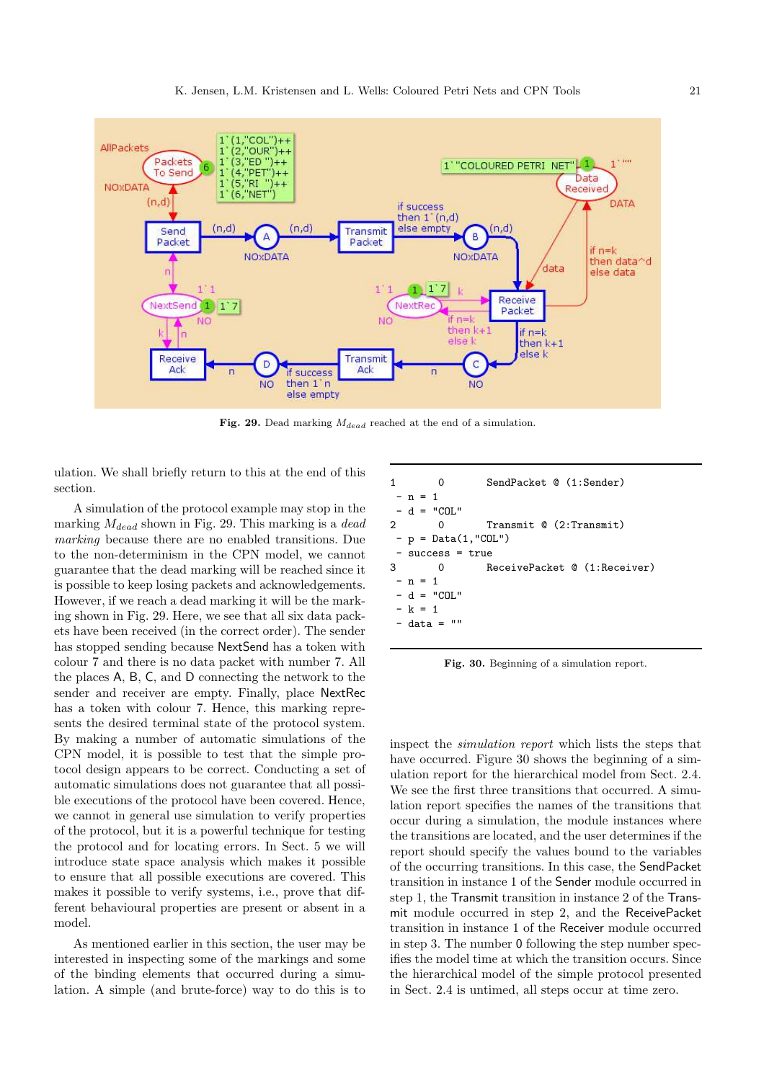

Fig. 29. Dead marking  $M_{dead}$  reached at the end of a simulation.

ulation. We shall briefly return to this at the end of this section.

A simulation of the protocol example may stop in the marking  $M_{dead}$  shown in Fig. 29. This marking is a dead marking because there are no enabled transitions. Due to the non-determinism in the CPN model, we cannot guarantee that the dead marking will be reached since it is possible to keep losing packets and acknowledgements. However, if we reach a dead marking it will be the marking shown in Fig. 29. Here, we see that all six data packets have been received (in the correct order). The sender has stopped sending because NextSend has a token with colour 7 and there is no data packet with number 7. All the places A, B, C, and D connecting the network to the sender and receiver are empty. Finally, place NextRec has a token with colour 7. Hence, this marking represents the desired terminal state of the protocol system. By making a number of automatic simulations of the CPN model, it is possible to test that the simple protocol design appears to be correct. Conducting a set of automatic simulations does not guarantee that all possible executions of the protocol have been covered. Hence, we cannot in general use simulation to verify properties of the protocol, but it is a powerful technique for testing the protocol and for locating errors. In Sect. 5 we will introduce state space analysis which makes it possible to ensure that all possible executions are covered. This makes it possible to verify systems, i.e., prove that different behavioural properties are present or absent in a model.

As mentioned earlier in this section, the user may be interested in inspecting some of the markings and some of the binding elements that occurred during a simulation. A simple (and brute-force) way to do this is to

| 1  | 0                      | SendPacket @ (1:Sender)      |
|----|------------------------|------------------------------|
|    | $- n = 1$              |                              |
|    | $-d = "COL"$           |                              |
| 2. | 0                      | Transmit @ (2:Transmit)      |
|    | - $p = Data(1, "COL")$ |                              |
|    | $-$ success $=$ true   |                              |
| 3  | 0                      | ReceivePacket @ (1:Receiver) |
|    | $- n = 1$              |                              |
|    | $-d = "COL"$           |                              |
|    | $- k = 1$              |                              |
|    | 11 H<br>- data =       |                              |
|    |                        |                              |

Fig. 30. Beginning of a simulation report.

inspect the simulation report which lists the steps that have occurred. Figure 30 shows the beginning of a simulation report for the hierarchical model from Sect. 2.4. We see the first three transitions that occurred. A simulation report specifies the names of the transitions that occur during a simulation, the module instances where the transitions are located, and the user determines if the report should specify the values bound to the variables of the occurring transitions. In this case, the SendPacket transition in instance 1 of the Sender module occurred in step 1, the Transmit transition in instance 2 of the Transmit module occurred in step 2, and the ReceivePacket transition in instance 1 of the Receiver module occurred in step 3. The number 0 following the step number specifies the model time at which the transition occurs. Since the hierarchical model of the simple protocol presented in Sect. 2.4 is untimed, all steps occur at time zero.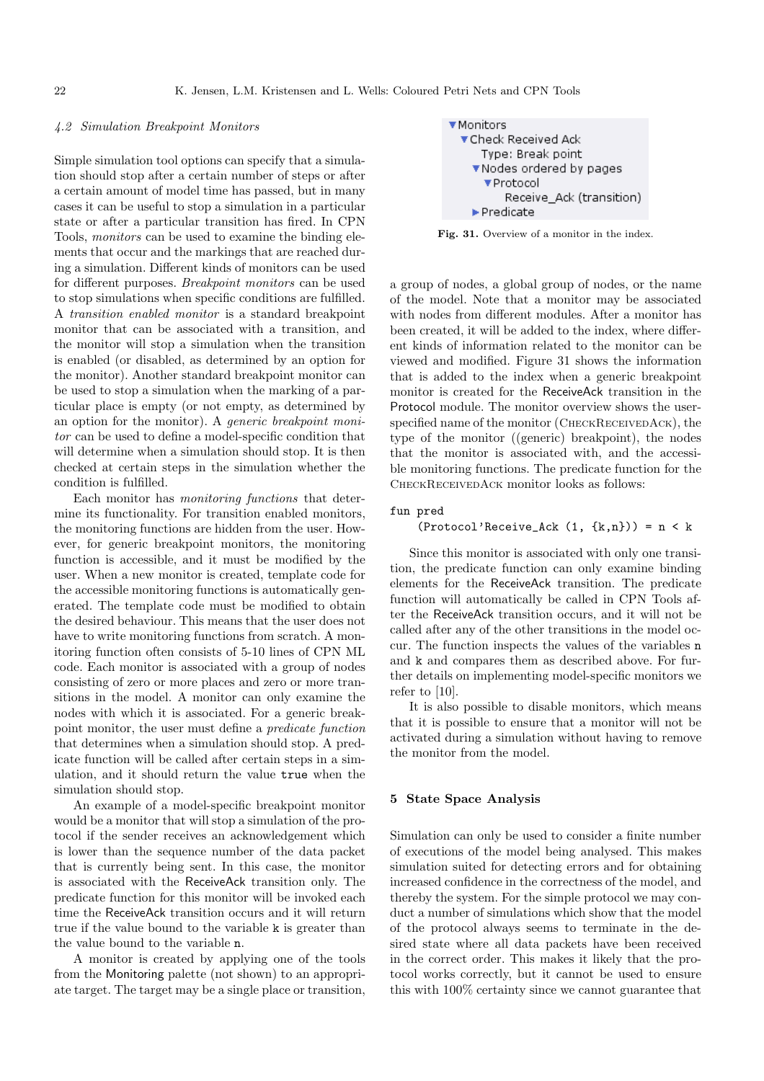## 4.2 Simulation Breakpoint Monitors

Simple simulation tool options can specify that a simulation should stop after a certain number of steps or after a certain amount of model time has passed, but in many cases it can be useful to stop a simulation in a particular state or after a particular transition has fired. In CPN Tools, monitors can be used to examine the binding elements that occur and the markings that are reached during a simulation. Different kinds of monitors can be used for different purposes. Breakpoint monitors can be used to stop simulations when specific conditions are fulfilled. A transition enabled monitor is a standard breakpoint monitor that can be associated with a transition, and the monitor will stop a simulation when the transition is enabled (or disabled, as determined by an option for the monitor). Another standard breakpoint monitor can be used to stop a simulation when the marking of a particular place is empty (or not empty, as determined by an option for the monitor). A generic breakpoint monitor can be used to define a model-specific condition that will determine when a simulation should stop. It is then checked at certain steps in the simulation whether the condition is fulfilled.

Each monitor has *monitoring functions* that determine its functionality. For transition enabled monitors, the monitoring functions are hidden from the user. However, for generic breakpoint monitors, the monitoring function is accessible, and it must be modified by the user. When a new monitor is created, template code for the accessible monitoring functions is automatically generated. The template code must be modified to obtain the desired behaviour. This means that the user does not have to write monitoring functions from scratch. A monitoring function often consists of 5-10 lines of CPN ML code. Each monitor is associated with a group of nodes consisting of zero or more places and zero or more transitions in the model. A monitor can only examine the nodes with which it is associated. For a generic breakpoint monitor, the user must define a predicate function that determines when a simulation should stop. A predicate function will be called after certain steps in a simulation, and it should return the value true when the simulation should stop.

An example of a model-specific breakpoint monitor would be a monitor that will stop a simulation of the protocol if the sender receives an acknowledgement which is lower than the sequence number of the data packet that is currently being sent. In this case, the monitor is associated with the ReceiveAck transition only. The predicate function for this monitor will be invoked each time the ReceiveAck transition occurs and it will return true if the value bound to the variable k is greater than the value bound to the variable n.

A monitor is created by applying one of the tools from the Monitoring palette (not shown) to an appropriate target. The target may be a single place or transition,



Fig. 31. Overview of a monitor in the index.

a group of nodes, a global group of nodes, or the name of the model. Note that a monitor may be associated with nodes from different modules. After a monitor has been created, it will be added to the index, where different kinds of information related to the monitor can be viewed and modified. Figure 31 shows the information that is added to the index when a generic breakpoint monitor is created for the ReceiveAck transition in the Protocol module. The monitor overview shows the userspecified name of the monitor (CHECKRECEIVEDACK), the type of the monitor ((generic) breakpoint), the nodes that the monitor is associated with, and the accessible monitoring functions. The predicate function for the CheckReceivedAck monitor looks as follows:

## fun pred

## $(Protocol'Receivedive_Ack (1, {k,n})) = n < k$

Since this monitor is associated with only one transition, the predicate function can only examine binding elements for the ReceiveAck transition. The predicate function will automatically be called in CPN Tools after the ReceiveAck transition occurs, and it will not be called after any of the other transitions in the model occur. The function inspects the values of the variables n and k and compares them as described above. For further details on implementing model-specific monitors we refer to [10].

It is also possible to disable monitors, which means that it is possible to ensure that a monitor will not be activated during a simulation without having to remove the monitor from the model.

#### 5 State Space Analysis

Simulation can only be used to consider a finite number of executions of the model being analysed. This makes simulation suited for detecting errors and for obtaining increased confidence in the correctness of the model, and thereby the system. For the simple protocol we may conduct a number of simulations which show that the model of the protocol always seems to terminate in the desired state where all data packets have been received in the correct order. This makes it likely that the protocol works correctly, but it cannot be used to ensure this with 100% certainty since we cannot guarantee that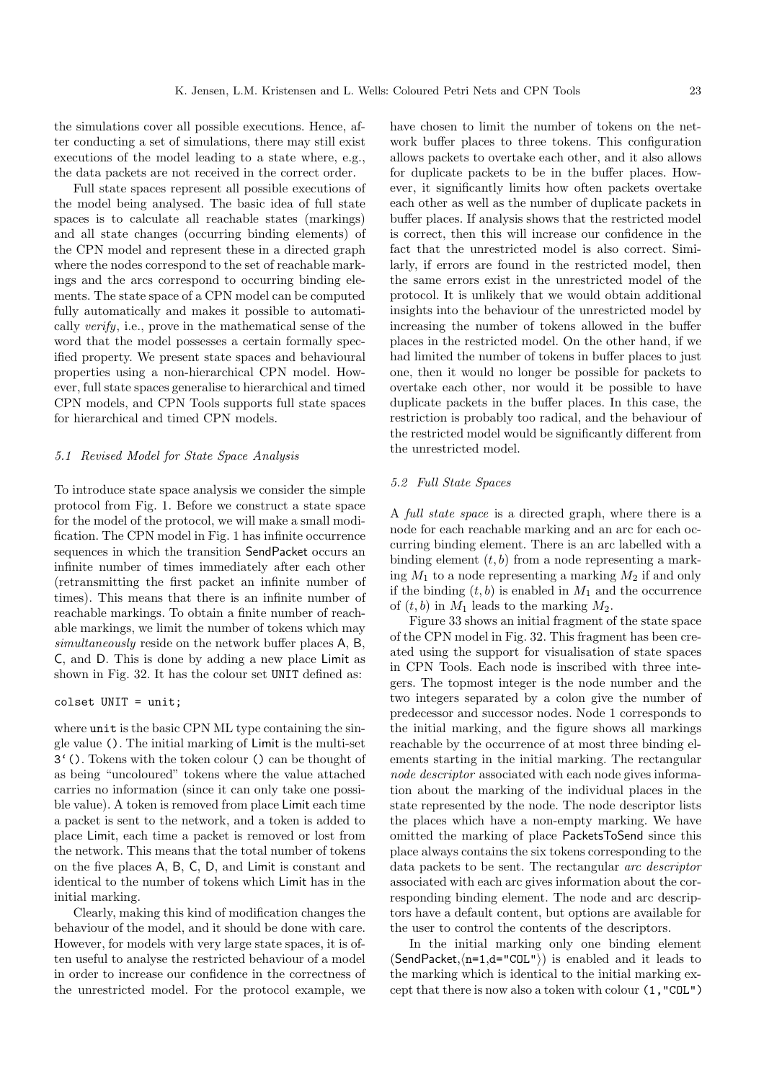the simulations cover all possible executions. Hence, after conducting a set of simulations, there may still exist executions of the model leading to a state where, e.g., the data packets are not received in the correct order.

Full state spaces represent all possible executions of the model being analysed. The basic idea of full state spaces is to calculate all reachable states (markings) and all state changes (occurring binding elements) of the CPN model and represent these in a directed graph where the nodes correspond to the set of reachable markings and the arcs correspond to occurring binding elements. The state space of a CPN model can be computed fully automatically and makes it possible to automatically verify, i.e., prove in the mathematical sense of the word that the model possesses a certain formally specified property. We present state spaces and behavioural properties using a non-hierarchical CPN model. However, full state spaces generalise to hierarchical and timed CPN models, and CPN Tools supports full state spaces for hierarchical and timed CPN models.

## 5.1 Revised Model for State Space Analysis

To introduce state space analysis we consider the simple protocol from Fig. 1. Before we construct a state space for the model of the protocol, we will make a small modification. The CPN model in Fig. 1 has infinite occurrence sequences in which the transition SendPacket occurs an infinite number of times immediately after each other (retransmitting the first packet an infinite number of times). This means that there is an infinite number of reachable markings. To obtain a finite number of reachable markings, we limit the number of tokens which may simultaneously reside on the network buffer places A, B, C, and D. This is done by adding a new place Limit as shown in Fig. 32. It has the colour set UNIT defined as:

#### colset UNIT = unit;

where unit is the basic CPN ML type containing the single value (). The initial marking of Limit is the multi-set 3'(). Tokens with the token colour () can be thought of as being "uncoloured" tokens where the value attached carries no information (since it can only take one possible value). A token is removed from place Limit each time a packet is sent to the network, and a token is added to place Limit, each time a packet is removed or lost from the network. This means that the total number of tokens on the five places A, B, C, D, and Limit is constant and identical to the number of tokens which Limit has in the initial marking.

Clearly, making this kind of modification changes the behaviour of the model, and it should be done with care. However, for models with very large state spaces, it is often useful to analyse the restricted behaviour of a model in order to increase our confidence in the correctness of the unrestricted model. For the protocol example, we have chosen to limit the number of tokens on the network buffer places to three tokens. This configuration allows packets to overtake each other, and it also allows for duplicate packets to be in the buffer places. However, it significantly limits how often packets overtake each other as well as the number of duplicate packets in buffer places. If analysis shows that the restricted model is correct, then this will increase our confidence in the fact that the unrestricted model is also correct. Similarly, if errors are found in the restricted model, then the same errors exist in the unrestricted model of the protocol. It is unlikely that we would obtain additional insights into the behaviour of the unrestricted model by increasing the number of tokens allowed in the buffer places in the restricted model. On the other hand, if we had limited the number of tokens in buffer places to just one, then it would no longer be possible for packets to overtake each other, nor would it be possible to have duplicate packets in the buffer places. In this case, the restriction is probably too radical, and the behaviour of the restricted model would be significantly different from the unrestricted model.

# 5.2 Full State Spaces

A full state space is a directed graph, where there is a node for each reachable marking and an arc for each occurring binding element. There is an arc labelled with a binding element  $(t, b)$  from a node representing a marking  $M_1$  to a node representing a marking  $M_2$  if and only if the binding  $(t, b)$  is enabled in  $M_1$  and the occurrence of  $(t, b)$  in  $M_1$  leads to the marking  $M_2$ .

Figure 33 shows an initial fragment of the state space of the CPN model in Fig. 32. This fragment has been created using the support for visualisation of state spaces in CPN Tools. Each node is inscribed with three integers. The topmost integer is the node number and the two integers separated by a colon give the number of predecessor and successor nodes. Node 1 corresponds to the initial marking, and the figure shows all markings reachable by the occurrence of at most three binding elements starting in the initial marking. The rectangular node descriptor associated with each node gives information about the marking of the individual places in the state represented by the node. The node descriptor lists the places which have a non-empty marking. We have omitted the marking of place PacketsToSend since this place always contains the six tokens corresponding to the data packets to be sent. The rectangular arc descriptor associated with each arc gives information about the corresponding binding element. The node and arc descriptors have a default content, but options are available for the user to control the contents of the descriptors.

In the initial marking only one binding element (SendPacket, $\langle n=1,d="COL"\rangle$ ) is enabled and it leads to the marking which is identical to the initial marking except that there is now also a token with colour (1,"COL")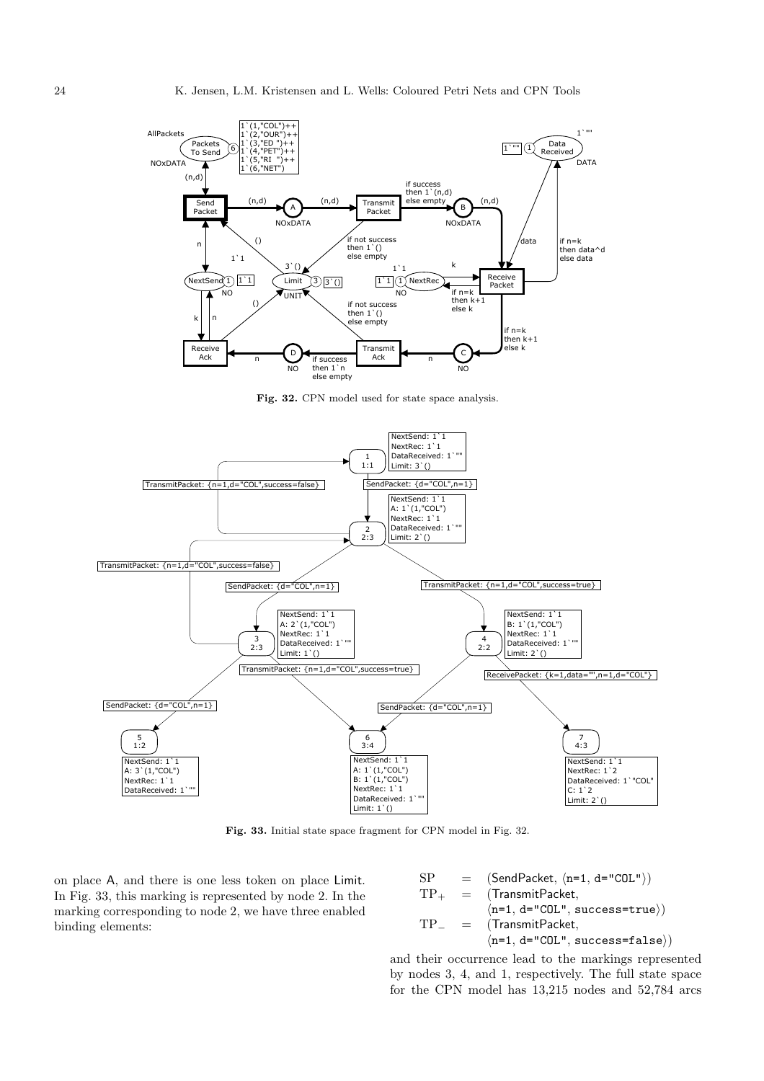

Fig. 32. CPN model used for state space analysis.



Fig. 33. Initial state space fragment for CPN model in Fig. 32.

on place A, and there is one less token on place Limit. In Fig. 33, this marking is represented by node 2. In the marking corresponding to node 2, we have three enabled binding elements:

$$
\begin{array}{lcl} \text{SP} & = & \text{(SendPacket, \langle n=1, \, d="COL")}) \\ \text{TP}_{+} & = & \text{(TransmitPacket, \quad \langle n=1, \, d="COL", \, success=true)} ) \\ \text{TP}_{-} & = & \text{(TransmitPacket, \quad \langle n=1, \, d="COL", \, success=false)} ) \end{array}
$$

and their occurrence lead to the markings represented by nodes 3, 4, and 1, respectively. The full state space for the CPN model has 13,215 nodes and 52,784 arcs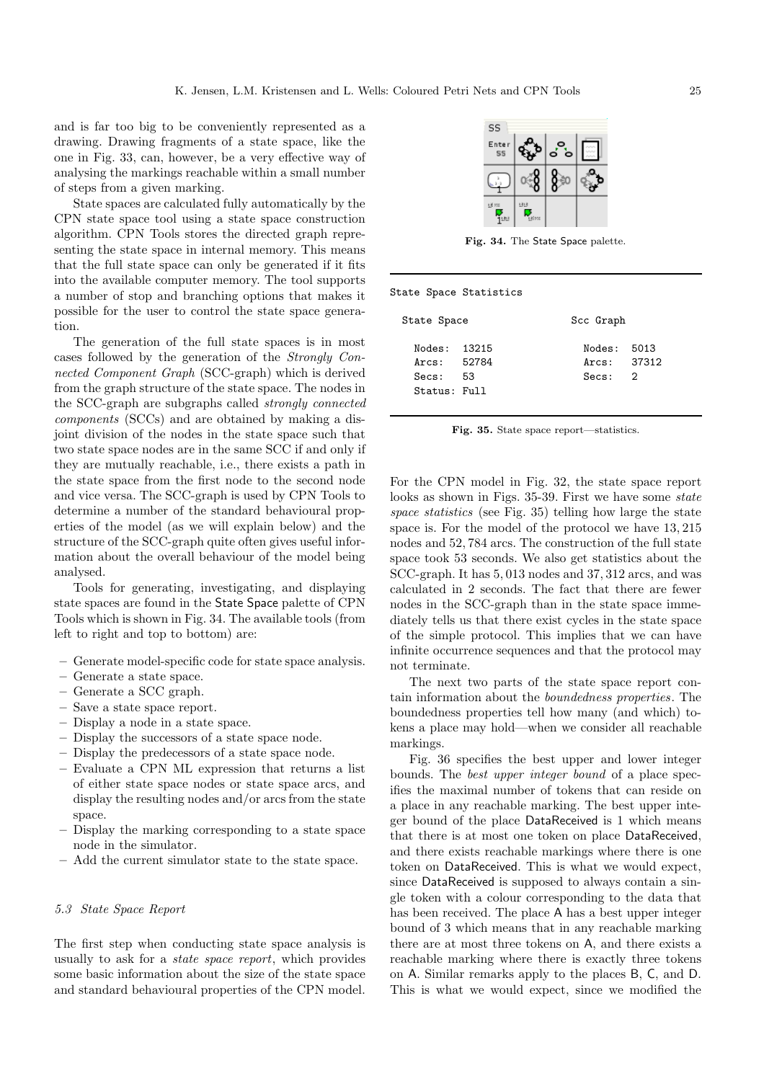and is far too big to be conveniently represented as a drawing. Drawing fragments of a state space, like the one in Fig. 33, can, however, be a very effective way of analysing the markings reachable within a small number of steps from a given marking.

State spaces are calculated fully automatically by the CPN state space tool using a state space construction algorithm. CPN Tools stores the directed graph representing the state space in internal memory. This means that the full state space can only be generated if it fits into the available computer memory. The tool supports a number of stop and branching options that makes it possible for the user to control the state space generation.

The generation of the full state spaces is in most cases followed by the generation of the Strongly Connected Component Graph (SCC-graph) which is derived from the graph structure of the state space. The nodes in the SCC-graph are subgraphs called strongly connected components (SCCs) and are obtained by making a disjoint division of the nodes in the state space such that two state space nodes are in the same SCC if and only if they are mutually reachable, i.e., there exists a path in the state space from the first node to the second node and vice versa. The SCC-graph is used by CPN Tools to determine a number of the standard behavioural properties of the model (as we will explain below) and the structure of the SCC-graph quite often gives useful information about the overall behaviour of the model being analysed.

Tools for generating, investigating, and displaying state spaces are found in the State Space palette of CPN Tools which is shown in Fig. 34. The available tools (from left to right and top to bottom) are:

- Generate model-specific code for state space analysis.
- Generate a state space.
- Generate a SCC graph.
- Save a state space report.
- Display a node in a state space.
- Display the successors of a state space node.
- Display the predecessors of a state space node.
- Evaluate a CPN ML expression that returns a list of either state space nodes or state space arcs, and display the resulting nodes and/or arcs from the state space.
- Display the marking corresponding to a state space node in the simulator.
- Add the current simulator state to the state space.

## 5.3 State Space Report

The first step when conducting state space analysis is usually to ask for a state space report, which provides some basic information about the size of the state space and standard behavioural properties of the CPN model.



Fig. 34. The State Space palette.

#### State Space Statistics

| State Space                                             |  | Scc Graph                             |  |  |  |
|---------------------------------------------------------|--|---------------------------------------|--|--|--|
| Nodes: 13215<br>Arcs: 52784<br>Secs: 53<br>Status: Full |  | Nodes: 5013<br>Arcs: 37312<br>Secs: 2 |  |  |  |

Fig. 35. State space report—statistics.

For the CPN model in Fig. 32, the state space report looks as shown in Figs. 35-39. First we have some state space statistics (see Fig. 35) telling how large the state space is. For the model of the protocol we have 13, 215 nodes and 52, 784 arcs. The construction of the full state space took 53 seconds. We also get statistics about the SCC-graph. It has 5, 013 nodes and 37, 312 arcs, and was calculated in 2 seconds. The fact that there are fewer nodes in the SCC-graph than in the state space immediately tells us that there exist cycles in the state space of the simple protocol. This implies that we can have infinite occurrence sequences and that the protocol may not terminate.

The next two parts of the state space report contain information about the boundedness properties. The boundedness properties tell how many (and which) tokens a place may hold—when we consider all reachable markings.

Fig. 36 specifies the best upper and lower integer bounds. The best upper integer bound of a place specifies the maximal number of tokens that can reside on a place in any reachable marking. The best upper integer bound of the place DataReceived is 1 which means that there is at most one token on place DataReceived, and there exists reachable markings where there is one token on DataReceived. This is what we would expect, since DataReceived is supposed to always contain a single token with a colour corresponding to the data that has been received. The place A has a best upper integer bound of 3 which means that in any reachable marking there are at most three tokens on A, and there exists a reachable marking where there is exactly three tokens on A. Similar remarks apply to the places B, C, and D. This is what we would expect, since we modified the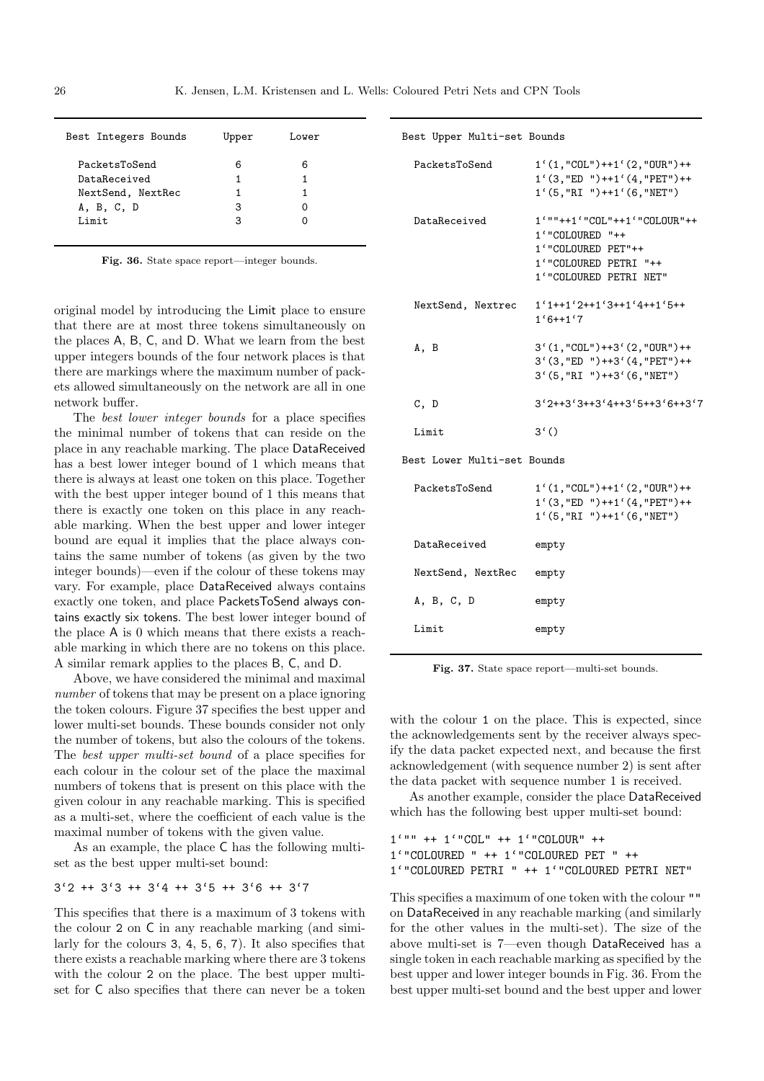| Best Integers Bounds | Upper | Lower |
|----------------------|-------|-------|
| PacketsToSend        | 6     | 6     |
| DataReceived         | 1     | 1     |
| NextSend, NextRec    |       | 1     |
| A, B, C, D           | 3     |       |
| Limit                | 3     |       |
|                      |       |       |

Fig. 36. State space report—integer bounds.

original model by introducing the Limit place to ensure that there are at most three tokens simultaneously on the places A, B, C, and D. What we learn from the best upper integers bounds of the four network places is that there are markings where the maximum number of packets allowed simultaneously on the network are all in one network buffer.

The *best lower integer bounds* for a place specifies the minimal number of tokens that can reside on the place in any reachable marking. The place DataReceived has a best lower integer bound of 1 which means that there is always at least one token on this place. Together with the best upper integer bound of 1 this means that there is exactly one token on this place in any reachable marking. When the best upper and lower integer bound are equal it implies that the place always contains the same number of tokens (as given by the two integer bounds)—even if the colour of these tokens may vary. For example, place DataReceived always contains exactly one token, and place PacketsToSend always contains exactly six tokens. The best lower integer bound of the place A is 0 which means that there exists a reachable marking in which there are no tokens on this place. A similar remark applies to the places B, C, and D.

Above, we have considered the minimal and maximal number of tokens that may be present on a place ignoring the token colours. Figure 37 specifies the best upper and lower multi-set bounds. These bounds consider not only the number of tokens, but also the colours of the tokens. The best upper multi-set bound of a place specifies for each colour in the colour set of the place the maximal numbers of tokens that is present on this place with the given colour in any reachable marking. This is specified as a multi-set, where the coefficient of each value is the maximal number of tokens with the given value.

As an example, the place C has the following multiset as the best upper multi-set bound:

# 3'2 ++ 3'3 ++ 3'4 ++ 3'5 ++ 3'6 ++ 3'7

This specifies that there is a maximum of 3 tokens with the colour 2 on C in any reachable marking (and similarly for the colours 3, 4, 5, 6, 7). It also specifies that there exists a reachable marking where there are 3 tokens with the colour 2 on the place. The best upper multiset for C also specifies that there can never be a token

| Best Upper Multi-set Bounds |                                                                                                                         |
|-----------------------------|-------------------------------------------------------------------------------------------------------------------------|
| PacketsToSend               | $1'(1, "COL")++1'(2, "OUR")++$<br>$1'(3, "ED")++1'(4, "PET")++$<br>$1'(5, "RI")++1'(6, "NET")$                          |
| DataReceived                | 1'""++1'"COL"++1'"COLOUR"++<br>1'"COLOURED "++<br>1'"COLOURED PET"++<br>1'"COLOURED PETRI "++<br>1'"COLOURED PETRI NET" |
| NextSend, Nextrec           | $1'1++1'2++1'3++1'4++1'5++$<br>$1'6++1'7$                                                                               |
| A, B                        | $3'(1, "COL")++3'(2, "OUR")++$<br>$3'(3,'ED'')++3'(4,'PET")++$<br>$3'(5, "RI")++3'(6, "NET")$                           |
| C, D                        | $3'2++3'3++3'4++3'5++3'6++3'7$                                                                                          |
| Limit                       | $3^{\prime}()$                                                                                                          |
| Best Lower Multi-set Bounds |                                                                                                                         |
| PacketsToSend               | $1'(1, "COL")++1'(2, "OUR")++$<br>$1'(3, "ED")++1'(4, "PET")++$<br>$1'(5, "RI")++1'(6, "NET")$                          |
| DataReceived                | empty                                                                                                                   |
| NextSend, NextRec empty     |                                                                                                                         |
| A, B, C, D                  | empty                                                                                                                   |
| Limit                       | empty                                                                                                                   |

Fig. 37. State space report—multi-set bounds.

with the colour 1 on the place. This is expected, since the acknowledgements sent by the receiver always specify the data packet expected next, and because the first acknowledgement (with sequence number 2) is sent after the data packet with sequence number 1 is received.

As another example, consider the place DataReceived which has the following best upper multi-set bound:

| 1'"" ++ 1'"COL" ++ 1'"COLOUR" ++              |  |
|-----------------------------------------------|--|
| 1'"COLOURED " ++ 1'"COLOURED PET " ++         |  |
| 1'"COLOURED PETRI " ++ 1'"COLOURED PETRI NET" |  |

This specifies a maximum of one token with the colour "" on DataReceived in any reachable marking (and similarly for the other values in the multi-set). The size of the above multi-set is 7—even though DataReceived has a single token in each reachable marking as specified by the best upper and lower integer bounds in Fig. 36. From the best upper multi-set bound and the best upper and lower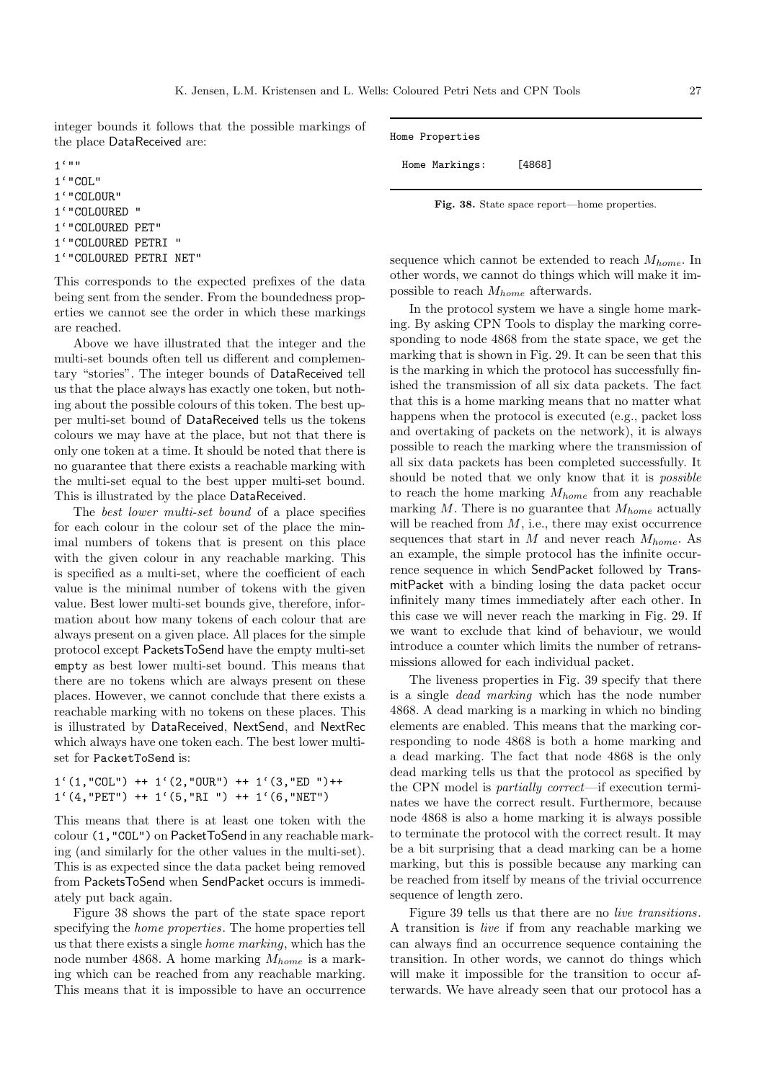integer bounds it follows that the possible markings of the place DataReceived are:

1'"" 1'"COL" 1'"COLOUR" 1'"COLOURED " 1'"COLOURED PET" 1'"COLOURED PETRI " 1'"COLOURED PETRI NET"

This corresponds to the expected prefixes of the data being sent from the sender. From the boundedness properties we cannot see the order in which these markings are reached.

Above we have illustrated that the integer and the multi-set bounds often tell us different and complementary "stories". The integer bounds of DataReceived tell us that the place always has exactly one token, but nothing about the possible colours of this token. The best upper multi-set bound of DataReceived tells us the tokens colours we may have at the place, but not that there is only one token at a time. It should be noted that there is no guarantee that there exists a reachable marking with the multi-set equal to the best upper multi-set bound. This is illustrated by the place DataReceived.

The *best lower multi-set bound* of a place specifies for each colour in the colour set of the place the minimal numbers of tokens that is present on this place with the given colour in any reachable marking. This is specified as a multi-set, where the coefficient of each value is the minimal number of tokens with the given value. Best lower multi-set bounds give, therefore, information about how many tokens of each colour that are always present on a given place. All places for the simple protocol except PacketsToSend have the empty multi-set empty as best lower multi-set bound. This means that there are no tokens which are always present on these places. However, we cannot conclude that there exists a reachable marking with no tokens on these places. This is illustrated by DataReceived, NextSend, and NextRec which always have one token each. The best lower multiset for PacketToSend is:

```
1'(1, "COL") ++ 1'(2, "OUR") ++ 1'(3, "ED")++
1'(4, "PET") ++ 1'(5, "RI") ++ 1'(6, "NET")
```
This means that there is at least one token with the colour (1,"COL") on PacketToSend in any reachable marking (and similarly for the other values in the multi-set). This is as expected since the data packet being removed from PacketsToSend when SendPacket occurs is immediately put back again.

Figure 38 shows the part of the state space report specifying the home properties. The home properties tell us that there exists a single home marking, which has the node number 4868. A home marking  $M_{home}$  is a marking which can be reached from any reachable marking. This means that it is impossible to have an occurrence Home Properties

Home Markings: [4868]

Fig. 38. State space report—home properties.

sequence which cannot be extended to reach  $M_{home}$ . In other words, we cannot do things which will make it impossible to reach  $M_{home}$  afterwards.

In the protocol system we have a single home marking. By asking CPN Tools to display the marking corresponding to node 4868 from the state space, we get the marking that is shown in Fig. 29. It can be seen that this is the marking in which the protocol has successfully finished the transmission of all six data packets. The fact that this is a home marking means that no matter what happens when the protocol is executed (e.g., packet loss and overtaking of packets on the network), it is always possible to reach the marking where the transmission of all six data packets has been completed successfully. It should be noted that we only know that it is possible to reach the home marking  $M_{home}$  from any reachable marking  $M$ . There is no guarantee that  $M_{home}$  actually will be reached from  $M$ , i.e., there may exist occurrence sequences that start in  $M$  and never reach  $M_{home}$ . As an example, the simple protocol has the infinite occurrence sequence in which SendPacket followed by TransmitPacket with a binding losing the data packet occur infinitely many times immediately after each other. In this case we will never reach the marking in Fig. 29. If we want to exclude that kind of behaviour, we would introduce a counter which limits the number of retransmissions allowed for each individual packet.

The liveness properties in Fig. 39 specify that there is a single dead marking which has the node number 4868. A dead marking is a marking in which no binding elements are enabled. This means that the marking corresponding to node 4868 is both a home marking and a dead marking. The fact that node 4868 is the only dead marking tells us that the protocol as specified by the CPN model is partially correct—if execution terminates we have the correct result. Furthermore, because node 4868 is also a home marking it is always possible to terminate the protocol with the correct result. It may be a bit surprising that a dead marking can be a home marking, but this is possible because any marking can be reached from itself by means of the trivial occurrence sequence of length zero.

Figure 39 tells us that there are no live transitions. A transition is live if from any reachable marking we can always find an occurrence sequence containing the transition. In other words, we cannot do things which will make it impossible for the transition to occur afterwards. We have already seen that our protocol has a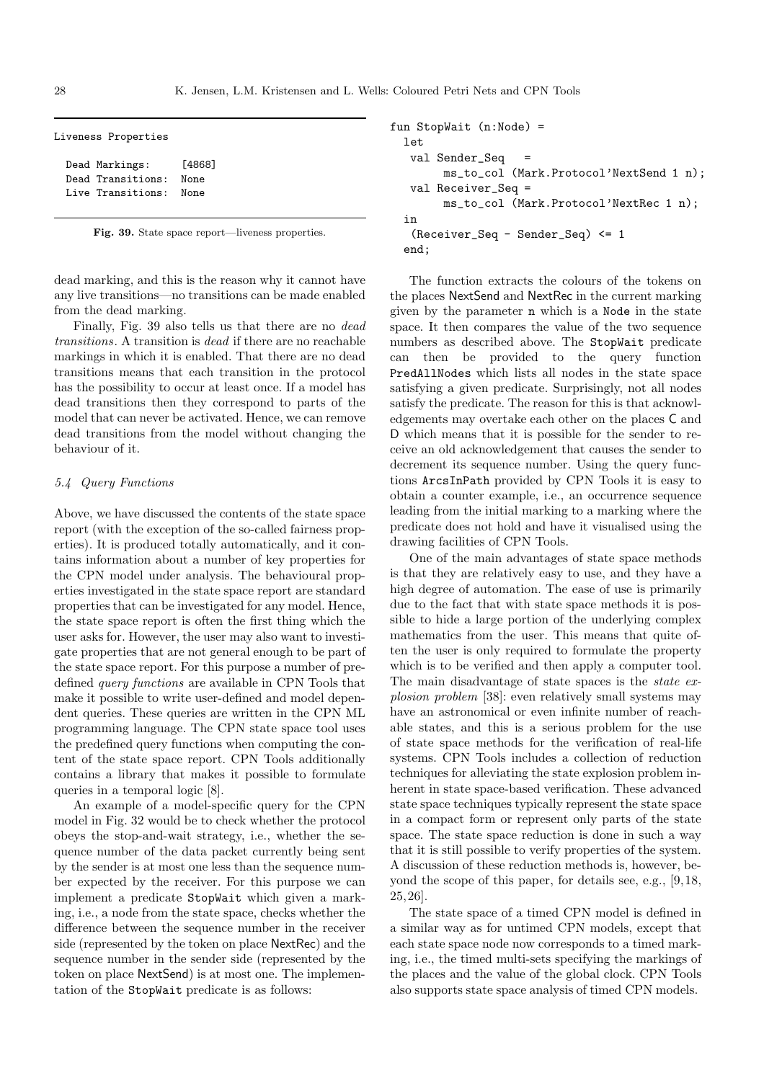| Liveness Properties |        |
|---------------------|--------|
| Dead Markings:      | [4868] |
| Dead Transitions:   | None   |
| Live Transitions:   | None   |
|                     |        |

Fig. 39. State space report—liveness properties.

dead marking, and this is the reason why it cannot have any live transitions—no transitions can be made enabled from the dead marking.

Finally, Fig. 39 also tells us that there are no dead transitions. A transition is dead if there are no reachable markings in which it is enabled. That there are no dead transitions means that each transition in the protocol has the possibility to occur at least once. If a model has dead transitions then they correspond to parts of the model that can never be activated. Hence, we can remove dead transitions from the model without changing the behaviour of it.

## 5.4 Query Functions

Above, we have discussed the contents of the state space report (with the exception of the so-called fairness properties). It is produced totally automatically, and it contains information about a number of key properties for the CPN model under analysis. The behavioural properties investigated in the state space report are standard properties that can be investigated for any model. Hence, the state space report is often the first thing which the user asks for. However, the user may also want to investigate properties that are not general enough to be part of the state space report. For this purpose a number of predefined query functions are available in CPN Tools that make it possible to write user-defined and model dependent queries. These queries are written in the CPN ML programming language. The CPN state space tool uses the predefined query functions when computing the content of the state space report. CPN Tools additionally contains a library that makes it possible to formulate queries in a temporal logic [8].

An example of a model-specific query for the CPN model in Fig. 32 would be to check whether the protocol obeys the stop-and-wait strategy, i.e., whether the sequence number of the data packet currently being sent by the sender is at most one less than the sequence number expected by the receiver. For this purpose we can implement a predicate StopWait which given a marking, i.e., a node from the state space, checks whether the difference between the sequence number in the receiver side (represented by the token on place NextRec) and the sequence number in the sender side (represented by the token on place NextSend) is at most one. The implementation of the StopWait predicate is as follows:

```
fun StopWait (n:Node) =
  let
   val Sender_Seq =
        ms_to_col (Mark.Protocol'NextSend 1 n);
   val Receiver_Seq =
        ms_to_col (Mark.Protocol'NextRec 1 n);
  in
   (Receiver_Seq - Sender_Seq) <= 1
  end;
```
The function extracts the colours of the tokens on the places NextSend and NextRec in the current marking given by the parameter n which is a Node in the state space. It then compares the value of the two sequence numbers as described above. The StopWait predicate can then be provided to the query function PredAllNodes which lists all nodes in the state space satisfying a given predicate. Surprisingly, not all nodes satisfy the predicate. The reason for this is that acknowledgements may overtake each other on the places C and D which means that it is possible for the sender to receive an old acknowledgement that causes the sender to decrement its sequence number. Using the query functions ArcsInPath provided by CPN Tools it is easy to obtain a counter example, i.e., an occurrence sequence leading from the initial marking to a marking where the predicate does not hold and have it visualised using the drawing facilities of CPN Tools.

One of the main advantages of state space methods is that they are relatively easy to use, and they have a high degree of automation. The ease of use is primarily due to the fact that with state space methods it is possible to hide a large portion of the underlying complex mathematics from the user. This means that quite often the user is only required to formulate the property which is to be verified and then apply a computer tool. The main disadvantage of state spaces is the state explosion problem [38]: even relatively small systems may have an astronomical or even infinite number of reachable states, and this is a serious problem for the use of state space methods for the verification of real-life systems. CPN Tools includes a collection of reduction techniques for alleviating the state explosion problem inherent in state space-based verification. These advanced state space techniques typically represent the state space in a compact form or represent only parts of the state space. The state space reduction is done in such a way that it is still possible to verify properties of the system. A discussion of these reduction methods is, however, beyond the scope of this paper, for details see, e.g., [9,18, 25,26].

The state space of a timed CPN model is defined in a similar way as for untimed CPN models, except that each state space node now corresponds to a timed marking, i.e., the timed multi-sets specifying the markings of the places and the value of the global clock. CPN Tools also supports state space analysis of timed CPN models.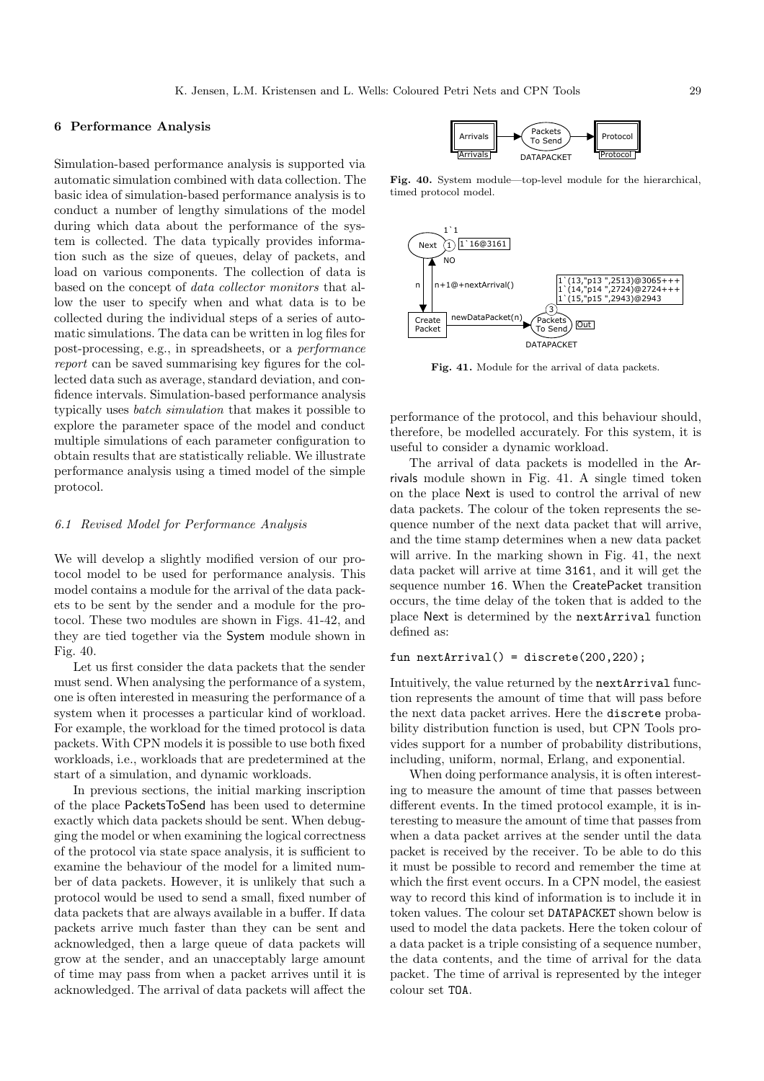# 6 Performance Analysis

Simulation-based performance analysis is supported via automatic simulation combined with data collection. The basic idea of simulation-based performance analysis is to conduct a number of lengthy simulations of the model during which data about the performance of the system is collected. The data typically provides information such as the size of queues, delay of packets, and load on various components. The collection of data is based on the concept of data collector monitors that allow the user to specify when and what data is to be collected during the individual steps of a series of automatic simulations. The data can be written in log files for post-processing, e.g., in spreadsheets, or a performance report can be saved summarising key figures for the collected data such as average, standard deviation, and confidence intervals. Simulation-based performance analysis typically uses batch simulation that makes it possible to explore the parameter space of the model and conduct multiple simulations of each parameter configuration to obtain results that are statistically reliable. We illustrate performance analysis using a timed model of the simple protocol.

## 6.1 Revised Model for Performance Analysis

We will develop a slightly modified version of our protocol model to be used for performance analysis. This model contains a module for the arrival of the data packets to be sent by the sender and a module for the protocol. These two modules are shown in Figs. 41-42, and they are tied together via the System module shown in Fig. 40.

Let us first consider the data packets that the sender must send. When analysing the performance of a system, one is often interested in measuring the performance of a system when it processes a particular kind of workload. For example, the workload for the timed protocol is data packets. With CPN models it is possible to use both fixed workloads, i.e., workloads that are predetermined at the start of a simulation, and dynamic workloads.

In previous sections, the initial marking inscription of the place PacketsToSend has been used to determine exactly which data packets should be sent. When debugging the model or when examining the logical correctness of the protocol via state space analysis, it is sufficient to examine the behaviour of the model for a limited number of data packets. However, it is unlikely that such a protocol would be used to send a small, fixed number of data packets that are always available in a buffer. If data packets arrive much faster than they can be sent and acknowledged, then a large queue of data packets will grow at the sender, and an unacceptably large amount of time may pass from when a packet arrives until it is acknowledged. The arrival of data packets will affect the



Fig. 40. System module—top-level module for the hierarchical, timed protocol model.



Fig. 41. Module for the arrival of data packets.

performance of the protocol, and this behaviour should, therefore, be modelled accurately. For this system, it is useful to consider a dynamic workload.

The arrival of data packets is modelled in the Arrivals module shown in Fig. 41. A single timed token on the place Next is used to control the arrival of new data packets. The colour of the token represents the sequence number of the next data packet that will arrive, and the time stamp determines when a new data packet will arrive. In the marking shown in Fig. 41, the next data packet will arrive at time 3161, and it will get the sequence number 16. When the CreatePacket transition occurs, the time delay of the token that is added to the place Next is determined by the nextArrival function defined as:

# fun nextArrival() = discrete( $200, 220$ );

Intuitively, the value returned by the nextArrival function represents the amount of time that will pass before the next data packet arrives. Here the discrete probability distribution function is used, but CPN Tools provides support for a number of probability distributions, including, uniform, normal, Erlang, and exponential.

When doing performance analysis, it is often interesting to measure the amount of time that passes between different events. In the timed protocol example, it is interesting to measure the amount of time that passes from when a data packet arrives at the sender until the data packet is received by the receiver. To be able to do this it must be possible to record and remember the time at which the first event occurs. In a CPN model, the easiest way to record this kind of information is to include it in token values. The colour set DATAPACKET shown below is used to model the data packets. Here the token colour of a data packet is a triple consisting of a sequence number, the data contents, and the time of arrival for the data packet. The time of arrival is represented by the integer colour set TOA.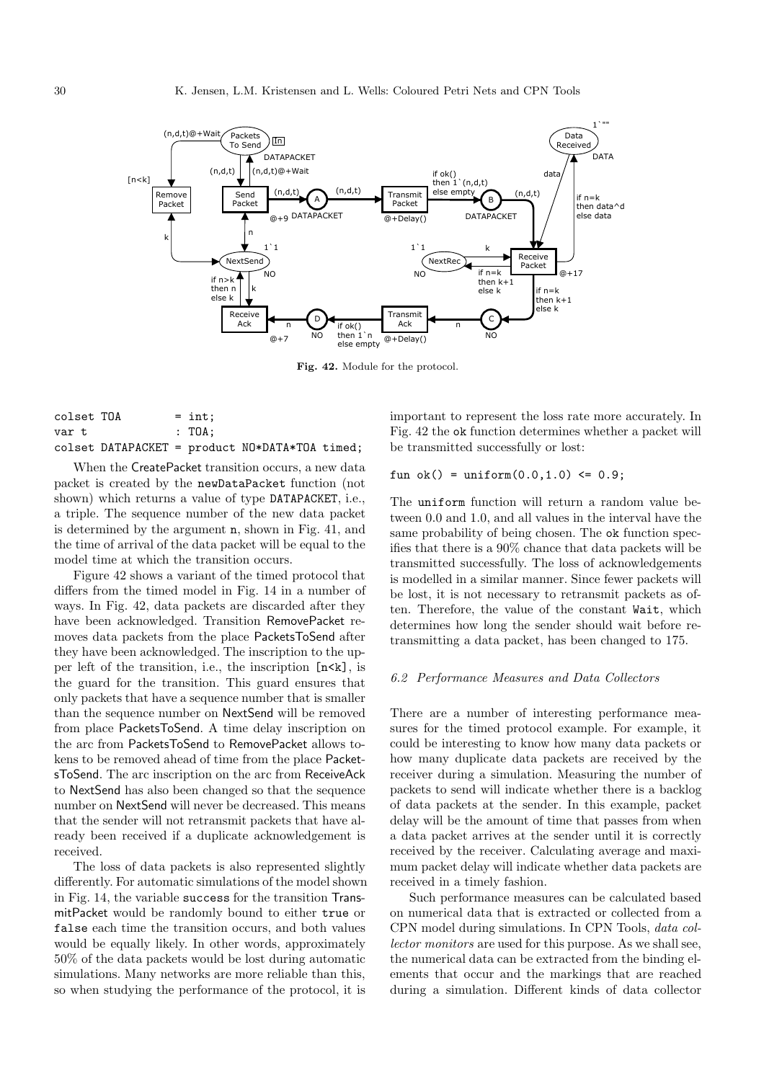

Fig. 42. Module for the protocol.

| colset TOA |  | $=$ int; |                                                  |  |
|------------|--|----------|--------------------------------------------------|--|
| var t      |  | : T0A:   |                                                  |  |
|            |  |          | $colset$ DATAPACKET = product NO*DATA*TOA timed; |  |

When the CreatePacket transition occurs, a new data packet is created by the newDataPacket function (not shown) which returns a value of type DATAPACKET, i.e., a triple. The sequence number of the new data packet is determined by the argument n, shown in Fig. 41, and the time of arrival of the data packet will be equal to the model time at which the transition occurs.

Figure 42 shows a variant of the timed protocol that differs from the timed model in Fig. 14 in a number of ways. In Fig. 42, data packets are discarded after they have been acknowledged. Transition RemovePacket removes data packets from the place PacketsToSend after they have been acknowledged. The inscription to the upper left of the transition, i.e., the inscription [n<k], is the guard for the transition. This guard ensures that only packets that have a sequence number that is smaller than the sequence number on NextSend will be removed from place PacketsToSend. A time delay inscription on the arc from PacketsToSend to RemovePacket allows tokens to be removed ahead of time from the place PacketsToSend. The arc inscription on the arc from ReceiveAck to NextSend has also been changed so that the sequence number on NextSend will never be decreased. This means that the sender will not retransmit packets that have already been received if a duplicate acknowledgement is received.

The loss of data packets is also represented slightly differently. For automatic simulations of the model shown in Fig. 14, the variable success for the transition TransmitPacket would be randomly bound to either true or false each time the transition occurs, and both values would be equally likely. In other words, approximately 50% of the data packets would be lost during automatic simulations. Many networks are more reliable than this, so when studying the performance of the protocol, it is important to represent the loss rate more accurately. In Fig. 42 the ok function determines whether a packet will be transmitted successfully or lost:

fun  $ok() = uniform(0.0, 1.0) \le 0.9$ ;

The uniform function will return a random value between 0.0 and 1.0, and all values in the interval have the same probability of being chosen. The ok function specifies that there is a 90% chance that data packets will be transmitted successfully. The loss of acknowledgements is modelled in a similar manner. Since fewer packets will be lost, it is not necessary to retransmit packets as often. Therefore, the value of the constant Wait, which determines how long the sender should wait before retransmitting a data packet, has been changed to 175.

#### 6.2 Performance Measures and Data Collectors

There are a number of interesting performance measures for the timed protocol example. For example, it could be interesting to know how many data packets or how many duplicate data packets are received by the receiver during a simulation. Measuring the number of packets to send will indicate whether there is a backlog of data packets at the sender. In this example, packet delay will be the amount of time that passes from when a data packet arrives at the sender until it is correctly received by the receiver. Calculating average and maximum packet delay will indicate whether data packets are received in a timely fashion.

Such performance measures can be calculated based on numerical data that is extracted or collected from a CPN model during simulations. In CPN Tools, data collector monitors are used for this purpose. As we shall see, the numerical data can be extracted from the binding elements that occur and the markings that are reached during a simulation. Different kinds of data collector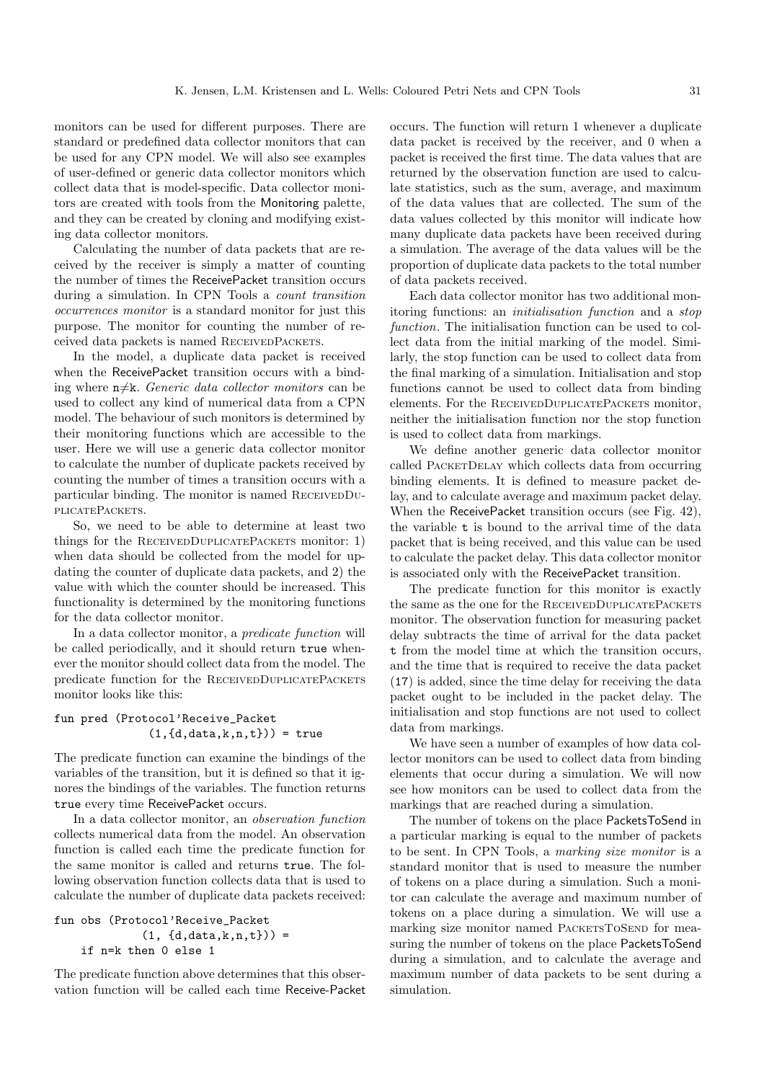monitors can be used for different purposes. There are standard or predefined data collector monitors that can be used for any CPN model. We will also see examples of user-defined or generic data collector monitors which collect data that is model-specific. Data collector monitors are created with tools from the Monitoring palette, and they can be created by cloning and modifying existing data collector monitors.

Calculating the number of data packets that are received by the receiver is simply a matter of counting the number of times the ReceivePacket transition occurs during a simulation. In CPN Tools a count transition occurrences monitor is a standard monitor for just this purpose. The monitor for counting the number of received data packets is named ReceivedPackets.

In the model, a duplicate data packet is received when the ReceivePacket transition occurs with a binding where  $n\neq k$ . Generic data collector monitors can be used to collect any kind of numerical data from a CPN model. The behaviour of such monitors is determined by their monitoring functions which are accessible to the user. Here we will use a generic data collector monitor to calculate the number of duplicate packets received by counting the number of times a transition occurs with a particular binding. The monitor is named RECEIVEDDUplicatePackets.

So, we need to be able to determine at least two things for the RECEIVEDDUPLICATEPACKETS monitor: 1) when data should be collected from the model for updating the counter of duplicate data packets, and 2) the value with which the counter should be increased. This functionality is determined by the monitoring functions for the data collector monitor.

In a data collector monitor, a predicate function will be called periodically, and it should return true whenever the monitor should collect data from the model. The predicate function for the ReceivedDuplicatePackets monitor looks like this:

```
fun pred (Protocol'Receive_Packet
              (1,\{d,data,k,n,t\}) = true
```
The predicate function can examine the bindings of the variables of the transition, but it is defined so that it ignores the bindings of the variables. The function returns true every time ReceivePacket occurs.

In a data collector monitor, an observation function collects numerical data from the model. An observation function is called each time the predicate function for the same monitor is called and returns true. The following observation function collects data that is used to calculate the number of duplicate data packets received:

```
fun obs (Protocol'Receive_Packet
              (1, \{d, data, k, n, t\}) =
    if n=k then 0 else 1
```
The predicate function above determines that this observation function will be called each time Receive-Packet occurs. The function will return 1 whenever a duplicate data packet is received by the receiver, and 0 when a packet is received the first time. The data values that are returned by the observation function are used to calculate statistics, such as the sum, average, and maximum of the data values that are collected. The sum of the data values collected by this monitor will indicate how many duplicate data packets have been received during a simulation. The average of the data values will be the proportion of duplicate data packets to the total number of data packets received.

Each data collector monitor has two additional monitoring functions: an initialisation function and a stop function. The initialisation function can be used to collect data from the initial marking of the model. Similarly, the stop function can be used to collect data from the final marking of a simulation. Initialisation and stop functions cannot be used to collect data from binding elements. For the RECEIVEDDUPLICATEPACKETS monitor, neither the initialisation function nor the stop function is used to collect data from markings.

We define another generic data collector monitor called PacketDelay which collects data from occurring binding elements. It is defined to measure packet delay, and to calculate average and maximum packet delay. When the ReceivePacket transition occurs (see Fig. 42), the variable t is bound to the arrival time of the data packet that is being received, and this value can be used to calculate the packet delay. This data collector monitor is associated only with the ReceivePacket transition.

The predicate function for this monitor is exactly the same as the one for the RECEIVEDDUPLICATEPACKETS monitor. The observation function for measuring packet delay subtracts the time of arrival for the data packet t from the model time at which the transition occurs, and the time that is required to receive the data packet (17) is added, since the time delay for receiving the data packet ought to be included in the packet delay. The initialisation and stop functions are not used to collect data from markings.

We have seen a number of examples of how data collector monitors can be used to collect data from binding elements that occur during a simulation. We will now see how monitors can be used to collect data from the markings that are reached during a simulation.

The number of tokens on the place PacketsToSend in a particular marking is equal to the number of packets to be sent. In CPN Tools, a marking size monitor is a standard monitor that is used to measure the number of tokens on a place during a simulation. Such a monitor can calculate the average and maximum number of tokens on a place during a simulation. We will use a marking size monitor named PACKETSTOSEND for measuring the number of tokens on the place PacketsToSend during a simulation, and to calculate the average and maximum number of data packets to be sent during a simulation.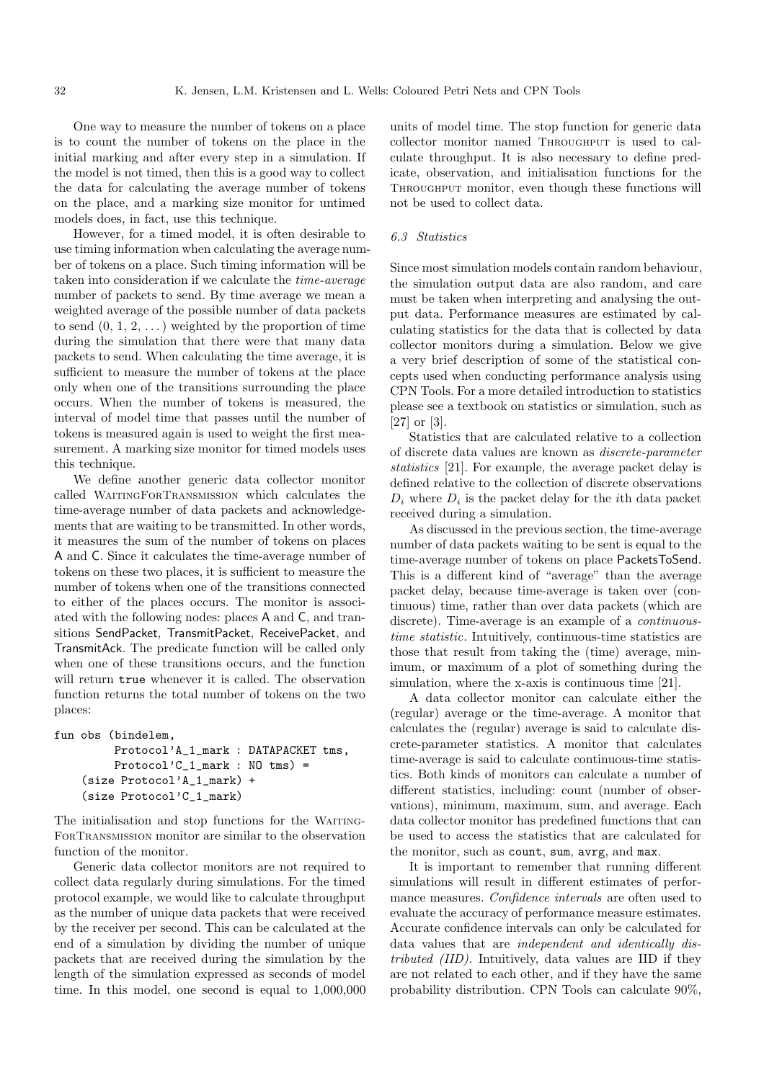One way to measure the number of tokens on a place is to count the number of tokens on the place in the initial marking and after every step in a simulation. If the model is not timed, then this is a good way to collect the data for calculating the average number of tokens on the place, and a marking size monitor for untimed models does, in fact, use this technique.

However, for a timed model, it is often desirable to use timing information when calculating the average number of tokens on a place. Such timing information will be taken into consideration if we calculate the time-average number of packets to send. By time average we mean a weighted average of the possible number of data packets to send  $(0, 1, 2, ...)$  weighted by the proportion of time during the simulation that there were that many data packets to send. When calculating the time average, it is sufficient to measure the number of tokens at the place only when one of the transitions surrounding the place occurs. When the number of tokens is measured, the interval of model time that passes until the number of tokens is measured again is used to weight the first measurement. A marking size monitor for timed models uses this technique.

We define another generic data collector monitor called WaitingForTransmission which calculates the time-average number of data packets and acknowledgements that are waiting to be transmitted. In other words, it measures the sum of the number of tokens on places A and C. Since it calculates the time-average number of tokens on these two places, it is sufficient to measure the number of tokens when one of the transitions connected to either of the places occurs. The monitor is associated with the following nodes: places A and C, and transitions SendPacket, TransmitPacket, ReceivePacket, and TransmitAck. The predicate function will be called only when one of these transitions occurs, and the function will return true whenever it is called. The observation function returns the total number of tokens on the two places:

```
fun obs (bindelem,
         Protocol'A_1_mark : DATAPACKET tms,
         Protocol'C_1_mark : NO tms) =
    (size Protocol'A_1_mark) +
    (size Protocol'C_1_mark)
```
The initialisation and stop functions for the WAITING-ForTransmission monitor are similar to the observation function of the monitor.

Generic data collector monitors are not required to collect data regularly during simulations. For the timed protocol example, we would like to calculate throughput as the number of unique data packets that were received by the receiver per second. This can be calculated at the end of a simulation by dividing the number of unique packets that are received during the simulation by the length of the simulation expressed as seconds of model time. In this model, one second is equal to 1,000,000 units of model time. The stop function for generic data collector monitor named THROUGHPUT is used to calculate throughput. It is also necessary to define predicate, observation, and initialisation functions for the THROUGHPUT monitor, even though these functions will not be used to collect data.

## 6.3 Statistics

Since most simulation models contain random behaviour, the simulation output data are also random, and care must be taken when interpreting and analysing the output data. Performance measures are estimated by calculating statistics for the data that is collected by data collector monitors during a simulation. Below we give a very brief description of some of the statistical concepts used when conducting performance analysis using CPN Tools. For a more detailed introduction to statistics please see a textbook on statistics or simulation, such as [27] or [3].

Statistics that are calculated relative to a collection of discrete data values are known as discrete-parameter statistics [21]. For example, the average packet delay is defined relative to the collection of discrete observations  $D_i$  where  $D_i$  is the packet delay for the *i*<sup>th</sup> data packet received during a simulation.

As discussed in the previous section, the time-average number of data packets waiting to be sent is equal to the time-average number of tokens on place PacketsToSend. This is a different kind of "average" than the average packet delay, because time-average is taken over (continuous) time, rather than over data packets (which are discrete). Time-average is an example of a *continuous*time statistic. Intuitively, continuous-time statistics are those that result from taking the (time) average, minimum, or maximum of a plot of something during the simulation, where the x-axis is continuous time [21].

A data collector monitor can calculate either the (regular) average or the time-average. A monitor that calculates the (regular) average is said to calculate discrete-parameter statistics. A monitor that calculates time-average is said to calculate continuous-time statistics. Both kinds of monitors can calculate a number of different statistics, including: count (number of observations), minimum, maximum, sum, and average. Each data collector monitor has predefined functions that can be used to access the statistics that are calculated for the monitor, such as count, sum, avrg, and max.

It is important to remember that running different simulations will result in different estimates of performance measures. Confidence intervals are often used to evaluate the accuracy of performance measure estimates. Accurate confidence intervals can only be calculated for data values that are independent and identically distributed (IID). Intuitively, data values are IID if they are not related to each other, and if they have the same probability distribution. CPN Tools can calculate 90%,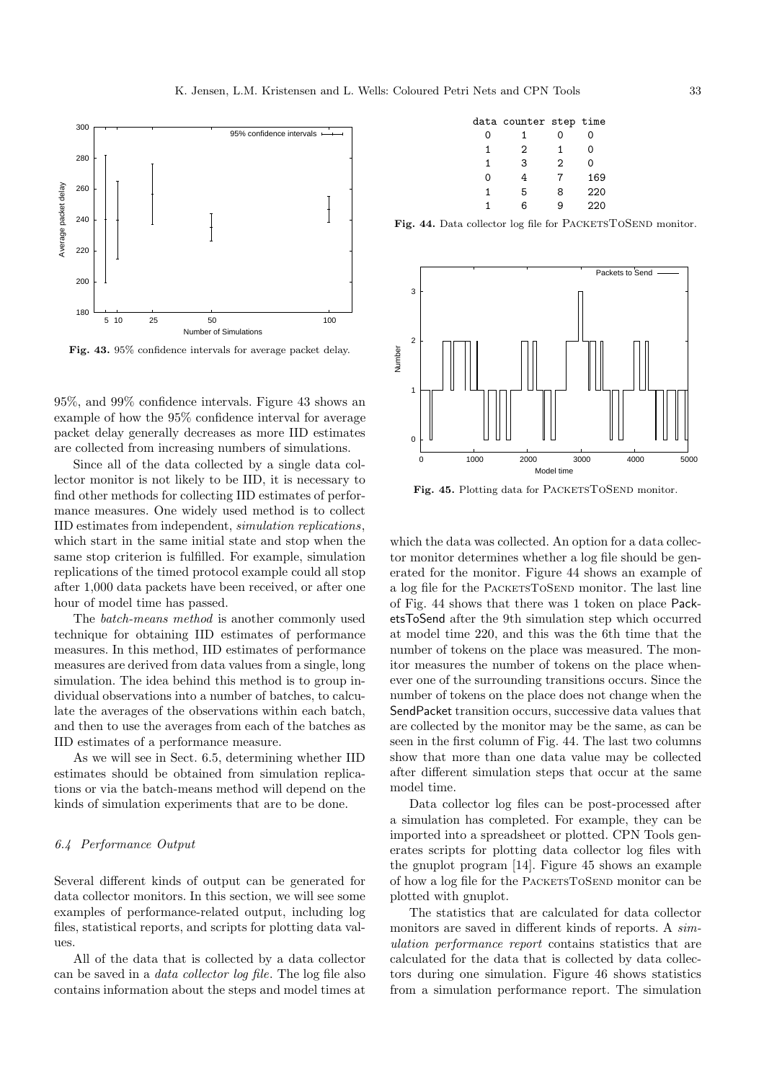

Fig. 43. 95% confidence intervals for average packet delay.

95%, and 99% confidence intervals. Figure 43 shows an example of how the 95% confidence interval for average packet delay generally decreases as more IID estimates are collected from increasing numbers of simulations.

Since all of the data collected by a single data collector monitor is not likely to be IID, it is necessary to find other methods for collecting IID estimates of performance measures. One widely used method is to collect IID estimates from independent, simulation replications, which start in the same initial state and stop when the same stop criterion is fulfilled. For example, simulation replications of the timed protocol example could all stop after 1,000 data packets have been received, or after one hour of model time has passed.

The batch-means method is another commonly used technique for obtaining IID estimates of performance measures. In this method, IID estimates of performance measures are derived from data values from a single, long simulation. The idea behind this method is to group individual observations into a number of batches, to calculate the averages of the observations within each batch, and then to use the averages from each of the batches as IID estimates of a performance measure.

As we will see in Sect. 6.5, determining whether IID estimates should be obtained from simulation replications or via the batch-means method will depend on the kinds of simulation experiments that are to be done.

## 6.4 Performance Output

Several different kinds of output can be generated for data collector monitors. In this section, we will see some examples of performance-related output, including log files, statistical reports, and scripts for plotting data values.

All of the data that is collected by a data collector can be saved in a data collector log file. The log file also contains information about the steps and model times at

|   | data counter step time |   |     |
|---|------------------------|---|-----|
| 0 | 1                      | 0 | Ω   |
| 1 | 2                      | 1 | Ω   |
| 1 | 3                      | 2 | 0   |
| 0 | 4                      | 7 | 169 |
| 1 | 5                      | 8 | 220 |
|   | ิค                     | a | 220 |
|   |                        |   |     |

Fig. 44. Data collector log file for PACKETSTOSEND monitor.



Fig. 45. Plotting data for PACKETSTOSEND monitor.

which the data was collected. An option for a data collector monitor determines whether a log file should be generated for the monitor. Figure 44 shows an example of a log file for the PACKETSTOSEND monitor. The last line of Fig. 44 shows that there was 1 token on place PacketsToSend after the 9th simulation step which occurred at model time 220, and this was the 6th time that the number of tokens on the place was measured. The monitor measures the number of tokens on the place whenever one of the surrounding transitions occurs. Since the number of tokens on the place does not change when the SendPacket transition occurs, successive data values that are collected by the monitor may be the same, as can be seen in the first column of Fig. 44. The last two columns show that more than one data value may be collected after different simulation steps that occur at the same model time.

Data collector log files can be post-processed after a simulation has completed. For example, they can be imported into a spreadsheet or plotted. CPN Tools generates scripts for plotting data collector log files with the gnuplot program [14]. Figure 45 shows an example of how a log file for the PacketsToSend monitor can be plotted with gnuplot.

The statistics that are calculated for data collector monitors are saved in different kinds of reports. A simulation performance report contains statistics that are calculated for the data that is collected by data collectors during one simulation. Figure 46 shows statistics from a simulation performance report. The simulation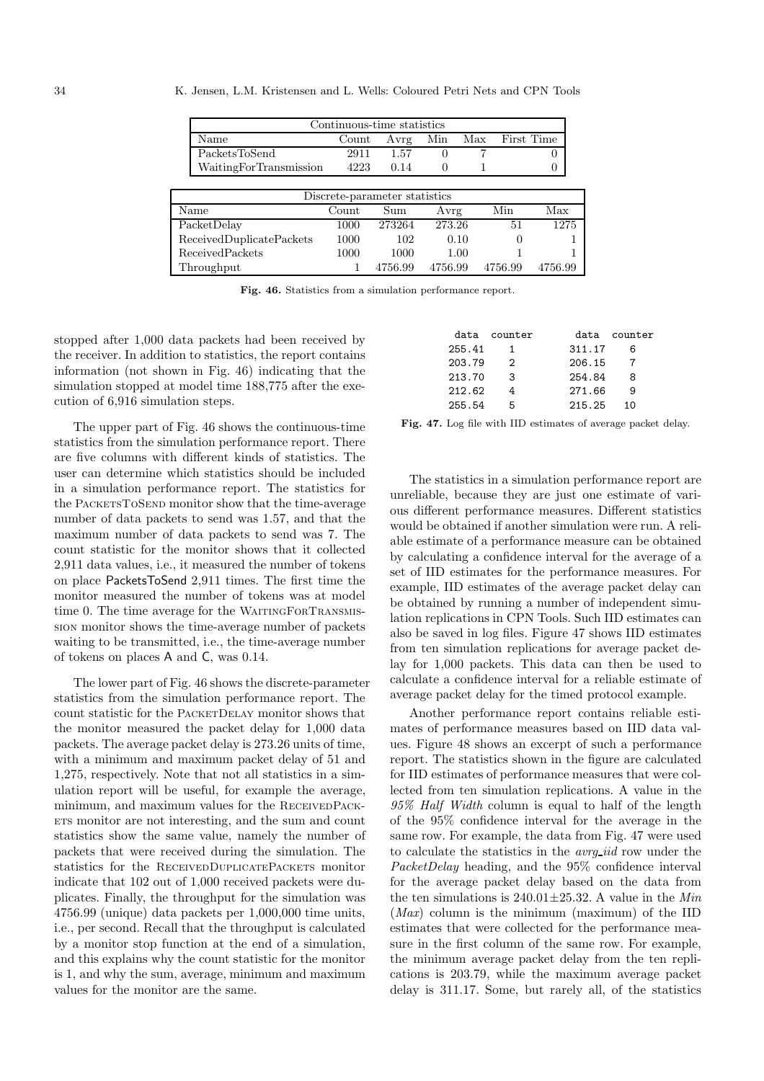|                               | Continuous-time statistics |                  |         |          |     |         |            |  |
|-------------------------------|----------------------------|------------------|---------|----------|-----|---------|------------|--|
|                               | Name                       | $_{\rm Count}$   | Avrg    | Min      | Max |         | First Time |  |
|                               | PacketsToSend              | 2911             | 1.57    | $\theta$ |     |         | 0          |  |
|                               | WaitingForTransmission     | 4223             | 0.14    | 0        |     |         |            |  |
|                               |                            |                  |         |          |     |         |            |  |
| Discrete-parameter statistics |                            |                  |         |          |     |         |            |  |
|                               | Name                       | $\mathrm{Count}$ | Sum     | Avrg     |     | Min     | Max        |  |
|                               | PacketDelay                | 1000             | 273264  | 273.26   |     | 51      | 1275       |  |
|                               | ReceivedDuplicatePackets   | 1000             | 102     | 0.10     |     | 0       |            |  |
|                               | <b>ReceivedPackets</b>     | 1000             | 1000    | 1.00     |     |         |            |  |
|                               | Throughput                 |                  | 4756.99 | 4756.99  |     | 4756.99 | 4756.99    |  |

Fig. 46. Statistics from a simulation performance report.

stopped after 1,000 data packets had been received by the receiver. In addition to statistics, the report contains information (not shown in Fig. 46) indicating that the simulation stopped at model time 188,775 after the execution of 6,916 simulation steps.

The upper part of Fig. 46 shows the continuous-time statistics from the simulation performance report. There are five columns with different kinds of statistics. The user can determine which statistics should be included in a simulation performance report. The statistics for the PacketsToSend monitor show that the time-average number of data packets to send was 1.57, and that the maximum number of data packets to send was 7. The count statistic for the monitor shows that it collected 2,911 data values, i.e., it measured the number of tokens on place PacketsToSend 2,911 times. The first time the monitor measured the number of tokens was at model time 0. The time average for the WAITINGFORTRANSMISsion monitor shows the time-average number of packets waiting to be transmitted, i.e., the time-average number of tokens on places A and C, was 0.14.

The lower part of Fig. 46 shows the discrete-parameter statistics from the simulation performance report. The count statistic for the PacketDelay monitor shows that the monitor measured the packet delay for 1,000 data packets. The average packet delay is 273.26 units of time, with a minimum and maximum packet delay of 51 and 1,275, respectively. Note that not all statistics in a simulation report will be useful, for example the average, minimum, and maximum values for the RECEIVEDPACK-ETS monitor are not interesting, and the sum and count statistics show the same value, namely the number of packets that were received during the simulation. The statistics for the RECEIVEDDUPLICATEPACKETS monitor indicate that 102 out of 1,000 received packets were duplicates. Finally, the throughput for the simulation was 4756.99 (unique) data packets per 1,000,000 time units, i.e., per second. Recall that the throughput is calculated by a monitor stop function at the end of a simulation, and this explains why the count statistic for the monitor is 1, and why the sum, average, minimum and maximum values for the monitor are the same.

|        | data counter |        | data counter |
|--------|--------------|--------|--------------|
| 255.41 |              | 311.17 |              |
| 203.79 | 2            | 206.15 |              |
| 213.70 | 3            | 254.84 | 8            |
| 212.62 |              | 271.66 |              |
| 255.54 | h            | 215.25 | 10           |

Fig. 47. Log file with IID estimates of average packet delay.

The statistics in a simulation performance report are unreliable, because they are just one estimate of various different performance measures. Different statistics would be obtained if another simulation were run. A reliable estimate of a performance measure can be obtained by calculating a confidence interval for the average of a set of IID estimates for the performance measures. For example, IID estimates of the average packet delay can be obtained by running a number of independent simulation replications in CPN Tools. Such IID estimates can also be saved in log files. Figure 47 shows IID estimates from ten simulation replications for average packet delay for 1,000 packets. This data can then be used to calculate a confidence interval for a reliable estimate of average packet delay for the timed protocol example.

Another performance report contains reliable estimates of performance measures based on IID data values. Figure 48 shows an excerpt of such a performance report. The statistics shown in the figure are calculated for IID estimates of performance measures that were collected from ten simulation replications. A value in the 95% Half Width column is equal to half of the length of the 95% confidence interval for the average in the same row. For example, the data from Fig. 47 were used to calculate the statistics in the avrg iid row under the PacketDelay heading, and the 95% confidence interval for the average packet delay based on the data from the ten simulations is  $240.01 \pm 25.32$ . A value in the *Min* (Max) column is the minimum (maximum) of the IID estimates that were collected for the performance measure in the first column of the same row. For example, the minimum average packet delay from the ten replications is 203.79, while the maximum average packet delay is 311.17. Some, but rarely all, of the statistics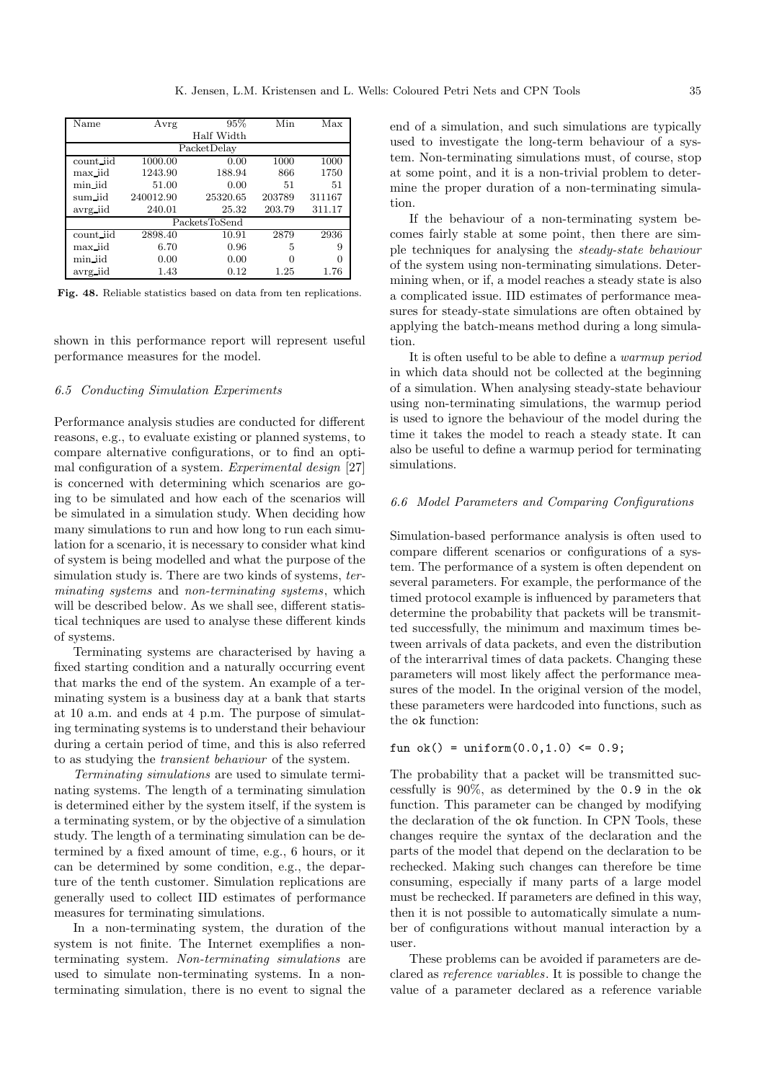| Name                | Avrg      | 95%        | Min    | Max    |  |  |  |
|---------------------|-----------|------------|--------|--------|--|--|--|
|                     |           | Half Width |        |        |  |  |  |
| PacketDelay         |           |            |        |        |  |  |  |
| count iid           | 1000.00   | 0.00       | 1000   | 1000   |  |  |  |
| max_iid             | 1243.90   | 188.94     | 866    | 1750   |  |  |  |
| min iid             | 51.00     | 0.00       | 51     | 51     |  |  |  |
| sum iid             | 240012.90 | 25320.65   | 203789 | 311167 |  |  |  |
| avrg <sub>iid</sub> | 240.01    | 25.32      | 203.79 | 311.17 |  |  |  |
| PacketsToSend       |           |            |        |        |  |  |  |
| count iid           | 2898.40   | 10.91      | 2879   | 2936   |  |  |  |
| max_iid             | 6.70      | 0.96       | 5      | 9      |  |  |  |
| min iid             | 0.00      | 0.00       | 0      | 0      |  |  |  |
| avrg iid            | 1.43      | 0.12       | 1.25   | 1.76   |  |  |  |

Fig. 48. Reliable statistics based on data from ten replications.

shown in this performance report will represent useful performance measures for the model.

## 6.5 Conducting Simulation Experiments

Performance analysis studies are conducted for different reasons, e.g., to evaluate existing or planned systems, to compare alternative configurations, or to find an optimal configuration of a system. Experimental design [27] is concerned with determining which scenarios are going to be simulated and how each of the scenarios will be simulated in a simulation study. When deciding how many simulations to run and how long to run each simulation for a scenario, it is necessary to consider what kind of system is being modelled and what the purpose of the simulation study is. There are two kinds of systems, terminating systems and non-terminating systems, which will be described below. As we shall see, different statistical techniques are used to analyse these different kinds of systems.

Terminating systems are characterised by having a fixed starting condition and a naturally occurring event that marks the end of the system. An example of a terminating system is a business day at a bank that starts at 10 a.m. and ends at 4 p.m. The purpose of simulating terminating systems is to understand their behaviour during a certain period of time, and this is also referred to as studying the transient behaviour of the system.

Terminating simulations are used to simulate terminating systems. The length of a terminating simulation is determined either by the system itself, if the system is a terminating system, or by the objective of a simulation study. The length of a terminating simulation can be determined by a fixed amount of time, e.g., 6 hours, or it can be determined by some condition, e.g., the departure of the tenth customer. Simulation replications are generally used to collect IID estimates of performance measures for terminating simulations.

In a non-terminating system, the duration of the system is not finite. The Internet exemplifies a nonterminating system. Non-terminating simulations are used to simulate non-terminating systems. In a nonterminating simulation, there is no event to signal the end of a simulation, and such simulations are typically used to investigate the long-term behaviour of a system. Non-terminating simulations must, of course, stop at some point, and it is a non-trivial problem to determine the proper duration of a non-terminating simulation.

If the behaviour of a non-terminating system becomes fairly stable at some point, then there are simple techniques for analysing the steady-state behaviour of the system using non-terminating simulations. Determining when, or if, a model reaches a steady state is also a complicated issue. IID estimates of performance measures for steady-state simulations are often obtained by applying the batch-means method during a long simulation.

It is often useful to be able to define a warmup period in which data should not be collected at the beginning of a simulation. When analysing steady-state behaviour using non-terminating simulations, the warmup period is used to ignore the behaviour of the model during the time it takes the model to reach a steady state. It can also be useful to define a warmup period for terminating simulations.

## 6.6 Model Parameters and Comparing Configurations

Simulation-based performance analysis is often used to compare different scenarios or configurations of a system. The performance of a system is often dependent on several parameters. For example, the performance of the timed protocol example is influenced by parameters that determine the probability that packets will be transmitted successfully, the minimum and maximum times between arrivals of data packets, and even the distribution of the interarrival times of data packets. Changing these parameters will most likely affect the performance measures of the model. In the original version of the model, these parameters were hardcoded into functions, such as the ok function:

#### fun  $ok() = uniform(0.0, 1.0) \le 0.9;$

The probability that a packet will be transmitted successfully is 90%, as determined by the 0.9 in the ok function. This parameter can be changed by modifying the declaration of the ok function. In CPN Tools, these changes require the syntax of the declaration and the parts of the model that depend on the declaration to be rechecked. Making such changes can therefore be time consuming, especially if many parts of a large model must be rechecked. If parameters are defined in this way, then it is not possible to automatically simulate a number of configurations without manual interaction by a user.

These problems can be avoided if parameters are declared as reference variables. It is possible to change the value of a parameter declared as a reference variable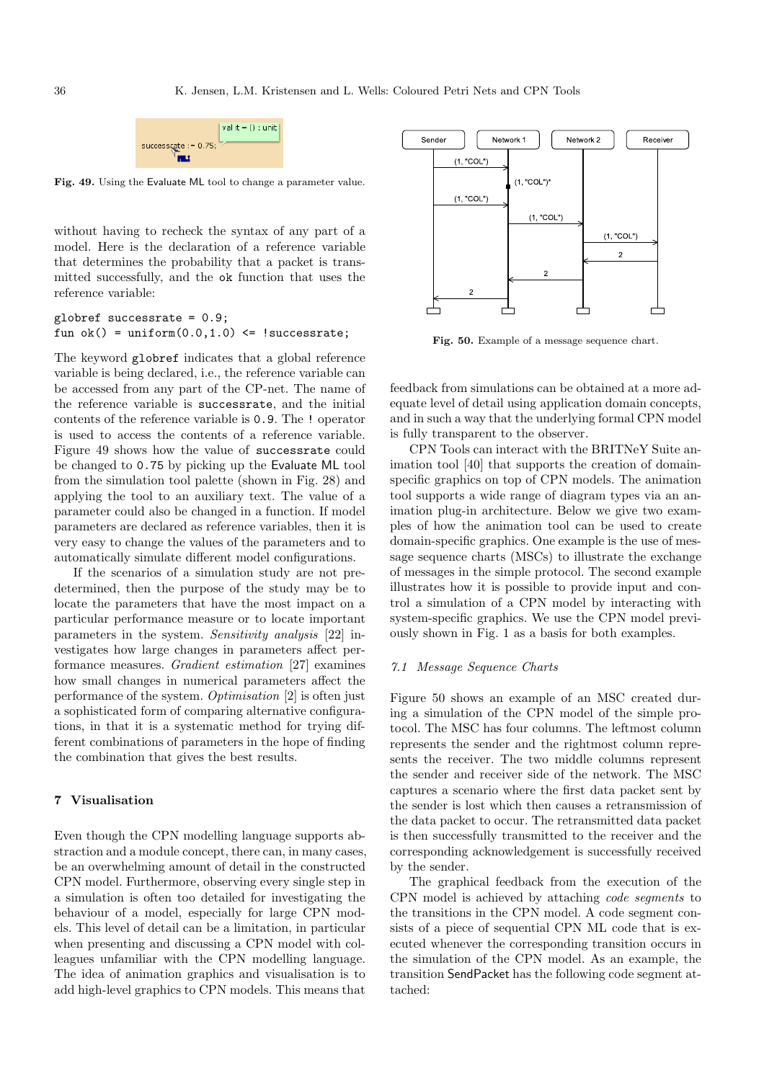

Fig. 49. Using the Evaluate ML tool to change a parameter value.

without having to recheck the syntax of any part of a model. Here is the declaration of a reference variable that determines the probability that a packet is transmitted successfully, and the ok function that uses the reference variable:

```
globref successrate = 0.9;
fun ok() = uniform(0.0, 1.0) \leq !successrate;
```
The keyword globref indicates that a global reference variable is being declared, i.e., the reference variable can be accessed from any part of the CP-net. The name of the reference variable is successrate, and the initial contents of the reference variable is 0.9. The ! operator is used to access the contents of a reference variable. Figure 49 shows how the value of successrate could be changed to 0.75 by picking up the Evaluate ML tool from the simulation tool palette (shown in Fig. 28) and applying the tool to an auxiliary text. The value of a parameter could also be changed in a function. If model parameters are declared as reference variables, then it is very easy to change the values of the parameters and to automatically simulate different model configurations.

If the scenarios of a simulation study are not predetermined, then the purpose of the study may be to locate the parameters that have the most impact on a particular performance measure or to locate important parameters in the system. Sensitivity analysis [22] investigates how large changes in parameters affect performance measures. Gradient estimation [27] examines how small changes in numerical parameters affect the performance of the system. Optimisation [2] is often just a sophisticated form of comparing alternative configurations, in that it is a systematic method for trying different combinations of parameters in the hope of finding the combination that gives the best results.

## 7 Visualisation

Even though the CPN modelling language supports abstraction and a module concept, there can, in many cases, be an overwhelming amount of detail in the constructed CPN model. Furthermore, observing every single step in a simulation is often too detailed for investigating the behaviour of a model, especially for large CPN models. This level of detail can be a limitation, in particular when presenting and discussing a CPN model with colleagues unfamiliar with the CPN modelling language. The idea of animation graphics and visualisation is to add high-level graphics to CPN models. This means that



Fig. 50. Example of a message sequence chart.

feedback from simulations can be obtained at a more adequate level of detail using application domain concepts, and in such a way that the underlying formal CPN model is fully transparent to the observer.

CPN Tools can interact with the BRITNeY Suite animation tool [40] that supports the creation of domainspecific graphics on top of CPN models. The animation tool supports a wide range of diagram types via an animation plug-in architecture. Below we give two examples of how the animation tool can be used to create domain-specific graphics. One example is the use of message sequence charts (MSCs) to illustrate the exchange of messages in the simple protocol. The second example illustrates how it is possible to provide input and control a simulation of a CPN model by interacting with system-specific graphics. We use the CPN model previously shown in Fig. 1 as a basis for both examples.

#### 7.1 Message Sequence Charts

Figure 50 shows an example of an MSC created during a simulation of the CPN model of the simple protocol. The MSC has four columns. The leftmost column represents the sender and the rightmost column represents the receiver. The two middle columns represent the sender and receiver side of the network. The MSC captures a scenario where the first data packet sent by the sender is lost which then causes a retransmission of the data packet to occur. The retransmitted data packet is then successfully transmitted to the receiver and the corresponding acknowledgement is successfully received by the sender.

The graphical feedback from the execution of the CPN model is achieved by attaching code segments to the transitions in the CPN model. A code segment consists of a piece of sequential CPN ML code that is executed whenever the corresponding transition occurs in the simulation of the CPN model. As an example, the transition SendPacket has the following code segment attached: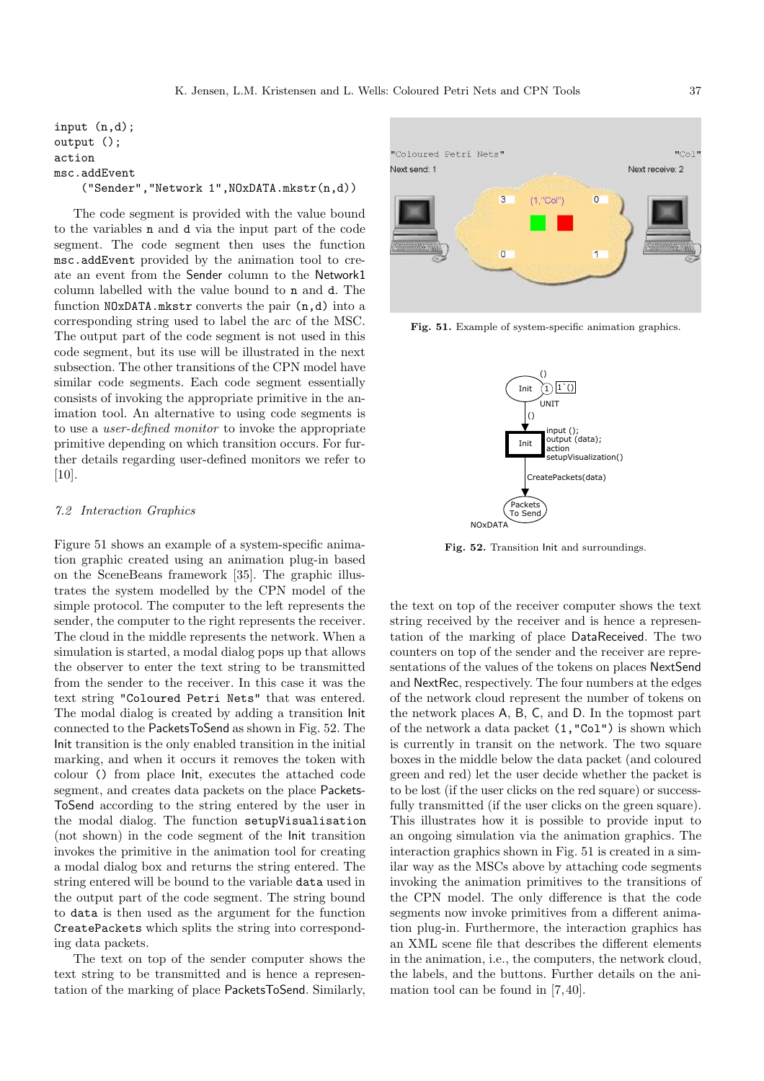input (n,d); output (); action msc.addEvent ("Sender","Network 1",NOxDATA.mkstr(n,d))

The code segment is provided with the value bound to the variables n and d via the input part of the code segment. The code segment then uses the function msc.addEvent provided by the animation tool to create an event from the Sender column to the Network1 column labelled with the value bound to n and d. The function NOxDATA.mkstr converts the pair (n,d) into a corresponding string used to label the arc of the MSC. The output part of the code segment is not used in this code segment, but its use will be illustrated in the next subsection. The other transitions of the CPN model have similar code segments. Each code segment essentially consists of invoking the appropriate primitive in the animation tool. An alternative to using code segments is to use a user-defined monitor to invoke the appropriate primitive depending on which transition occurs. For further details regarding user-defined monitors we refer to [10].

## 7.2 Interaction Graphics

Figure 51 shows an example of a system-specific animation graphic created using an animation plug-in based on the SceneBeans framework [35]. The graphic illustrates the system modelled by the CPN model of the simple protocol. The computer to the left represents the sender, the computer to the right represents the receiver. The cloud in the middle represents the network. When a simulation is started, a modal dialog pops up that allows the observer to enter the text string to be transmitted from the sender to the receiver. In this case it was the text string "Coloured Petri Nets" that was entered. The modal dialog is created by adding a transition Init connected to the PacketsToSend as shown in Fig. 52. The Init transition is the only enabled transition in the initial marking, and when it occurs it removes the token with colour () from place Init, executes the attached code segment, and creates data packets on the place Packets-ToSend according to the string entered by the user in the modal dialog. The function setupVisualisation (not shown) in the code segment of the Init transition invokes the primitive in the animation tool for creating a modal dialog box and returns the string entered. The string entered will be bound to the variable data used in the output part of the code segment. The string bound to data is then used as the argument for the function CreatePackets which splits the string into corresponding data packets.

The text on top of the sender computer shows the text string to be transmitted and is hence a representation of the marking of place PacketsToSend. Similarly,



Fig. 51. Example of system-specific animation graphics.



Fig. 52. Transition Init and surroundings.

the text on top of the receiver computer shows the text string received by the receiver and is hence a representation of the marking of place DataReceived. The two counters on top of the sender and the receiver are representations of the values of the tokens on places NextSend and NextRec, respectively. The four numbers at the edges of the network cloud represent the number of tokens on the network places A, B, C, and D. In the topmost part of the network a data packet (1,"Col") is shown which is currently in transit on the network. The two square boxes in the middle below the data packet (and coloured green and red) let the user decide whether the packet is to be lost (if the user clicks on the red square) or successfully transmitted (if the user clicks on the green square). This illustrates how it is possible to provide input to an ongoing simulation via the animation graphics. The interaction graphics shown in Fig. 51 is created in a similar way as the MSCs above by attaching code segments invoking the animation primitives to the transitions of the CPN model. The only difference is that the code segments now invoke primitives from a different animation plug-in. Furthermore, the interaction graphics has an XML scene file that describes the different elements in the animation, i.e., the computers, the network cloud, the labels, and the buttons. Further details on the animation tool can be found in [7,40].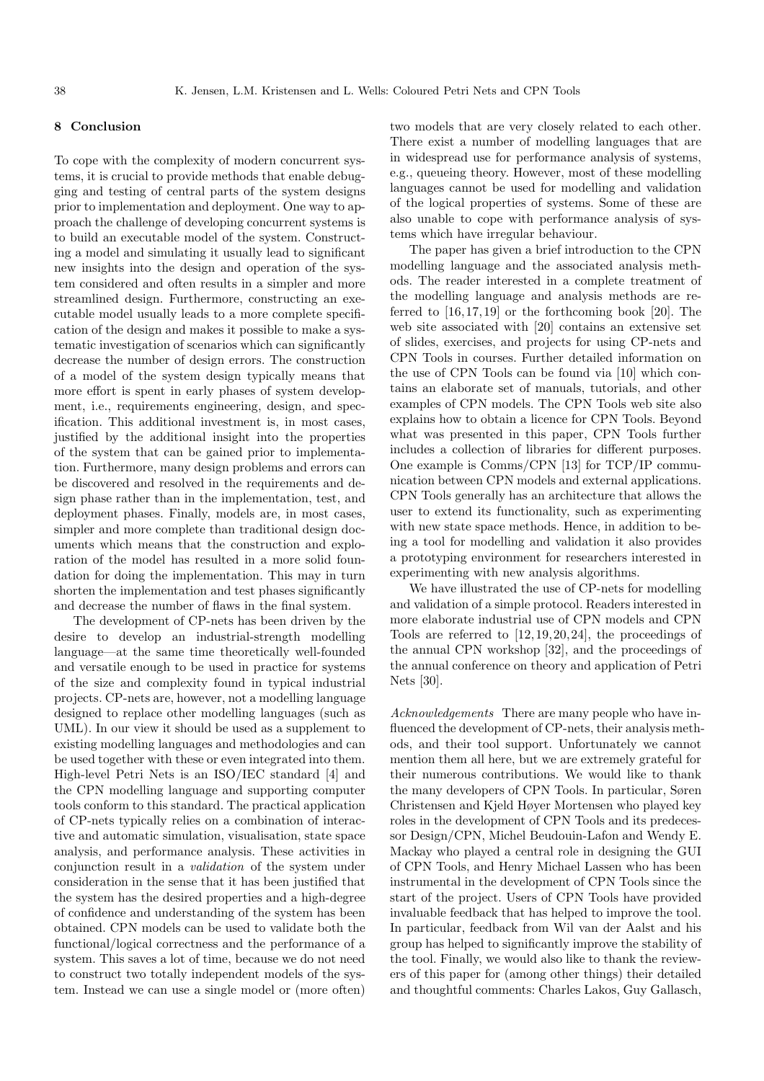# 8 Conclusion

To cope with the complexity of modern concurrent systems, it is crucial to provide methods that enable debugging and testing of central parts of the system designs prior to implementation and deployment. One way to approach the challenge of developing concurrent systems is to build an executable model of the system. Constructing a model and simulating it usually lead to significant new insights into the design and operation of the system considered and often results in a simpler and more streamlined design. Furthermore, constructing an executable model usually leads to a more complete specification of the design and makes it possible to make a systematic investigation of scenarios which can significantly decrease the number of design errors. The construction of a model of the system design typically means that more effort is spent in early phases of system development, i.e., requirements engineering, design, and specification. This additional investment is, in most cases, justified by the additional insight into the properties of the system that can be gained prior to implementation. Furthermore, many design problems and errors can be discovered and resolved in the requirements and design phase rather than in the implementation, test, and deployment phases. Finally, models are, in most cases, simpler and more complete than traditional design documents which means that the construction and exploration of the model has resulted in a more solid foundation for doing the implementation. This may in turn shorten the implementation and test phases significantly and decrease the number of flaws in the final system.

The development of CP-nets has been driven by the desire to develop an industrial-strength modelling language—at the same time theoretically well-founded and versatile enough to be used in practice for systems of the size and complexity found in typical industrial projects. CP-nets are, however, not a modelling language designed to replace other modelling languages (such as UML). In our view it should be used as a supplement to existing modelling languages and methodologies and can be used together with these or even integrated into them. High-level Petri Nets is an ISO/IEC standard [4] and the CPN modelling language and supporting computer tools conform to this standard. The practical application of CP-nets typically relies on a combination of interactive and automatic simulation, visualisation, state space analysis, and performance analysis. These activities in conjunction result in a validation of the system under consideration in the sense that it has been justified that the system has the desired properties and a high-degree of confidence and understanding of the system has been obtained. CPN models can be used to validate both the functional/logical correctness and the performance of a system. This saves a lot of time, because we do not need to construct two totally independent models of the system. Instead we can use a single model or (more often)

two models that are very closely related to each other. There exist a number of modelling languages that are in widespread use for performance analysis of systems, e.g., queueing theory. However, most of these modelling languages cannot be used for modelling and validation of the logical properties of systems. Some of these are also unable to cope with performance analysis of systems which have irregular behaviour.

The paper has given a brief introduction to the CPN modelling language and the associated analysis methods. The reader interested in a complete treatment of the modelling language and analysis methods are referred to [16,17,19] or the forthcoming book [20]. The web site associated with [20] contains an extensive set of slides, exercises, and projects for using CP-nets and CPN Tools in courses. Further detailed information on the use of CPN Tools can be found via [10] which contains an elaborate set of manuals, tutorials, and other examples of CPN models. The CPN Tools web site also explains how to obtain a licence for CPN Tools. Beyond what was presented in this paper, CPN Tools further includes a collection of libraries for different purposes. One example is Comms/CPN [13] for TCP/IP communication between CPN models and external applications. CPN Tools generally has an architecture that allows the user to extend its functionality, such as experimenting with new state space methods. Hence, in addition to being a tool for modelling and validation it also provides a prototyping environment for researchers interested in experimenting with new analysis algorithms.

We have illustrated the use of CP-nets for modelling and validation of a simple protocol. Readers interested in more elaborate industrial use of CPN models and CPN Tools are referred to [12,19,20,24], the proceedings of the annual CPN workshop [32], and the proceedings of the annual conference on theory and application of Petri Nets [30].

Acknowledgements There are many people who have influenced the development of CP-nets, their analysis methods, and their tool support. Unfortunately we cannot mention them all here, but we are extremely grateful for their numerous contributions. We would like to thank the many developers of CPN Tools. In particular, Søren Christensen and Kjeld Høyer Mortensen who played key roles in the development of CPN Tools and its predecessor Design/CPN, Michel Beudouin-Lafon and Wendy E. Mackay who played a central role in designing the GUI of CPN Tools, and Henry Michael Lassen who has been instrumental in the development of CPN Tools since the start of the project. Users of CPN Tools have provided invaluable feedback that has helped to improve the tool. In particular, feedback from Wil van der Aalst and his group has helped to significantly improve the stability of the tool. Finally, we would also like to thank the reviewers of this paper for (among other things) their detailed and thoughtful comments: Charles Lakos, Guy Gallasch,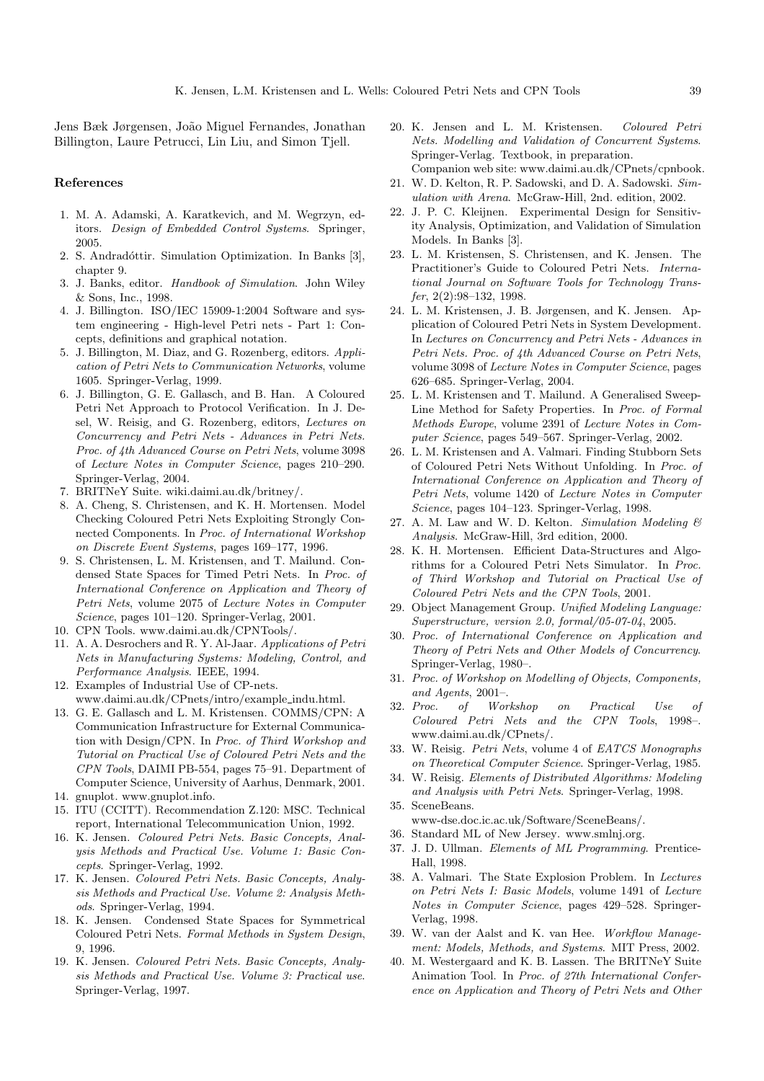Jens Bæk Jørgensen, João Miguel Fernandes, Jonathan Billington, Laure Petrucci, Lin Liu, and Simon Tjell.

#### References

- 1. M. A. Adamski, A. Karatkevich, and M. Wegrzyn, editors. Design of Embedded Control Systems. Springer, 2005.
- 2. S. Andradóttir. Simulation Optimization. In Banks [3], chapter 9.
- 3. J. Banks, editor. Handbook of Simulation. John Wiley & Sons, Inc., 1998.
- 4. J. Billington. ISO/IEC 15909-1:2004 Software and system engineering - High-level Petri nets - Part 1: Concepts, definitions and graphical notation.
- 5. J. Billington, M. Diaz, and G. Rozenberg, editors. Application of Petri Nets to Communication Networks, volume 1605. Springer-Verlag, 1999.
- 6. J. Billington, G. E. Gallasch, and B. Han. A Coloured Petri Net Approach to Protocol Verification. In J. Desel, W. Reisig, and G. Rozenberg, editors, Lectures on Concurrency and Petri Nets - Advances in Petri Nets. Proc. of 4th Advanced Course on Petri Nets, volume 3098 of Lecture Notes in Computer Science, pages 210–290. Springer-Verlag, 2004.
- 7. BRITNeY Suite. wiki.daimi.au.dk/britney/.
- 8. A. Cheng, S. Christensen, and K. H. Mortensen. Model Checking Coloured Petri Nets Exploiting Strongly Connected Components. In Proc. of International Workshop on Discrete Event Systems, pages 169–177, 1996.
- 9. S. Christensen, L. M. Kristensen, and T. Mailund. Condensed State Spaces for Timed Petri Nets. In Proc. of International Conference on Application and Theory of Petri Nets, volume 2075 of Lecture Notes in Computer Science, pages 101–120. Springer-Verlag, 2001.
- 10. CPN Tools. www.daimi.au.dk/CPNTools/.
- 11. A. A. Desrochers and R. Y. Al-Jaar. Applications of Petri Nets in Manufacturing Systems: Modeling, Control, and Performance Analysis. IEEE, 1994.
- 12. Examples of Industrial Use of CP-nets. www.daimi.au.dk/CPnets/intro/example indu.html.
- 13. G. E. Gallasch and L. M. Kristensen. COMMS/CPN: A Communication Infrastructure for External Communication with Design/CPN. In Proc. of Third Workshop and Tutorial on Practical Use of Coloured Petri Nets and the CPN Tools, DAIMI PB-554, pages 75–91. Department of Computer Science, University of Aarhus, Denmark, 2001.
- 14. gnuplot. www.gnuplot.info.
- 15. ITU (CCITT). Recommendation Z.120: MSC. Technical report, International Telecommunication Union, 1992.
- 16. K. Jensen. Coloured Petri Nets. Basic Concepts, Analysis Methods and Practical Use. Volume 1: Basic Concepts. Springer-Verlag, 1992.
- 17. K. Jensen. Coloured Petri Nets. Basic Concepts, Analysis Methods and Practical Use. Volume 2: Analysis Methods. Springer-Verlag, 1994.
- 18. K. Jensen. Condensed State Spaces for Symmetrical Coloured Petri Nets. Formal Methods in System Design, 9, 1996.
- 19. K. Jensen. Coloured Petri Nets. Basic Concepts, Analysis Methods and Practical Use. Volume 3: Practical use. Springer-Verlag, 1997.
- 20. K. Jensen and L. M. Kristensen. Coloured Petri Nets. Modelling and Validation of Concurrent Systems. Springer-Verlag. Textbook, in preparation. Companion web site: www.daimi.au.dk/CPnets/cpnbook.
- 21. W. D. Kelton, R. P. Sadowski, and D. A. Sadowski. Simulation with Arena. McGraw-Hill, 2nd. edition, 2002.
- 22. J. P. C. Kleijnen. Experimental Design for Sensitivity Analysis, Optimization, and Validation of Simulation Models. In Banks [3].
- 23. L. M. Kristensen, S. Christensen, and K. Jensen. The Practitioner's Guide to Coloured Petri Nets. International Journal on Software Tools for Technology Transfer, 2(2):98–132, 1998.
- 24. L. M. Kristensen, J. B. Jørgensen, and K. Jensen. Application of Coloured Petri Nets in System Development. In Lectures on Concurrency and Petri Nets - Advances in Petri Nets. Proc. of 4th Advanced Course on Petri Nets, volume 3098 of Lecture Notes in Computer Science, pages 626–685. Springer-Verlag, 2004.
- 25. L. M. Kristensen and T. Mailund. A Generalised Sweep-Line Method for Safety Properties. In Proc. of Formal Methods Europe, volume 2391 of Lecture Notes in Computer Science, pages 549–567. Springer-Verlag, 2002.
- 26. L. M. Kristensen and A. Valmari. Finding Stubborn Sets of Coloured Petri Nets Without Unfolding. In Proc. of International Conference on Application and Theory of Petri Nets, volume 1420 of Lecture Notes in Computer Science, pages 104–123. Springer-Verlag, 1998.
- 27. A. M. Law and W. D. Kelton. Simulation Modeling & Analysis. McGraw-Hill, 3rd edition, 2000.
- 28. K. H. Mortensen. Efficient Data-Structures and Algorithms for a Coloured Petri Nets Simulator. In Proc. of Third Workshop and Tutorial on Practical Use of Coloured Petri Nets and the CPN Tools, 2001.
- 29. Object Management Group. Unified Modeling Language: Superstructure, version 2.0, formal/05-07-04, 2005.
- 30. Proc. of International Conference on Application and Theory of Petri Nets and Other Models of Concurrency. Springer-Verlag, 1980–.
- 31. Proc. of Workshop on Modelling of Objects, Components, and Agents, 2001–.
- 32. Proc. of Workshop on Practical Use of Coloured Petri Nets and the CPN Tools, 1998–. www.daimi.au.dk/CPnets/.
- 33. W. Reisig. Petri Nets, volume 4 of EATCS Monographs on Theoretical Computer Science. Springer-Verlag, 1985.
- 34. W. Reisig. Elements of Distributed Algorithms: Modeling and Analysis with Petri Nets. Springer-Verlag, 1998.
- 35. SceneBeans.
- www-dse.doc.ic.ac.uk/Software/SceneBeans/.
- 36. Standard ML of New Jersey. www.smlnj.org.
- 37. J. D. Ullman. Elements of ML Programming. Prentice-Hall, 1998.
- 38. A. Valmari. The State Explosion Problem. In Lectures on Petri Nets I: Basic Models, volume 1491 of Lecture Notes in Computer Science, pages 429–528. Springer-Verlag, 1998.
- 39. W. van der Aalst and K. van Hee. Workflow Management: Models, Methods, and Systems. MIT Press, 2002.
- 40. M. Westergaard and K. B. Lassen. The BRITNeY Suite Animation Tool. In Proc. of 27th International Conference on Application and Theory of Petri Nets and Other